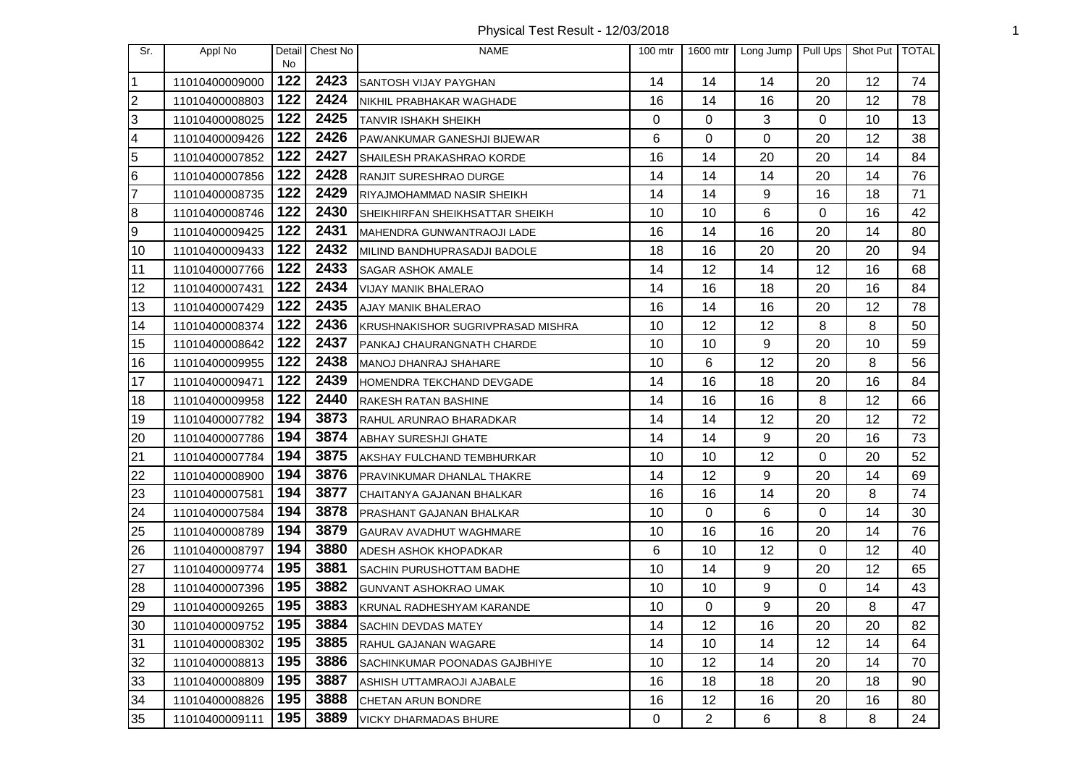Physical Test Result - 12/03/2018 1

| Sr.              | Appl No        | Detail<br><b>No</b> | Chest No | <b>NAME</b>                       | $100$ mtr   | 1600 mtr       | Long Jump | Pull Ups | Shot Put | <b>TOTAL</b> |
|------------------|----------------|---------------------|----------|-----------------------------------|-------------|----------------|-----------|----------|----------|--------------|
| $\mathbf 1$      | 11010400009000 | 122                 | 2423     | SANTOSH VIJAY PAYGHAN             | 14          | 14             | 14        | 20       | 12       | 74           |
| $\overline{2}$   | 11010400008803 | 122                 | 2424     | NIKHIL PRABHAKAR WAGHADE          | 16          | 14             | 16        | 20       | 12       | 78           |
| 3                | 11010400008025 | 122                 | 2425     | TANVIR ISHAKH SHEIKH              | 0           | 0              | 3         | 0        | 10       | 13           |
| 4                | 11010400009426 | 122                 | 2426     | PAWANKUMAR GANESHJI BIJEWAR       | 6           | 0              | 0         | 20       | 12       | 38           |
| 5                | 11010400007852 | 122                 | 2427     | SHAILESH PRAKASHRAO KORDE         | 16          | 14             | 20        | 20       | 14       | 84           |
| $\bf 6$          | 11010400007856 | 122                 | 2428     | RANJIT SURESHRAO DURGE            | 14          | 14             | 14        | 20       | 14       | 76           |
| $\overline{7}$   | 11010400008735 | 122                 | 2429     | RIYAJMOHAMMAD NASIR SHEIKH        | 14          | 14             | 9         | 16       | 18       | 71           |
| $\bf 8$          | 11010400008746 | 122                 | 2430     | SHEIKHIRFAN SHEIKHSATTAR SHEIKH   | 10          | 10             | 6         | 0        | 16       | 42           |
| $\boldsymbol{9}$ | 11010400009425 | 122                 | 2431     | MAHENDRA GUNWANTRAOJI LADE        | 16          | 14             | 16        | 20       | 14       | 80           |
| 10               | 11010400009433 | 122                 | 2432     | MILIND BANDHUPRASADJI BADOLE      | 18          | 16             | 20        | 20       | 20       | 94           |
| 11               | 11010400007766 | 122                 | 2433     | <b>SAGAR ASHOK AMALE</b>          | 14          | 12             | 14        | 12       | 16       | 68           |
| 12               | 11010400007431 | 122                 | 2434     | VIJAY MANIK BHALERAO              | 14          | 16             | 18        | 20       | 16       | 84           |
| 13               | 11010400007429 | 122                 | 2435     | <b>AJAY MANIK BHALERAO</b>        | 16          | 14             | 16        | 20       | 12       | 78           |
| 14               | 11010400008374 | 122                 | 2436     | KRUSHNAKISHOR SUGRIVPRASAD MISHRA | 10          | 12             | 12        | 8        | 8        | 50           |
| 15               | 11010400008642 | 122                 | 2437     | PANKAJ CHAURANGNATH CHARDE        | 10          | 10             | 9         | 20       | 10       | 59           |
| 16               | 11010400009955 | 122                 | 2438     | MANOJ DHANRAJ SHAHARE             | 10          | 6              | 12        | 20       | 8        | 56           |
| 17               | 11010400009471 | 122                 | 2439     | <b>IHOMENDRA TEKCHAND DEVGADE</b> | 14          | 16             | 18        | 20       | 16       | 84           |
| 18               | 11010400009958 | 122                 | 2440     | RAKESH RATAN BASHINE              | 14          | 16             | 16        | 8        | 12       | 66           |
| 19               | 11010400007782 | 194                 | 3873     | RAHUL ARUNRAO BHARADKAR           | 14          | 14             | 12        | 20       | 12       | 72           |
| 20               | 11010400007786 | 194                 | 3874     | <b>ABHAY SURESHJI GHATE</b>       | 14          | 14             | 9         | 20       | 16       | 73           |
| 21               | 11010400007784 | 194                 | 3875     | AKSHAY FULCHAND TEMBHURKAR        | 10          | 10             | 12        | 0        | 20       | 52           |
| 22               | 11010400008900 | 194                 | 3876     | PRAVINKUMAR DHANLAL THAKRE        | 14          | 12             | 9         | 20       | 14       | 69           |
| 23               | 11010400007581 | 194                 | 3877     | CHAITANYA GAJANAN BHALKAR         | 16          | 16             | 14        | 20       | 8        | 74           |
| 24               | 11010400007584 | 194                 | 3878     | PRASHANT GAJANAN BHALKAR          | 10          | 0              | 6         | 0        | 14       | 30           |
| 25               | 11010400008789 | 194                 | 3879     | GAURAV AVADHUT WAGHMARE           | 10          | 16             | 16        | 20       | 14       | 76           |
| 26               | 11010400008797 | 194                 | 3880     | ADESH ASHOK KHOPADKAR             | 6           | 10             | 12        | $\Omega$ | 12       | 40           |
| 27               | 11010400009774 | 195                 | 3881     | SACHIN PURUSHOTTAM BADHE          | 10          | 14             | 9         | 20       | 12       | 65           |
| 28               | 11010400007396 | 195                 | 3882     | <b>GUNVANT ASHOKRAO UMAK</b>      | 10          | 10             | 9         | 0        | 14       | 43           |
| 29               | 11010400009265 | 195                 | 3883     | KRUNAL RADHESHYAM KARANDE         | 10          | 0              | 9         | 20       | 8        | 47           |
| 30               | 11010400009752 | 195                 | 3884     | <b>SACHIN DEVDAS MATEY</b>        | 14          | 12             | 16        | 20       | 20       | 82           |
| 31               | 11010400008302 | 195                 | 3885     | RAHUL GAJANAN WAGARE              | 14          | 10             | 14        | 12       | 14       | 64           |
| 32               | 11010400008813 | 195                 | 3886     | SACHINKUMAR POONADAS GAJBHIYE     | 10          | 12             | 14        | 20       | 14       | 70           |
| 33               | 11010400008809 | 195                 | 3887     | ASHISH UTTAMRAOJI AJABALE         | 16          | 18             | 18        | 20       | 18       | 90           |
| 34               | 11010400008826 | 195                 | 3888     | <b>CHETAN ARUN BONDRE</b>         | 16          | 12             | 16        | 20       | 16       | 80           |
| 35               | 11010400009111 | 195                 | 3889     | <b>VICKY DHARMADAS BHURE</b>      | $\mathbf 0$ | $\overline{2}$ | 6         | 8        | 8        | 24           |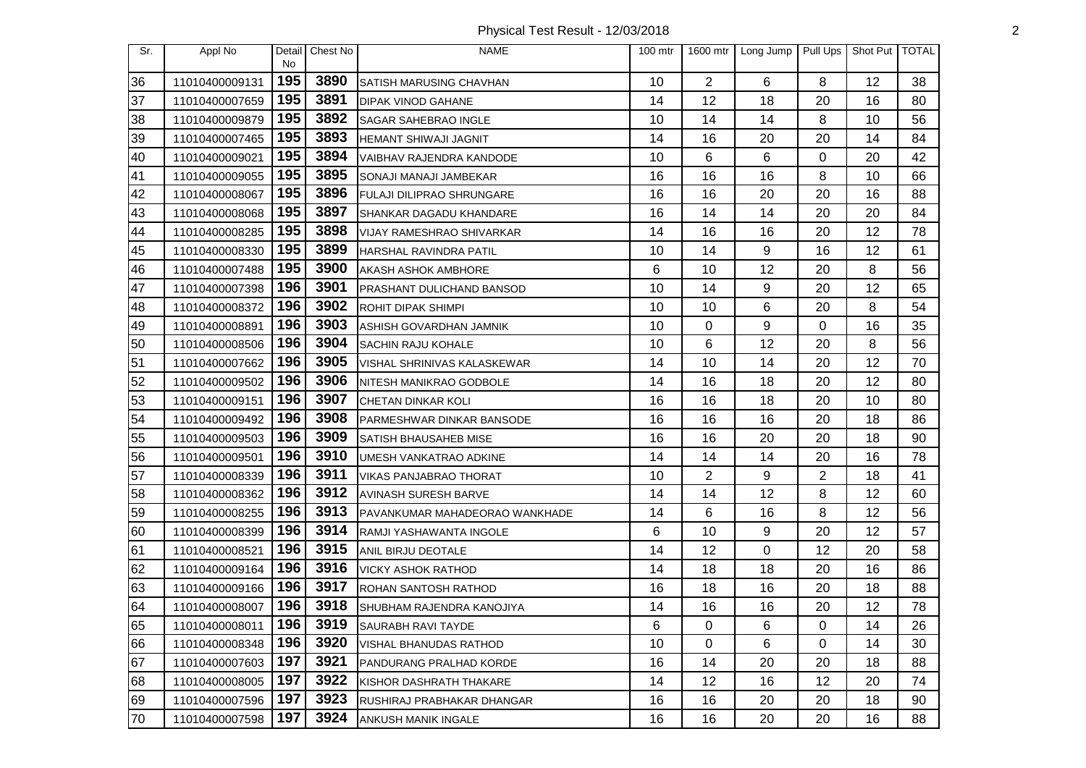Physical Test Result - 12/03/2018 2

| Sr. | Appl No        | Detail<br>No | Chest No | <b>NAME</b>                      | 100 mtr | 1600 mtr       | Long Jump | Pull Ups       | Shot Put   TOTAL |    |
|-----|----------------|--------------|----------|----------------------------------|---------|----------------|-----------|----------------|------------------|----|
| 36  | 11010400009131 | 195          | 3890     | SATISH MARUSING CHAVHAN          | 10      | $\overline{2}$ | 6         | 8              | 12               | 38 |
| 37  | 11010400007659 | 195          | 3891     | <b>DIPAK VINOD GAHANE</b>        | 14      | 12             | 18        | 20             | 16               | 80 |
| 38  | 11010400009879 | 195          | 3892     | <b>SAGAR SAHEBRAO INGLE</b>      | 10      | 14             | 14        | 8              | 10               | 56 |
| 39  | 11010400007465 | 195          | 3893     | <b>HEMANT SHIWAJI JAGNIT</b>     | 14      | 16             | 20        | 20             | 14               | 84 |
| 40  | 11010400009021 | 195          | 3894     | VAIBHAV RAJENDRA KANDODE         | 10      | 6              | 6         | 0              | 20               | 42 |
| 41  | 11010400009055 | 195          | 3895     | SONAJI MANAJI JAMBEKAR           | 16      | 16             | 16        | 8              | 10               | 66 |
| 42  | 11010400008067 | 195          | 3896     | FULAJI DILIPRAO SHRUNGARE        | 16      | 16             | 20        | 20             | 16               | 88 |
| 43  | 11010400008068 | 195          | 3897     | SHANKAR DAGADU KHANDARE          | 16      | 14             | 14        | 20             | 20               | 84 |
| 44  | 11010400008285 | 195          | 3898     | <b>VIJAY RAMESHRAO SHIVARKAR</b> | 14      | 16             | 16        | 20             | 12               | 78 |
| 45  | 11010400008330 | 195          | 3899     | HARSHAL RAVINDRA PATIL           | 10      | 14             | 9         | 16             | 12               | 61 |
| 46  | 11010400007488 | 195          | 3900     | AKASH ASHOK AMBHORE              | 6       | 10             | 12        | 20             | 8                | 56 |
| 47  | 11010400007398 | 196          | 3901     | <b>PRASHANT DULICHAND BANSOD</b> | 10      | 14             | 9         | 20             | 12               | 65 |
| 48  | 11010400008372 | 196          | 3902     | ROHIT DIPAK SHIMPI               | 10      | 10             | 6         | 20             | 8                | 54 |
| 49  | 11010400008891 | 196          | 3903     | ASHISH GOVARDHAN JAMNIK          | 10      | 0              | 9         | 0              | 16               | 35 |
| 50  | 11010400008506 | 196          | 3904     | SACHIN RAJU KOHALE               | 10      | 6              | 12        | 20             | 8                | 56 |
| 51  | 11010400007662 | 196          | 3905     | VISHAL SHRINIVAS KALASKEWAR      | 14      | 10             | 14        | 20             | 12               | 70 |
| 52  | 11010400009502 | 196          | 3906     | NITESH MANIKRAO GODBOLE          | 14      | 16             | 18        | 20             | 12               | 80 |
| 53  | 11010400009151 | 196          | 3907     | CHETAN DINKAR KOLI               | 16      | 16             | 18        | 20             | 10               | 80 |
| 54  | 11010400009492 | 196          | 3908     | <b>PARMESHWAR DINKAR BANSODE</b> | 16      | 16             | 16        | 20             | 18               | 86 |
| 55  | 11010400009503 | 196          | 3909     | SATISH BHAUSAHEB MISE            | 16      | 16             | 20        | 20             | 18               | 90 |
| 56  | 11010400009501 | 196          | 3910     | UMESH VANKATRAO ADKINE           | 14      | 14             | 14        | 20             | 16               | 78 |
| 57  | 11010400008339 | 196          | 3911     | <b>VIKAS PANJABRAO THORAT</b>    | 10      | 2              | 9         | $\overline{c}$ | 18               | 41 |
| 58  | 11010400008362 | 196          | 3912     | <b>AVINASH SURESH BARVE</b>      | 14      | 14             | 12        | 8              | 12               | 60 |
| 59  | 11010400008255 | 196          | 3913     | PAVANKUMAR MAHADEORAO WANKHADE   | 14      | 6              | 16        | 8              | 12               | 56 |
| 60  | 11010400008399 | 196          | 3914     | RAMJI YASHAWANTA INGOLE          | 6       | 10             | 9         | 20             | 12               | 57 |
| 61  | 11010400008521 | 196          | 3915     | ANIL BIRJU DEOTALE               | 14      | 12             | 0         | 12             | 20               | 58 |
| 62  | 11010400009164 | 196          | 3916     | <b>VICKY ASHOK RATHOD</b>        | 14      | 18             | 18        | 20             | 16               | 86 |
| 63  | 11010400009166 | 196          | 3917     | <b>ROHAN SANTOSH RATHOD</b>      | 16      | 18             | 16        | 20             | 18               | 88 |
| 64  | 11010400008007 | 196          | 3918     | SHUBHAM RAJENDRA KANOJIYA        | 14      | 16             | 16        | 20             | 12               | 78 |
| 65  | 11010400008011 | 196          | 3919     | SAURABH RAVI TAYDE               | 6       | 0              | 6         | 0              | 14               | 26 |
| 66  | 11010400008348 | 196          | 3920     | <b>VISHAL BHANUDAS RATHOD</b>    | 10      | 0              | 6         | 0              | 14               | 30 |
| 67  | 11010400007603 | 197          | 3921     | PANDURANG PRALHAD KORDE          | 16      | 14             | 20        | 20             | 18               | 88 |
| 68  | 11010400008005 | 197          | 3922     | KISHOR DASHRATH THAKARE          | 14      | 12             | 16        | 12             | 20               | 74 |
| 69  | 11010400007596 | 197          | 3923     | RUSHIRAJ PRABHAKAR DHANGAR       | 16      | 16             | 20        | 20             | 18               | 90 |
| 70  | 11010400007598 | 197          | 3924     | ANKUSH MANIK INGALE              | 16      | 16             | 20        | 20             | 16               | 88 |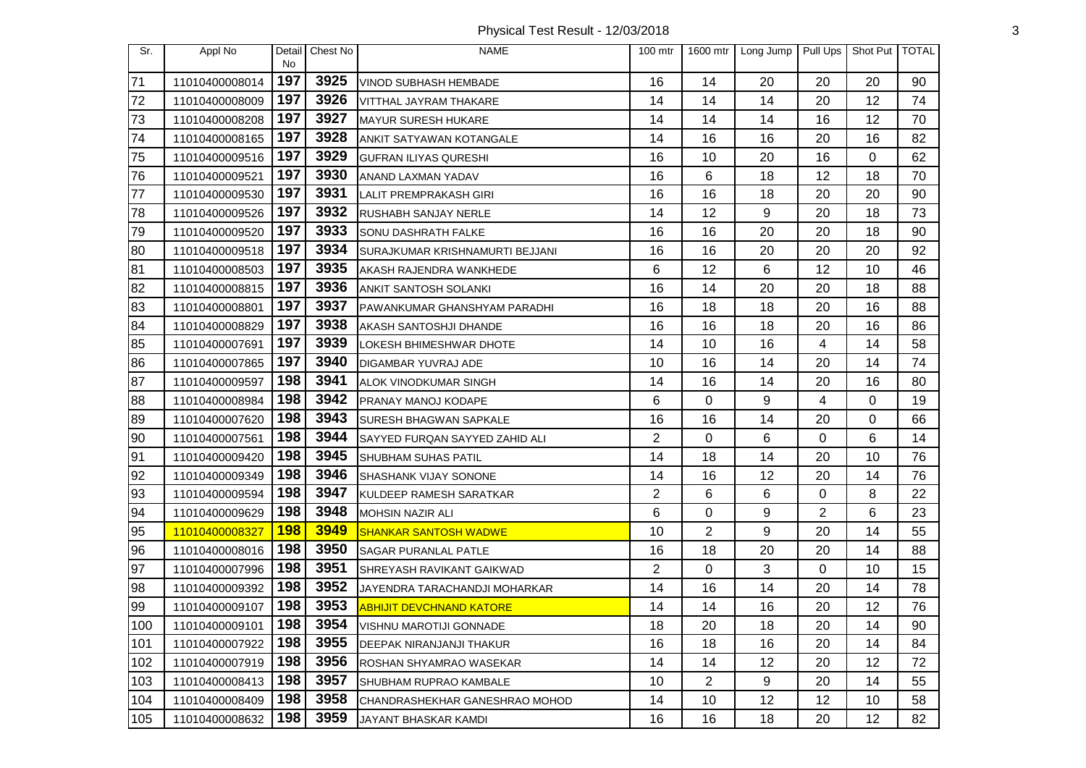Physical Test Result - 12/03/2018 3

| Sr. | Appl No        | Detail<br><b>No</b> | Chest No | <b>NAME</b>                     | $100$ mtr      | 1600 mtr       | Long Jump | Pull Ups | Shot Put | <b>TOTAL</b> |
|-----|----------------|---------------------|----------|---------------------------------|----------------|----------------|-----------|----------|----------|--------------|
| 71  | 11010400008014 | 197                 | 3925     | VINOD SUBHASH HEMBADE           | 16             | 14             | 20        | 20       | 20       | 90           |
| 72  | 11010400008009 | 197                 | 3926     | VITTHAL JAYRAM THAKARE          | 14             | 14             | 14        | 20       | 12       | 74           |
| 73  | 11010400008208 | 197                 | 3927     | MAYUR SURESH HUKARE             | 14             | 14             | 14        | 16       | 12       | 70           |
| 74  | 11010400008165 | 197                 | 3928     | ANKIT SATYAWAN KOTANGALE        | 14             | 16             | 16        | 20       | 16       | 82           |
| 75  | 11010400009516 | 197                 | 3929     | <b>GUFRAN ILIYAS QURESHI</b>    | 16             | 10             | 20        | 16       | 0        | 62           |
| 76  | 11010400009521 | 197                 | 3930     | ANAND LAXMAN YADAV              | 16             | 6              | 18        | 12       | 18       | 70           |
| 77  | 11010400009530 | 197                 | 3931     | LALIT PREMPRAKASH GIRI          | 16             | 16             | 18        | 20       | 20       | 90           |
| 78  | 11010400009526 | 197                 | 3932     | RUSHABH SANJAY NERLE            | 14             | 12             | 9         | 20       | 18       | 73           |
| 79  | 11010400009520 | 197                 | 3933     | <b>SONU DASHRATH FALKE</b>      | 16             | 16             | 20        | 20       | 18       | 90           |
| 80  | 11010400009518 | 197                 | 3934     | SURAJKUMAR KRISHNAMURTI BEJJANI | 16             | 16             | 20        | 20       | 20       | 92           |
| 81  | 11010400008503 | 197                 | 3935     | AKASH RAJENDRA WANKHEDE         | 6              | 12             | 6         | 12       | 10       | 46           |
| 82  | 11010400008815 | 197                 | 3936     | <b>ANKIT SANTOSH SOLANKI</b>    | 16             | 14             | 20        | 20       | 18       | 88           |
| 83  | 11010400008801 | 197                 | 3937     | PAWANKUMAR GHANSHYAM PARADHI    | 16             | 18             | 18        | 20       | 16       | 88           |
| 84  | 11010400008829 | 197                 | 3938     | AKASH SANTOSHJI DHANDE          | 16             | 16             | 18        | 20       | 16       | 86           |
| 85  | 11010400007691 | 197                 | 3939     | LOKESH BHIMESHWAR DHOTE         | 14             | 10             | 16        | 4        | 14       | 58           |
| 86  | 11010400007865 | 197                 | 3940     | <b>DIGAMBAR YUVRAJ ADE</b>      | 10             | 16             | 14        | 20       | 14       | 74           |
| 87  | 11010400009597 | 198                 | 3941     | <b>ALOK VINODKUMAR SINGH</b>    | 14             | 16             | 14        | 20       | 16       | 80           |
| 88  | 11010400008984 | 198                 | 3942     | PRANAY MANOJ KODAPE             | 6              | 0              | 9         | 4        | 0        | 19           |
| 89  | 11010400007620 | 198                 | 3943     | <b>SURESH BHAGWAN SAPKALE</b>   | 16             | 16             | 14        | 20       | 0        | 66           |
| 90  | 11010400007561 | 198                 | 3944     | SAYYED FURQAN SAYYED ZAHID ALI  | $\overline{2}$ | 0              | 6         | 0        | 6        | 14           |
| 91  | 11010400009420 | 198                 | 3945     | SHUBHAM SUHAS PATIL             | 14             | 18             | 14        | 20       | 10       | 76           |
| 92  | 11010400009349 | 198                 | 3946     | SHASHANK VIJAY SONONE           | 14             | 16             | 12        | 20       | 14       | 76           |
| 93  | 11010400009594 | 198                 | 3947     | KULDEEP RAMESH SARATKAR         | $\overline{2}$ | 6              | 6         | 0        | 8        | 22           |
| 94  | 11010400009629 | 198                 | 3948     | <b>MOHSIN NAZIR ALI</b>         | 6              | 0              | 9         | 2        | 6        | 23           |
| 95  | 11010400008327 | <b>198</b>          | 3949     | <b>SHANKAR SANTOSH WADWE</b>    | 10             | $\overline{2}$ | 9         | 20       | 14       | 55           |
| 96  | 11010400008016 | 198                 | 3950     | <b>SAGAR PURANLAL PATLE</b>     | 16             | 18             | 20        | 20       | 14       | 88           |
| 97  | 11010400007996 | 198                 | 3951     | SHREYASH RAVIKANT GAIKWAD       | 2              | 0              | 3         | 0        | 10       | 15           |
| 98  | 11010400009392 | 198                 | 3952     | JAYENDRA TARACHANDJI MOHARKAR   | 14             | 16             | 14        | 20       | 14       | 78           |
| 99  | 11010400009107 | 198                 | 3953     | <b>ABHIJIT DEVCHNAND KATORE</b> | 14             | 14             | 16        | 20       | 12       | 76           |
| 100 | 11010400009101 | 198                 | 3954     | VISHNU MAROTIJI GONNADE         | 18             | 20             | 18        | 20       | 14       | 90           |
| 101 | 11010400007922 | 198                 | 3955     | DEEPAK NIRANJANJI THAKUR        | 16             | 18             | 16        | 20       | 14       | 84           |
| 102 | 11010400007919 | 198                 | 3956     | ROSHAN SHYAMRAO WASEKAR         | 14             | 14             | 12        | 20       | 12       | 72           |
| 103 | 11010400008413 | 198                 | 3957     | <b>SHUBHAM RUPRAO KAMBALE</b>   | 10             | 2              | 9         | 20       | 14       | 55           |
| 104 | 11010400008409 | 198                 | 3958     | CHANDRASHEKHAR GANESHRAO MOHOD  | 14             | 10             | 12        | 12       | 10       | 58           |
| 105 | 11010400008632 | 198                 | 3959     | JAYANT BHASKAR KAMDI            | 16             | 16             | 18        | 20       | 12       | 82           |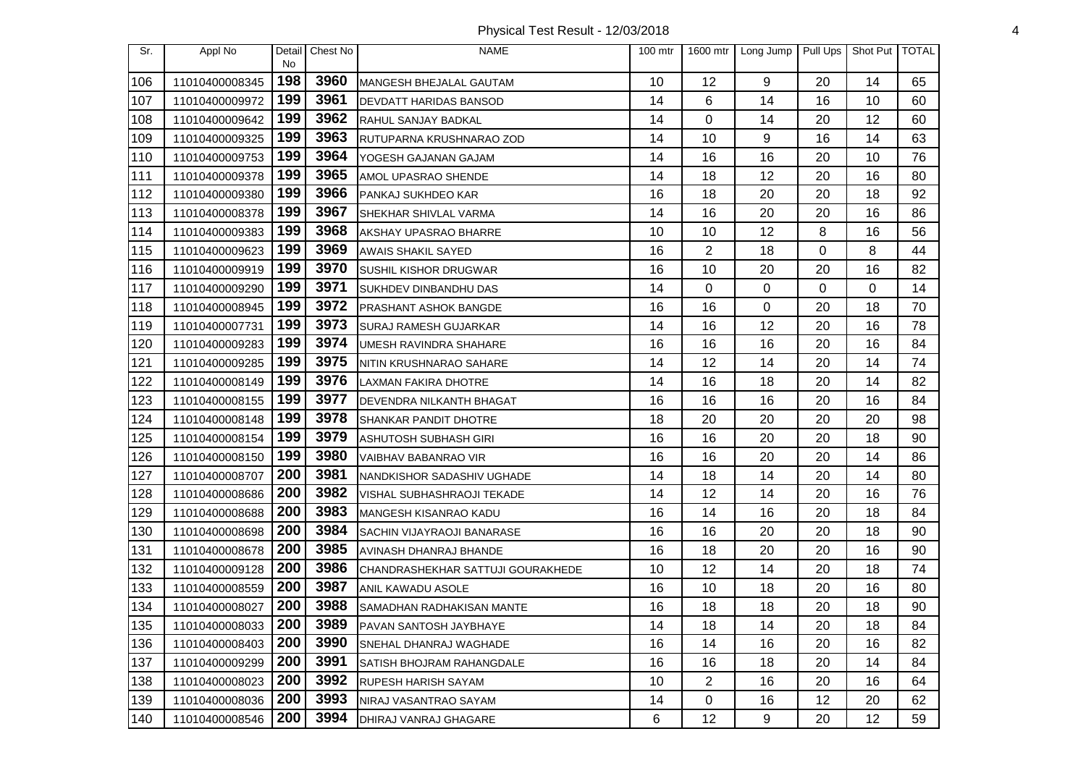Physical Test Result - 12/03/2018 4

| Sr. | Appl No        | Detail<br><b>No</b> | Chest No | <b>NAME</b>                       | $100$ mtr |                | 1600 mtr Long Jump | Pull Ups | Shot Put   TOTAL |    |
|-----|----------------|---------------------|----------|-----------------------------------|-----------|----------------|--------------------|----------|------------------|----|
| 106 | 11010400008345 | 198                 | 3960     | MANGESH BHEJALAL GAUTAM           | 10        | 12             | 9                  | 20       | 14               | 65 |
| 107 | 11010400009972 | 199                 | 3961     | DEVDATT HARIDAS BANSOD            | 14        | 6              | 14                 | 16       | 10               | 60 |
| 108 | 11010400009642 | 199                 | 3962     | RAHUL SANJAY BADKAL               | 14        | $\Omega$       | 14                 | 20       | 12               | 60 |
| 109 | 11010400009325 | 199                 | 3963     | RUTUPARNA KRUSHNARAO ZOD          | 14        | 10             | 9                  | 16       | 14               | 63 |
| 110 | 11010400009753 | 199                 | 3964     | YOGESH GAJANAN GAJAM              | 14        | 16             | 16                 | 20       | 10               | 76 |
| 111 | 11010400009378 | 199                 | 3965     | AMOL UPASRAO SHENDE               | 14        | 18             | 12                 | 20       | 16               | 80 |
| 112 | 11010400009380 | 199                 | 3966     | PANKAJ SUKHDEO KAR                | 16        | 18             | 20                 | 20       | 18               | 92 |
| 113 | 11010400008378 | 199                 | 3967     | SHEKHAR SHIVLAL VARMA             | 14        | 16             | 20                 | 20       | 16               | 86 |
| 114 | 11010400009383 | 199                 | 3968     | AKSHAY UPASRAO BHARRE             | 10        | 10             | 12                 | 8        | 16               | 56 |
| 115 | 11010400009623 | 199                 | 3969     | <b>AWAIS SHAKIL SAYED</b>         | 16        | $\overline{2}$ | 18                 | 0        | 8                | 44 |
| 116 | 11010400009919 | 199                 | 3970     | SUSHIL KISHOR DRUGWAR             | 16        | 10             | 20                 | 20       | 16               | 82 |
| 117 | 11010400009290 | 199                 | 3971     | <b>SUKHDEV DINBANDHU DAS</b>      | 14        | $\Omega$       | 0                  | 0        | $\Omega$         | 14 |
| 118 | 11010400008945 | 199                 | 3972     | PRASHANT ASHOK BANGDE             | 16        | 16             | 0                  | 20       | 18               | 70 |
| 119 | 11010400007731 | 199                 | 3973     | <b>SURAJ RAMESH GUJARKAR</b>      | 14        | 16             | 12                 | 20       | 16               | 78 |
| 120 | 11010400009283 | 199                 | 3974     | UMESH RAVINDRA SHAHARE            | 16        | 16             | 16                 | 20       | 16               | 84 |
| 121 | 11010400009285 | 199                 | 3975     | NITIN KRUSHNARAO SAHARE           | 14        | 12             | 14                 | 20       | 14               | 74 |
| 122 | 11010400008149 | 199                 | 3976     | LAXMAN FAKIRA DHOTRE              | 14        | 16             | 18                 | 20       | 14               | 82 |
| 123 | 11010400008155 | 199                 | 3977     | DEVENDRA NILKANTH BHAGAT          | 16        | 16             | 16                 | 20       | 16               | 84 |
| 124 | 11010400008148 | 199                 | 3978     | <b>SHANKAR PANDIT DHOTRE</b>      | 18        | 20             | 20                 | 20       | 20               | 98 |
| 125 | 11010400008154 | 199                 | 3979     | ASHUTOSH SUBHASH GIRI             | 16        | 16             | 20                 | 20       | 18               | 90 |
| 126 | 11010400008150 | 199                 | 3980     | VAIBHAV BABANRAO VIR              | 16        | 16             | 20                 | 20       | 14               | 86 |
| 127 | 11010400008707 | 200                 | 3981     | NANDKISHOR SADASHIV UGHADE        | 14        | 18             | 14                 | 20       | 14               | 80 |
| 128 | 11010400008686 | 200                 | 3982     | VISHAL SUBHASHRAOJI TEKADE        | 14        | 12             | 14                 | 20       | 16               | 76 |
| 129 | 11010400008688 | 200                 | 3983     | MANGESH KISANRAO KADU             | 16        | 14             | 16                 | 20       | 18               | 84 |
| 130 | 11010400008698 | 200                 | 3984     | SACHIN VIJAYRAOJI BANARASE        | 16        | 16             | 20                 | 20       | 18               | 90 |
| 131 | 11010400008678 | 200                 | 3985     | AVINASH DHANRAJ BHANDE            | 16        | 18             | 20                 | 20       | 16               | 90 |
| 132 | 11010400009128 | 200                 | 3986     | CHANDRASHEKHAR SATTUJI GOURAKHEDE | 10        | 12             | 14                 | 20       | 18               | 74 |
| 133 | 11010400008559 | 200                 | 3987     | ANIL KAWADU ASOLE                 | 16        | 10             | 18                 | 20       | 16               | 80 |
| 134 | 11010400008027 | 200                 | 3988     | SAMADHAN RADHAKISAN MANTE         | 16        | 18             | 18                 | 20       | 18               | 90 |
| 135 | 11010400008033 | 200                 | 3989     | PAVAN SANTOSH JAYBHAYE            | 14        | 18             | 14                 | 20       | 18               | 84 |
| 136 | 11010400008403 | 200                 | 3990     | SNEHAL DHANRAJ WAGHADE            | 16        | 14             | 16                 | 20       | 16               | 82 |
| 137 | 11010400009299 | 200                 | 3991     | SATISH BHOJRAM RAHANGDALE         | 16        | 16             | 18                 | 20       | 14               | 84 |
| 138 | 11010400008023 | 200                 | 3992     | RUPESH HARISH SAYAM               | 10        | $\overline{c}$ | 16                 | 20       | 16               | 64 |
| 139 | 11010400008036 | 200                 | 3993     | NIRAJ VASANTRAO SAYAM             | 14        | 0              | 16                 | 12       | 20               | 62 |
| 140 | 11010400008546 | 200                 | 3994     | DHIRAJ VANRAJ GHAGARE             | 6         | 12             | 9                  | 20       | 12               | 59 |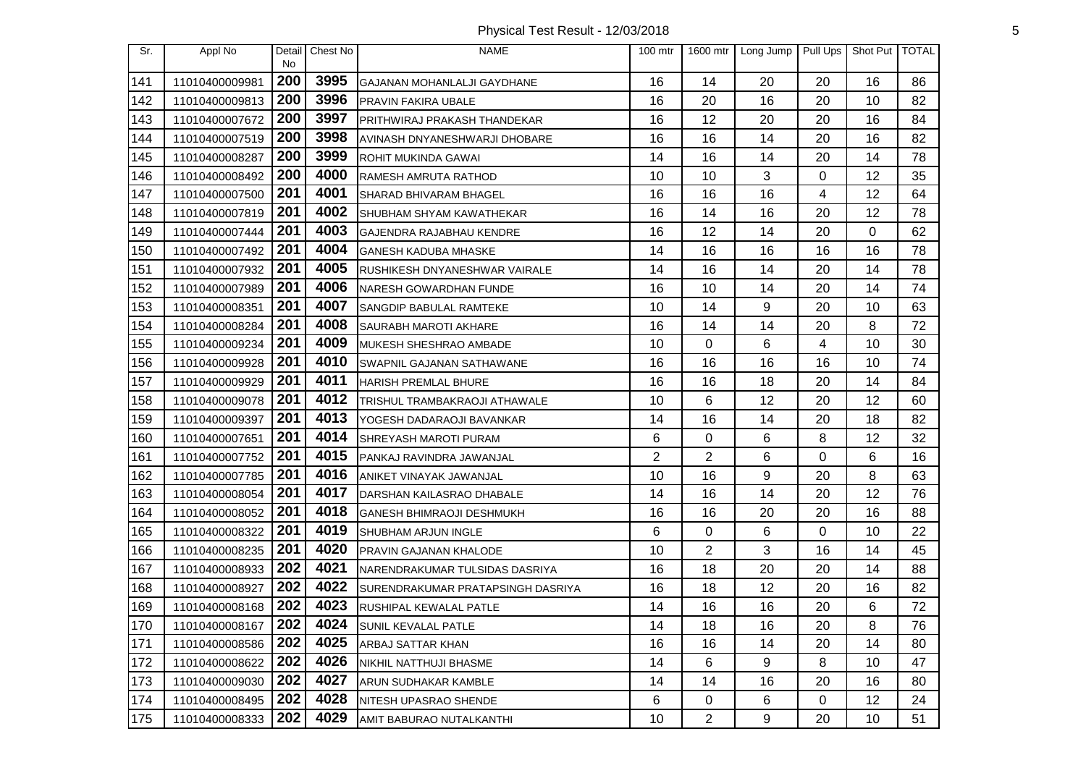| Sr. | Appl No        | Detail<br><b>No</b> | Chest No | <b>NAME</b>                       | 100 mtr        | 1600 mtr       | Long Jump | Pull Ups | Shot Put   TOTAL |    |
|-----|----------------|---------------------|----------|-----------------------------------|----------------|----------------|-----------|----------|------------------|----|
| 141 | 11010400009981 | 200                 | 3995     | GAJANAN MOHANLALJI GAYDHANE       | 16             | 14             | 20        | 20       | 16               | 86 |
| 142 | 11010400009813 | 200                 | 3996     | PRAVIN FAKIRA UBALE               | 16             | 20             | 16        | 20       | 10               | 82 |
| 143 | 11010400007672 | 200                 | 3997     | PRITHWIRAJ PRAKASH THANDEKAR      | 16             | 12             | 20        | 20       | 16               | 84 |
| 144 | 11010400007519 | 200                 | 3998     | AVINASH DNYANESHWARJI DHOBARE     | 16             | 16             | 14        | 20       | 16               | 82 |
| 145 | 11010400008287 | 200                 | 3999     | ROHIT MUKINDA GAWAI               | 14             | 16             | 14        | 20       | 14               | 78 |
| 146 | 11010400008492 | 200                 | 4000     | RAMESH AMRUTA RATHOD              | 10             | 10             | 3         | 0        | 12               | 35 |
| 147 | 11010400007500 | 201                 | 4001     | SHARAD BHIVARAM BHAGEL            | 16             | 16             | 16        | 4        | 12               | 64 |
| 148 | 11010400007819 | 201                 | 4002     | SHUBHAM SHYAM KAWATHEKAR          | 16             | 14             | 16        | 20       | 12               | 78 |
| 149 | 11010400007444 | 201                 | 4003     | GAJENDRA RAJABHAU KENDRE          | 16             | 12             | 14        | 20       | 0                | 62 |
| 150 | 11010400007492 | 201                 | 4004     | <b>GANESH KADUBA MHASKE</b>       | 14             | 16             | 16        | 16       | 16               | 78 |
| 151 | 11010400007932 | 201                 | 4005     | RUSHIKESH DNYANESHWAR VAIRALE     | 14             | 16             | 14        | 20       | 14               | 78 |
| 152 | 11010400007989 | 201                 | 4006     | NARESH GOWARDHAN FUNDE            | 16             | 10             | 14        | 20       | 14               | 74 |
| 153 | 11010400008351 | 201                 | 4007     | SANGDIP BABULAL RAMTEKE           | 10             | 14             | 9         | 20       | 10               | 63 |
| 154 | 11010400008284 | 201                 | 4008     | <b>SAURABH MAROTI AKHARE</b>      | 16             | 14             | 14        | 20       | 8                | 72 |
| 155 | 11010400009234 | 201                 | 4009     | MUKESH SHESHRAO AMBADE            | 10             | 0              | 6         | 4        | 10               | 30 |
| 156 | 11010400009928 | 201                 | 4010     | SWAPNIL GAJANAN SATHAWANE         | 16             | 16             | 16        | 16       | 10               | 74 |
| 157 | 11010400009929 | 201                 | 4011     | <b>HARISH PREMLAL BHURE</b>       | 16             | 16             | 18        | 20       | 14               | 84 |
| 158 | 11010400009078 | 201                 | 4012     | TRISHUL TRAMBAKRAOJI ATHAWALE     | 10             | 6              | 12        | 20       | 12               | 60 |
| 159 | 11010400009397 | 201                 | 4013     | YOGESH DADARAOJI BAVANKAR         | 14             | 16             | 14        | 20       | 18               | 82 |
| 160 | 11010400007651 | 201                 | 4014     | SHREYASH MAROTI PURAM             | 6              | 0              | 6         | 8        | 12               | 32 |
| 161 | 11010400007752 | 201                 | 4015     | PANKAJ RAVINDRA JAWANJAL          | $\overline{2}$ | $\overline{2}$ | 6         | 0        | 6                | 16 |
| 162 | 11010400007785 | 201                 | 4016     | ANIKET VINAYAK JAWANJAL           | 10             | 16             | 9         | 20       | 8                | 63 |
| 163 | 11010400008054 | 201                 | 4017     | DARSHAN KAILASRAO DHABALE         | 14             | 16             | 14        | 20       | 12               | 76 |
| 164 | 11010400008052 | 201                 | 4018     | <b>GANESH BHIMRAOJI DESHMUKH</b>  | 16             | 16             | 20        | 20       | 16               | 88 |
| 165 | 11010400008322 | 201                 | 4019     | SHUBHAM ARJUN INGLE               | 6              | 0              | 6         | $\Omega$ | 10               | 22 |
| 166 | 11010400008235 | 201                 | 4020     | PRAVIN GAJANAN KHALODE            | 10             | $\overline{2}$ | 3         | 16       | 14               | 45 |
| 167 | 11010400008933 | 202                 | 4021     | NARENDRAKUMAR TULSIDAS DASRIYA    | 16             | 18             | 20        | 20       | 14               | 88 |
| 168 | 11010400008927 | 202                 | 4022     | SURENDRAKUMAR PRATAPSINGH DASRIYA | 16             | 18             | 12        | 20       | 16               | 82 |
| 169 | 11010400008168 | 202                 | 4023     | RUSHIPAL KEWALAL PATLE            | 14             | 16             | 16        | 20       | 6                | 72 |
| 170 | 11010400008167 | 202                 | 4024     | SUNIL KEVALAL PATLE               | 14             | 18             | 16        | 20       | 8                | 76 |
| 171 | 11010400008586 | 202                 | 4025     | <b>ARBAJ SATTAR KHAN</b>          | 16             | 16             | 14        | 20       | 14               | 80 |
| 172 | 11010400008622 | 202                 | 4026     | NIKHIL NATTHUJI BHASME            | 14             | 6              | 9         | 8        | 10               | 47 |
| 173 | 11010400009030 | 202                 | 4027     | ARUN SUDHAKAR KAMBLE              | 14             | 14             | 16        | 20       | 16               | 80 |
| 174 | 11010400008495 | 202                 | 4028     | NITESH UPASRAO SHENDE             | 6              | 0              | 6         | 0        | 12               | 24 |
| 175 | 11010400008333 | 202                 | 4029     | AMIT BABURAO NUTALKANTHI          | 10             | $\overline{c}$ | 9         | 20       | 10               | 51 |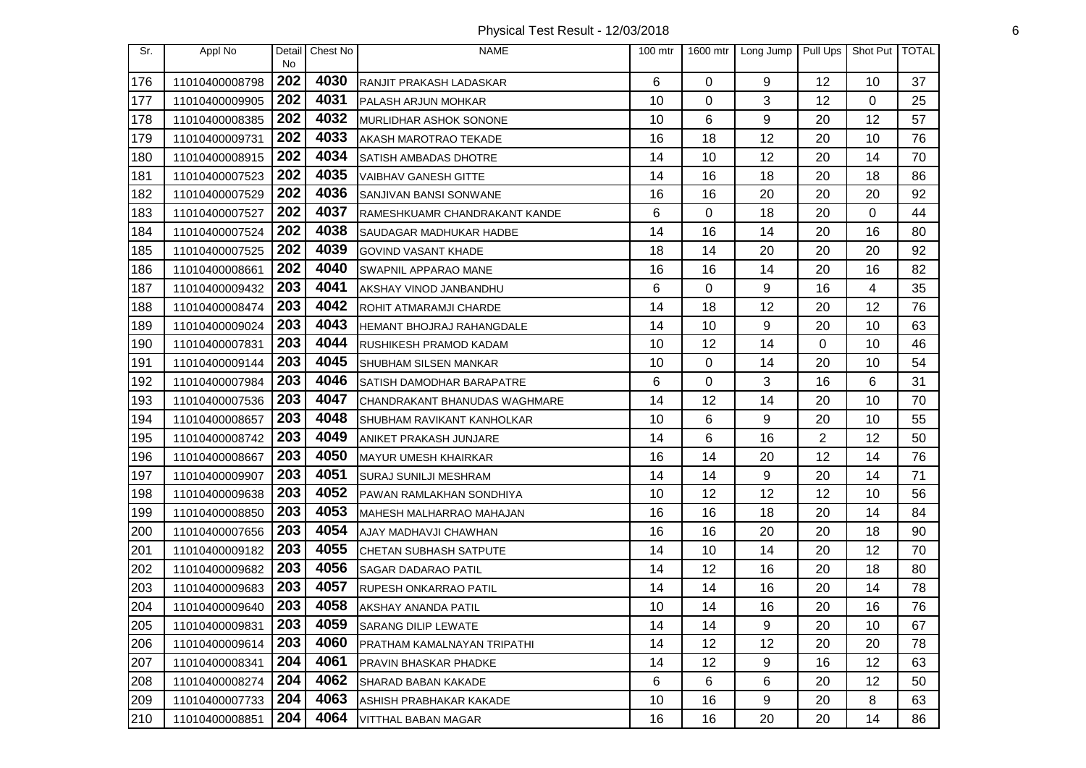Physical Test Result - 12/03/2018 6

| Sr. | Appl No        | Detail<br><b>No</b> | Chest No | <b>NAME</b>                      | $100$ mtr |                 | 1600 mtr Long Jump | Pull Ups | Shot Put   TOTAL |    |
|-----|----------------|---------------------|----------|----------------------------------|-----------|-----------------|--------------------|----------|------------------|----|
| 176 | 11010400008798 | 202                 | 4030     | RANJIT PRAKASH LADASKAR          | 6         | 0               | 9                  | 12       | 10               | 37 |
| 177 | 11010400009905 | 202                 | 4031     | PALASH ARJUN MOHKAR              | 10        | 0               | 3                  | 12       | 0                | 25 |
| 178 | 11010400008385 | 202                 | 4032     | MURLIDHAR ASHOK SONONE           | 10        | 6               | 9                  | 20       | 12               | 57 |
| 179 | 11010400009731 | 202                 | 4033     | AKASH MAROTRAO TEKADE            | 16        | 18              | 12                 | 20       | 10               | 76 |
| 180 | 11010400008915 | 202                 | 4034     | <b>SATISH AMBADAS DHOTRE</b>     | 14        | 10              | 12                 | 20       | 14               | 70 |
| 181 | 11010400007523 | 202                 | 4035     | VAIBHAV GANESH GITTE             | 14        | 16              | 18                 | 20       | 18               | 86 |
| 182 | 11010400007529 | 202                 | 4036     | SANJIVAN BANSI SONWANE           | 16        | 16              | 20                 | 20       | 20               | 92 |
| 183 | 11010400007527 | 202                 | 4037     | RAMESHKUAMR CHANDRAKANT KANDE    | 6         | 0               | 18                 | 20       | 0                | 44 |
| 184 | 11010400007524 | 202                 | 4038     | SAUDAGAR MADHUKAR HADBE          | 14        | 16              | 14                 | 20       | 16               | 80 |
| 185 | 11010400007525 | 202                 | 4039     | <b>GOVIND VASANT KHADE</b>       | 18        | 14              | 20                 | 20       | 20               | 92 |
| 186 | 11010400008661 | 202                 | 4040     | SWAPNIL APPARAO MANE             | 16        | 16              | 14                 | 20       | 16               | 82 |
| 187 | 11010400009432 | 203                 | 4041     | AKSHAY VINOD JANBANDHU           | 6         | $\Omega$        | 9                  | 16       | 4                | 35 |
| 188 | 11010400008474 | 203                 | 4042     | ROHIT ATMARAMJI CHARDE           | 14        | 18              | 12                 | 20       | 12               | 76 |
| 189 | 11010400009024 | 203                 | 4043     | HEMANT BHOJRAJ RAHANGDALE        | 14        | 10              | 9                  | 20       | 10               | 63 |
| 190 | 11010400007831 | 203                 | 4044     | RUSHIKESH PRAMOD KADAM           | 10        | 12              | 14                 | 0        | 10               | 46 |
| 191 | 11010400009144 | 203                 | 4045     | SHUBHAM SILSEN MANKAR            | 10        | 0               | 14                 | 20       | 10               | 54 |
| 192 | 11010400007984 | 203                 | 4046     | <b>SATISH DAMODHAR BARAPATRE</b> | 6         | 0               | 3                  | 16       | 6                | 31 |
| 193 | 11010400007536 | 203                 | 4047     | CHANDRAKANT BHANUDAS WAGHMARE    | 14        | 12              | 14                 | 20       | 10               | 70 |
| 194 | 11010400008657 | 203                 | 4048     | SHUBHAM RAVIKANT KANHOLKAR       | 10        | 6               | 9                  | 20       | 10               | 55 |
| 195 | 11010400008742 | 203                 | 4049     | ANIKET PRAKASH JUNJARE           | 14        | 6               | 16                 | 2        | 12               | 50 |
| 196 | 11010400008667 | 203                 | 4050     | MAYUR UMESH KHAIRKAR             | 16        | 14              | 20                 | 12       | 14               | 76 |
| 197 | 11010400009907 | 203                 | 4051     | SURAJ SUNILJI MESHRAM            | 14        | 14              | 9                  | 20       | 14               | 71 |
| 198 | 11010400009638 | 203                 | 4052     | PAWAN RAMLAKHAN SONDHIYA         | 10        | 12              | 12                 | 12       | 10               | 56 |
| 199 | 11010400008850 | 203                 | 4053     | MAHESH MALHARRAO MAHAJAN         | 16        | 16              | 18                 | 20       | 14               | 84 |
| 200 | 11010400007656 | 203                 | 4054     | AJAY MADHAVJI CHAWHAN            | 16        | 16              | 20                 | 20       | 18               | 90 |
| 201 | 11010400009182 | 203                 | 4055     | CHETAN SUBHASH SATPUTE           | 14        | 10              | 14                 | 20       | 12               | 70 |
| 202 | 11010400009682 | 203                 | 4056     | <b>SAGAR DADARAO PATIL</b>       | 14        | 12              | 16                 | 20       | 18               | 80 |
| 203 | 11010400009683 | 203                 | 4057     | RUPESH ONKARRAO PATIL            | 14        | 14              | 16                 | 20       | 14               | 78 |
| 204 | 11010400009640 | 203                 | 4058     | <b>AKSHAY ANANDA PATIL</b>       | 10        | 14              | 16                 | 20       | 16               | 76 |
| 205 | 11010400009831 | 203                 | 4059     | <b>SARANG DILIP LEWATE</b>       | 14        | 14              | 9                  | 20       | 10               | 67 |
| 206 | 11010400009614 | 203                 | 4060     | PRATHAM KAMALNAYAN TRIPATHI      | 14        | 12 <sub>2</sub> | 12                 | 20       | 20               | 78 |
| 207 | 11010400008341 | 204                 | 4061     | PRAVIN BHASKAR PHADKE            | 14        | 12              | 9                  | 16       | 12               | 63 |
| 208 | 11010400008274 | 204                 | 4062     | SHARAD BABAN KAKADE              | 6         | 6               | 6                  | 20       | 12               | 50 |
| 209 | 11010400007733 | 204                 | 4063     | ASHISH PRABHAKAR KAKADE          | 10        | 16              | 9                  | 20       | 8                | 63 |
| 210 | 11010400008851 | 204                 | 4064     | <b>VITTHAL BABAN MAGAR</b>       | 16        | 16              | 20                 | 20       | 14               | 86 |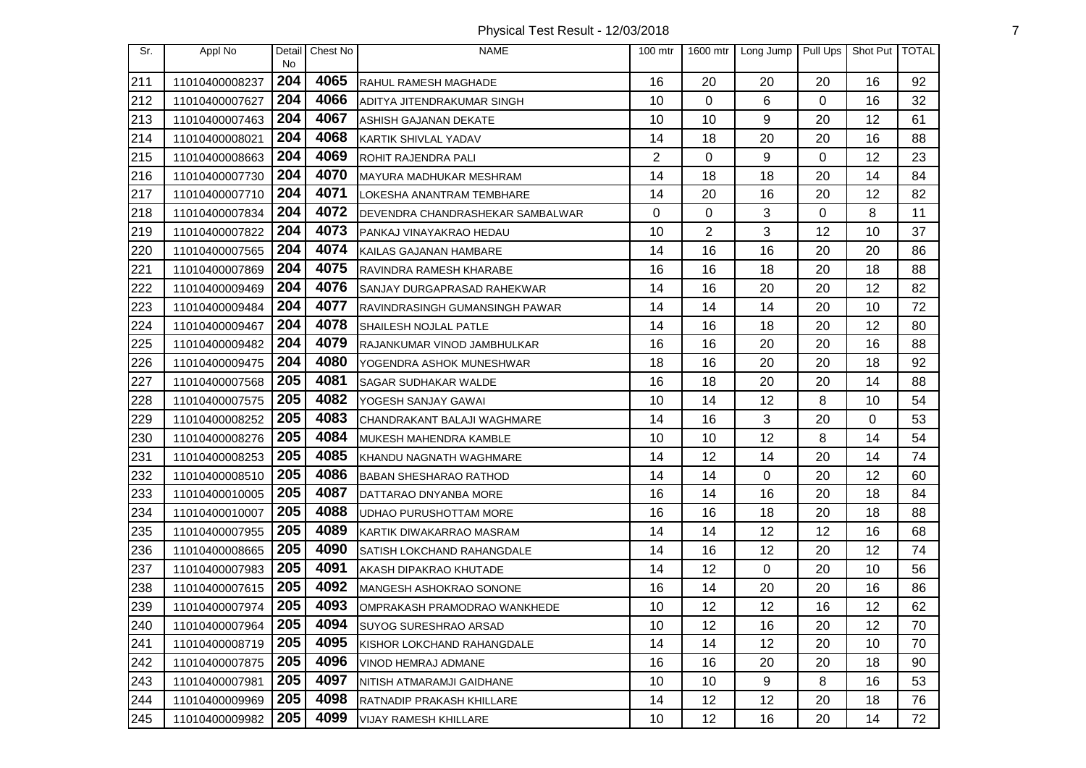Physical Test Result - 12/03/2018 7

| Sr. | Appl No        | Detail<br><b>No</b> | Chest No | <b>NAME</b>                       | $100$ mtr      | 1600 mtr | Long Jump | Pull Ups | Shot Put   TOTAL |    |
|-----|----------------|---------------------|----------|-----------------------------------|----------------|----------|-----------|----------|------------------|----|
| 211 | 11010400008237 | 204                 | 4065     | RAHUL RAMESH MAGHADE              | 16             | 20       | 20        | 20       | 16               | 92 |
| 212 | 11010400007627 | 204                 | 4066     | ADITYA JITENDRAKUMAR SINGH        | 10             | 0        | 6         | 0        | 16               | 32 |
| 213 | 11010400007463 | 204                 | 4067     | ASHISH GAJANAN DEKATE             | 10             | 10       | 9         | 20       | 12               | 61 |
| 214 | 11010400008021 | 204                 | 4068     | <b>KARTIK SHIVLAL YADAV</b>       | 14             | 18       | 20        | 20       | 16               | 88 |
| 215 | 11010400008663 | 204                 | 4069     | ROHIT RAJENDRA PALI               | $\overline{2}$ | 0        | 9         | 0        | 12               | 23 |
| 216 | 11010400007730 | 204                 | 4070     | MAYURA MADHUKAR MESHRAM           | 14             | 18       | 18        | 20       | 14               | 84 |
| 217 | 11010400007710 | 204                 | 4071     | LOKESHA ANANTRAM TEMBHARE         | 14             | 20       | 16        | 20       | 12               | 82 |
| 218 | 11010400007834 | 204                 | 4072     | DEVENDRA CHANDRASHEKAR SAMBALWAR  | 0              | 0        | 3         | 0        | 8                | 11 |
| 219 | 11010400007822 | 204                 | 4073     | PANKAJ VINAYAKRAO HEDAU           | 10             | 2        | 3         | 12       | 10               | 37 |
| 220 | 11010400007565 | 204                 | 4074     | KAILAS GAJANAN HAMBARE            | 14             | 16       | 16        | 20       | 20               | 86 |
| 221 | 11010400007869 | 204                 | 4075     | RAVINDRA RAMESH KHARABE           | 16             | 16       | 18        | 20       | 18               | 88 |
| 222 | 11010400009469 | 204                 | 4076     | SANJAY DURGAPRASAD RAHEKWAR       | 14             | 16       | 20        | 20       | 12               | 82 |
| 223 | 11010400009484 | 204                 | 4077     | RAVINDRASINGH GUMANSINGH PAWAR    | 14             | 14       | 14        | 20       | 10               | 72 |
| 224 | 11010400009467 | 204                 | 4078     | SHAILESH NOJLAL PATLE             | 14             | 16       | 18        | 20       | 12               | 80 |
| 225 | 11010400009482 | 204                 | 4079     | RAJANKUMAR VINOD JAMBHULKAR       | 16             | 16       | 20        | 20       | 16               | 88 |
| 226 | 11010400009475 | 204                 | 4080     | YOGENDRA ASHOK MUNESHWAR          | 18             | 16       | 20        | 20       | 18               | 92 |
| 227 | 11010400007568 | 205                 | 4081     | <b>SAGAR SUDHAKAR WALDE</b>       | 16             | 18       | 20        | 20       | 14               | 88 |
| 228 | 11010400007575 | 205                 | 4082     | YOGESH SANJAY GAWAI               | 10             | 14       | 12        | 8        | 10               | 54 |
| 229 | 11010400008252 | 205                 | 4083     | CHANDRAKANT BALAJI WAGHMARE       | 14             | 16       | 3         | 20       | $\Omega$         | 53 |
| 230 | 11010400008276 | 205                 | 4084     | MUKESH MAHENDRA KAMBLE            | 10             | 10       | 12        | 8        | 14               | 54 |
| 231 | 11010400008253 | 205                 | 4085     | KHANDU NAGNATH WAGHMARE           | 14             | 12       | 14        | 20       | 14               | 74 |
| 232 | 11010400008510 | 205                 | 4086     | <b>BABAN SHESHARAO RATHOD</b>     | 14             | 14       | 0         | 20       | 12               | 60 |
| 233 | 11010400010005 | 205                 | 4087     | DATTARAO DNYANBA MORE             | 16             | 14       | 16        | 20       | 18               | 84 |
| 234 | 11010400010007 | 205                 | 4088     | UDHAO PURUSHOTTAM MORE            | 16             | 16       | 18        | 20       | 18               | 88 |
| 235 | 11010400007955 | 205                 | 4089     | KARTIK DIWAKARRAO MASRAM          | 14             | 14       | 12        | 12       | 16               | 68 |
| 236 | 11010400008665 | 205                 | 4090     | <b>SATISH LOKCHAND RAHANGDALE</b> | 14             | 16       | 12        | 20       | 12               | 74 |
| 237 | 11010400007983 | 205                 | 4091     | AKASH DIPAKRAO KHUTADE            | 14             | 12       | 0         | 20       | 10               | 56 |
| 238 | 11010400007615 | 205                 | 4092     | MANGESH ASHOKRAO SONONE           | 16             | 14       | 20        | 20       | 16               | 86 |
| 239 | 11010400007974 | 205                 | 4093     | OMPRAKASH PRAMODRAO WANKHEDE      | 10             | 12       | 12        | 16       | 12               | 62 |
| 240 | 11010400007964 | 205                 | 4094     | <b>SUYOG SURESHRAO ARSAD</b>      | 10             | 12       | 16        | 20       | 12               | 70 |
| 241 | 11010400008719 | 205                 | 4095     | KISHOR LOKCHAND RAHANGDALE        | 14             | 14       | 12        | 20       | 10               | 70 |
| 242 | 11010400007875 | 205                 | 4096     | VINOD HEMRAJ ADMANE               | 16             | 16       | 20        | 20       | 18               | 90 |
| 243 | 11010400007981 | 205                 | 4097     | NITISH ATMARAMJI GAIDHANE         | 10             | 10       | 9         | 8        | 16               | 53 |
| 244 | 11010400009969 | 205                 | 4098     | RATNADIP PRAKASH KHILLARE         | 14             | 12       | 12        | 20       | 18               | 76 |
| 245 | 11010400009982 | 205                 | 4099     | <b>VIJAY RAMESH KHILLARE</b>      | 10             | 12       | 16        | 20       | 14               | 72 |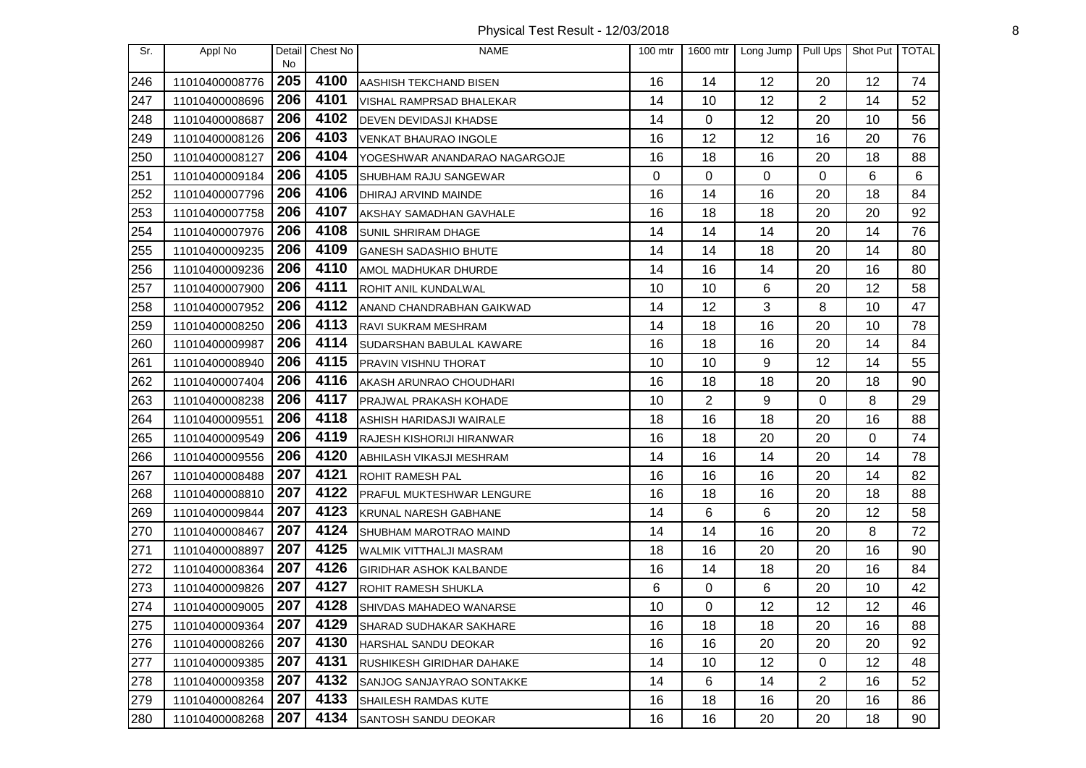Physical Test Result - 12/03/2018 8

| Sr. | Appl No        | Detail<br>No | Chest No | <b>NAME</b>                     | 100 mtr | 1600 mtr       | Long Jump | Pull Ups       | Shot Put   TOTAL |    |
|-----|----------------|--------------|----------|---------------------------------|---------|----------------|-----------|----------------|------------------|----|
| 246 | 11010400008776 | 205          | 4100     | AASHISH TEKCHAND BISEN          | 16      | 14             | 12        | 20             | 12               | 74 |
| 247 | 11010400008696 | 206          | 4101     | VISHAL RAMPRSAD BHALEKAR        | 14      | 10             | 12        | $\overline{2}$ | 14               | 52 |
| 248 | 11010400008687 | 206          | 4102     | <b>DEVEN DEVIDASJI KHADSE</b>   | 14      | $\Omega$       | 12        | 20             | 10               | 56 |
| 249 | 11010400008126 | 206          | 4103     | <b>VENKAT BHAURAO INGOLE</b>    | 16      | 12             | 12        | 16             | 20               | 76 |
| 250 | 11010400008127 | 206          | 4104     | YOGESHWAR ANANDARAO NAGARGOJE   | 16      | 18             | 16        | 20             | 18               | 88 |
| 251 | 11010400009184 | 206          | 4105     | SHUBHAM RAJU SANGEWAR           | 0       | $\Omega$       | 0         | $\Omega$       | 6                | 6  |
| 252 | 11010400007796 | 206          | 4106     | <b>DHIRAJ ARVIND MAINDE</b>     | 16      | 14             | 16        | 20             | 18               | 84 |
| 253 | 11010400007758 | 206          | 4107     | AKSHAY SAMADHAN GAVHALE         | 16      | 18             | 18        | 20             | 20               | 92 |
| 254 | 11010400007976 | 206          | 4108     | <b>SUNIL SHRIRAM DHAGE</b>      | 14      | 14             | 14        | 20             | 14               | 76 |
| 255 | 11010400009235 | 206          | 4109     | <b>GANESH SADASHIO BHUTE</b>    | 14      | 14             | 18        | 20             | 14               | 80 |
| 256 | 11010400009236 | 206          | 4110     | AMOL MADHUKAR DHURDE            | 14      | 16             | 14        | 20             | 16               | 80 |
| 257 | 11010400007900 | 206          | 4111     | ROHIT ANIL KUNDALWAL            | 10      | 10             | 6         | 20             | 12               | 58 |
| 258 | 11010400007952 | 206          | 4112     | ANAND CHANDRABHAN GAIKWAD       | 14      | 12             | 3         | 8              | 10               | 47 |
| 259 | 11010400008250 | 206          | 4113     | <b>RAVI SUKRAM MESHRAM</b>      | 14      | 18             | 16        | 20             | 10               | 78 |
| 260 | 11010400009987 | 206          | 4114     | SUDARSHAN BABULAL KAWARE        | 16      | 18             | 16        | 20             | 14               | 84 |
| 261 | 11010400008940 | 206          | 4115     | <b>PRAVIN VISHNU THORAT</b>     | 10      | 10             | 9         | 12             | 14               | 55 |
| 262 | 11010400007404 | 206          | 4116     | AKASH ARUNRAO CHOUDHARI         | 16      | 18             | 18        | 20             | 18               | 90 |
| 263 | 11010400008238 | 206          | 4117     | <b>PRAJWAL PRAKASH KOHADE</b>   | 10      | $\overline{2}$ | 9         | 0              | 8                | 29 |
| 264 | 11010400009551 | 206          | 4118     | <b>ASHISH HARIDASJI WAIRALE</b> | 18      | 16             | 18        | 20             | 16               | 88 |
| 265 | 11010400009549 | 206          | 4119     | RAJESH KISHORIJI HIRANWAR       | 16      | 18             | 20        | 20             | 0                | 74 |
| 266 | 11010400009556 | 206          | 4120     | <b>ABHILASH VIKASJI MESHRAM</b> | 14      | 16             | 14        | 20             | 14               | 78 |
| 267 | 11010400008488 | 207          | 4121     | <b>ROHIT RAMESH PAL</b>         | 16      | 16             | 16        | 20             | 14               | 82 |
| 268 | 11010400008810 | 207          | 4122     | PRAFUL MUKTESHWAR LENGURE       | 16      | 18             | 16        | 20             | 18               | 88 |
| 269 | 11010400009844 | 207          | 4123     | KRUNAL NARESH GABHANE           | 14      | 6              | 6         | 20             | 12               | 58 |
| 270 | 11010400008467 | 207          | 4124     | SHUBHAM MAROTRAO MAIND          | 14      | 14             | 16        | 20             | 8                | 72 |
| 271 | 11010400008897 | 207          | 4125     | WALMIK VITTHALJI MASRAM         | 18      | 16             | 20        | 20             | 16               | 90 |
| 272 | 11010400008364 | 207          | 4126     | GIRIDHAR ASHOK KALBANDE         | 16      | 14             | 18        | 20             | 16               | 84 |
| 273 | 11010400009826 | 207          | 4127     | <b>ROHIT RAMESH SHUKLA</b>      | 6       | 0              | 6         | 20             | 10               | 42 |
| 274 | 11010400009005 | 207          | 4128     | SHIVDAS MAHADEO WANARSE         | 10      | 0              | 12        | 12             | 12               | 46 |
| 275 | 11010400009364 | 207          | 4129     | ISHARAD SUDHAKAR SAKHARE        | 16      | 18             | 18        | 20             | 16               | 88 |
| 276 | 11010400008266 | 207          | 4130     | HARSHAL SANDU DEOKAR            | 16      | 16             | 20        | 20             | 20               | 92 |
| 277 | 11010400009385 | 207          | 4131     | RUSHIKESH GIRIDHAR DAHAKE       | 14      | 10             | 12        | 0              | 12               | 48 |
| 278 | 11010400009358 | 207          | 4132     | SANJOG SANJAYRAO SONTAKKE       | 14      | 6              | 14        | $\overline{2}$ | 16               | 52 |
| 279 | 11010400008264 | 207          | 4133     | <b>SHAILESH RAMDAS KUTE</b>     | 16      | 18             | 16        | 20             | 16               | 86 |
| 280 | 11010400008268 | 207          | 4134     | SANTOSH SANDU DEOKAR            | 16      | 16             | 20        | 20             | 18               | 90 |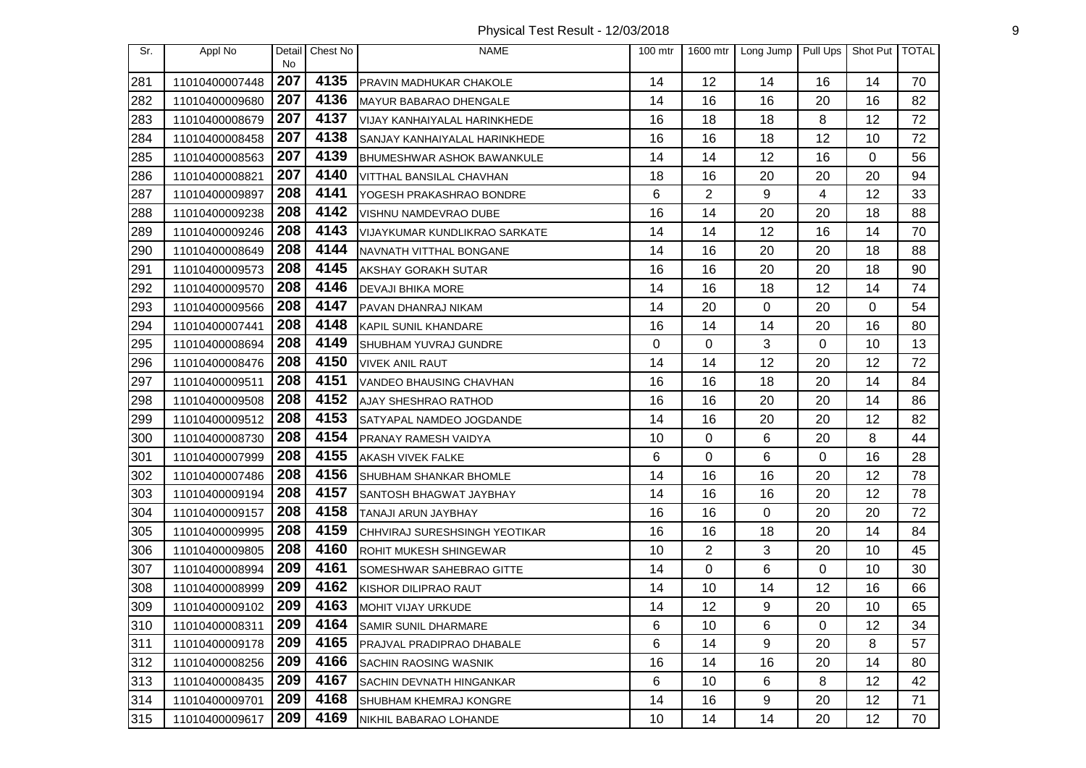Physical Test Result - 12/03/2018 9

| Sr. | Appl No        | Detail<br><b>No</b> | Chest No | <b>NAME</b>                       | $100$ mtr | 1600 mtr | Long Jump      | Pull Ups | Shot Put   TOTAL |    |
|-----|----------------|---------------------|----------|-----------------------------------|-----------|----------|----------------|----------|------------------|----|
| 281 | 11010400007448 | 207                 | 4135     | PRAVIN MADHUKAR CHAKOLE           | 14        | 12       | 14             | 16       | 14               | 70 |
| 282 | 11010400009680 | 207                 | 4136     | MAYUR BABARAO DHENGALE            | 14        | 16       | 16             | 20       | 16               | 82 |
| 283 | 11010400008679 | 207                 | 4137     | VIJAY KANHAIYALAL HARINKHEDE      | 16        | 18       | 18             | 8        | 12               | 72 |
| 284 | 11010400008458 | 207                 | 4138     | SANJAY KANHAIYALAL HARINKHEDE     | 16        | 16       | 18             | 12       | 10               | 72 |
| 285 | 11010400008563 | 207                 | 4139     | <b>BHUMESHWAR ASHOK BAWANKULE</b> | 14        | 14       | 12             | 16       | 0                | 56 |
| 286 | 11010400008821 | 207                 | 4140     | VITTHAL BANSILAL CHAVHAN          | 18        | 16       | 20             | 20       | 20               | 94 |
| 287 | 11010400009897 | 208                 | 4141     | YOGESH PRAKASHRAO BONDRE          | 6         | 2        | 9              | 4        | 12               | 33 |
| 288 | 11010400009238 | 208                 | 4142     | VISHNU NAMDEVRAO DUBE             | 16        | 14       | 20             | 20       | 18               | 88 |
| 289 | 11010400009246 | 208                 | 4143     | VIJAYKUMAR KUNDLIKRAO SARKATE     | 14        | 14       | 12             | 16       | 14               | 70 |
| 290 | 11010400008649 | 208                 | 4144     | NAVNATH VITTHAL BONGANE           | 14        | 16       | 20             | 20       | 18               | 88 |
| 291 | 11010400009573 | 208                 | 4145     | AKSHAY GORAKH SUTAR               | 16        | 16       | 20             | 20       | 18               | 90 |
| 292 | 11010400009570 | 208                 | 4146     | <b>DEVAJI BHIKA MORE</b>          | 14        | 16       | 18             | 12       | 14               | 74 |
| 293 | 11010400009566 | 208                 | 4147     | PAVAN DHANRAJ NIKAM               | 14        | 20       | 0              | 20       | 0                | 54 |
| 294 | 11010400007441 | 208                 | 4148     | KAPIL SUNIL KHANDARE              | 16        | 14       | 14             | 20       | 16               | 80 |
| 295 | 11010400008694 | 208                 | 4149     | SHUBHAM YUVRAJ GUNDRE             | 0         | 0        | 3              | 0        | 10               | 13 |
| 296 | 11010400008476 | 208                 | 4150     | <b>VIVEK ANIL RAUT</b>            | 14        | 14       | 12             | 20       | 12               | 72 |
| 297 | 11010400009511 | 208                 | 4151     | VANDEO BHAUSING CHAVHAN           | 16        | 16       | 18             | 20       | 14               | 84 |
| 298 | 11010400009508 | 208                 | 4152     | AJAY SHESHRAO RATHOD              | 16        | 16       | 20             | 20       | 14               | 86 |
| 299 | 11010400009512 | 208                 | 4153     | SATYAPAL NAMDEO JOGDANDE          | 14        | 16       | 20             | 20       | 12               | 82 |
| 300 | 11010400008730 | 208                 | 4154     | PRANAY RAMESH VAIDYA              | 10        | 0        | 6              | 20       | 8                | 44 |
| 301 | 11010400007999 | 208                 | 4155     | AKASH VIVEK FALKE                 | 6         | 0        | 6              | 0        | 16               | 28 |
| 302 | 11010400007486 | 208                 | 4156     | SHUBHAM SHANKAR BHOMLE            | 14        | 16       | 16             | 20       | 12               | 78 |
| 303 | 11010400009194 | 208                 | 4157     | SANTOSH BHAGWAT JAYBHAY           | 14        | 16       | 16             | 20       | 12               | 78 |
| 304 | 11010400009157 | 208                 | 4158     | TANAJI ARUN JAYBHAY               | 16        | 16       | $\overline{0}$ | 20       | 20               | 72 |
| 305 | 11010400009995 | 208                 | 4159     | CHHVIRAJ SURESHSINGH YEOTIKAR     | 16        | 16       | 18             | 20       | 14               | 84 |
| 306 | 11010400009805 | 208                 | 4160     | ROHIT MUKESH SHINGEWAR            | 10        | 2        | 3              | 20       | 10               | 45 |
| 307 | 11010400008994 | 209                 | 4161     | SOMESHWAR SAHEBRAO GITTE          | 14        | 0        | 6              | 0        | 10               | 30 |
| 308 | 11010400008999 | 209                 | 4162     | KISHOR DILIPRAO RAUT              | 14        | 10       | 14             | 12       | 16               | 66 |
| 309 | 11010400009102 | 209                 | 4163     | <b>MOHIT VIJAY URKUDE</b>         | 14        | 12       | 9              | 20       | 10               | 65 |
| 310 | 11010400008311 | 209                 | 4164     | SAMIR SUNIL DHARMARE              | 6         | 10       | 6              | 0        | 12               | 34 |
| 311 | 11010400009178 | 209                 | 4165     | PRAJVAL PRADIPRAO DHABALE         | 6         | 14       | 9              | 20       | 8                | 57 |
| 312 | 11010400008256 | 209                 | 4166     | <b>SACHIN RAOSING WASNIK</b>      | 16        | 14       | 16             | 20       | 14               | 80 |
| 313 | 11010400008435 | 209                 | 4167     | SACHIN DEVNATH HINGANKAR          | 6         | 10       | 6              | 8        | 12               | 42 |
| 314 | 11010400009701 | 209                 | 4168     | SHUBHAM KHEMRAJ KONGRE            | 14        | 16       | 9              | 20       | 12               | 71 |
| 315 | 11010400009617 | 209                 | 4169     | NIKHIL BABARAO LOHANDE            | 10        | 14       | 14             | 20       | 12               | 70 |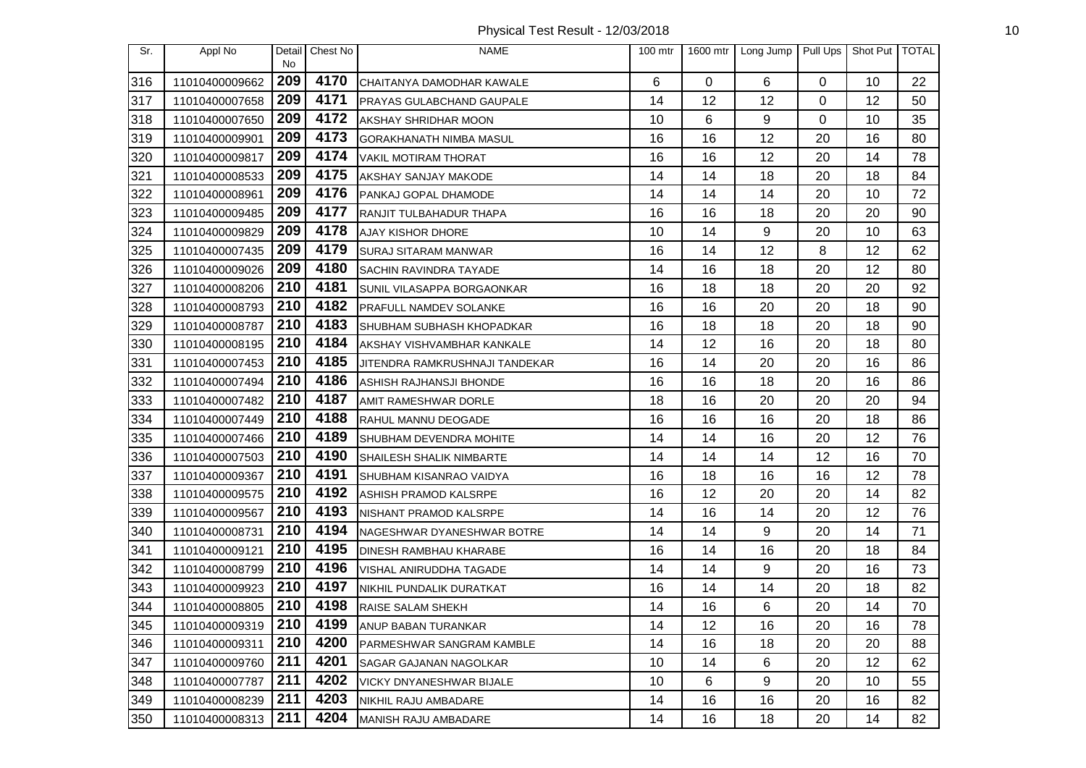Physical Test Result - 12/03/2018 10

| Sr. | Appl No        | No  | Detail Chest No | <b>NAME</b>                      | $100$ mtr | 1600 mtr | Long Jump   | Pull Ups | Shot Put TOTAL |    |
|-----|----------------|-----|-----------------|----------------------------------|-----------|----------|-------------|----------|----------------|----|
| 316 | 11010400009662 | 209 | 4170            | CHAITANYA DAMODHAR KAWALE        | 6         | $\Omega$ | 6           | $\Omega$ | 10             | 22 |
| 317 | 11010400007658 | 209 | 4171            | <b>PRAYAS GULABCHAND GAUPALE</b> | 14        | 12       | 12          | 0        | 12             | 50 |
| 318 | 11010400007650 | 209 | 4172            | <b>AKSHAY SHRIDHAR MOON</b>      | 10        | 6        | 9           | 0        | 10             | 35 |
| 319 | 11010400009901 | 209 | 4173            | <b>GORAKHANATH NIMBA MASUL</b>   | 16        | 16       | 12          | 20       | 16             | 80 |
| 320 | 11010400009817 | 209 | 4174            | <b>VAKIL MOTIRAM THORAT</b>      | 16        | 16       | 12          | 20       | 14             | 78 |
| 321 | 11010400008533 | 209 | 4175            | AKSHAY SANJAY MAKODE             | 14        | 14       | 18          | 20       | 18             | 84 |
| 322 | 11010400008961 | 209 | 4176            | PANKAJ GOPAL DHAMODE             | 14        | 14       | 14          | 20       | 10             | 72 |
| 323 | 11010400009485 | 209 | 4177            | RANJIT TULBAHADUR THAPA          | 16        | 16       | 18          | 20       | 20             | 90 |
| 324 | 11010400009829 | 209 | 4178            | AJAY KISHOR DHORE                | 10        | 14       | 9           | 20       | 10             | 63 |
| 325 | 11010400007435 | 209 | 4179            | <b>SURAJ SITARAM MANWAR</b>      | 16        | 14       | 12          | 8        | 12             | 62 |
| 326 | 11010400009026 | 209 | 4180            | <b>SACHIN RAVINDRA TAYADE</b>    | 14        | 16       | 18          | 20       | 12             | 80 |
| 327 | 11010400008206 | 210 | 4181            | SUNIL VILASAPPA BORGAONKAR       | 16        | 18       | 18          | 20       | 20             | 92 |
| 328 | 11010400008793 | 210 | 4182            | <b>PRAFULL NAMDEV SOLANKE</b>    | 16        | 16       | 20          | 20       | 18             | 90 |
| 329 | 11010400008787 | 210 | 4183            | SHUBHAM SUBHASH KHOPADKAR        | 16        | 18       | 18          | 20       | 18             | 90 |
| 330 | 11010400008195 | 210 | 4184            | AKSHAY VISHVAMBHAR KANKALE       | 14        | 12       | 16          | 20       | 18             | 80 |
| 331 | 11010400007453 | 210 | 4185            | JITENDRA RAMKRUSHNAJI TANDEKAR   | 16        | 14       | 20          | 20       | 16             | 86 |
| 332 | 11010400007494 | 210 | 4186            | ASHISH RAJHANSJI BHONDE          | 16        | 16       | 18          | 20       | 16             | 86 |
| 333 | 11010400007482 | 210 | 4187            | AMIT RAMESHWAR DORLE             | 18        | 16       | 20          | 20       | 20             | 94 |
| 334 | 11010400007449 | 210 | 4188            | RAHUL MANNU DEOGADE              | 16        | 16       | 16          | 20       | 18             | 86 |
| 335 | 11010400007466 | 210 | 4189            | <b>SHUBHAM DEVENDRA MOHITE</b>   | 14        | 14       | 16          | 20       | 12             | 76 |
| 336 | 11010400007503 | 210 | 4190            | SHAILESH SHALIK NIMBARTE         | 14        | 14       | 14          | 12       | 16             | 70 |
| 337 | 11010400009367 | 210 | 4191            | SHUBHAM KISANRAO VAIDYA          | 16        | 18       | 16          | 16       | 12             | 78 |
| 338 | 11010400009575 | 210 | 4192            | ASHISH PRAMOD KALSRPE            | 16        | 12       | 20          | 20       | 14             | 82 |
| 339 | 11010400009567 | 210 | 4193            | NISHANT PRAMOD KALSRPE           | 14        | 16       | 14          | 20       | 12             | 76 |
| 340 | 11010400008731 | 210 | 4194            | NAGESHWAR DYANESHWAR BOTRE       | 14        | 14       | $\mathsf g$ | 20       | 14             | 71 |
| 341 | 11010400009121 | 210 | 4195            | <b>DINESH RAMBHAU KHARABE</b>    | 16        | 14       | 16          | 20       | 18             | 84 |
| 342 | 11010400008799 | 210 | 4196            | <b>VISHAL ANIRUDDHA TAGADE</b>   | 14        | 14       | 9           | 20       | 16             | 73 |
| 343 | 11010400009923 | 210 | 4197            | NIKHIL PUNDALIK DURATKAT         | 16        | 14       | 14          | 20       | 18             | 82 |
| 344 | 11010400008805 | 210 | 4198            | RAISE SALAM SHEKH                | 14        | 16       | 6           | 20       | 14             | 70 |
| 345 | 11010400009319 |     | $ 210 $ 4199    | <b>ANUP BABAN TURANKAR</b>       | 14        | 12       | 16          | 20       | 16             | 78 |
| 346 | 11010400009311 | 210 | 4200            | <b>PARMESHWAR SANGRAM KAMBLE</b> | 14        | 16       | 18          | 20       | 20             | 88 |
| 347 | 11010400009760 | 211 | 4201            | SAGAR GAJANAN NAGOLKAR           | 10        | 14       | 6           | 20       | 12             | 62 |
| 348 | 11010400007787 | 211 | 4202            | VICKY DNYANESHWAR BIJALE         | 10        | 6        | 9           | 20       | 10             | 55 |
| 349 | 11010400008239 | 211 | 4203            | NIKHIL RAJU AMBADARE             | 14        | 16       | 16          | 20       | 16             | 82 |
| 350 | 11010400008313 | 211 | 4204            | MANISH RAJU AMBADARE             | 14        | 16       | 18          | 20       | 14             | 82 |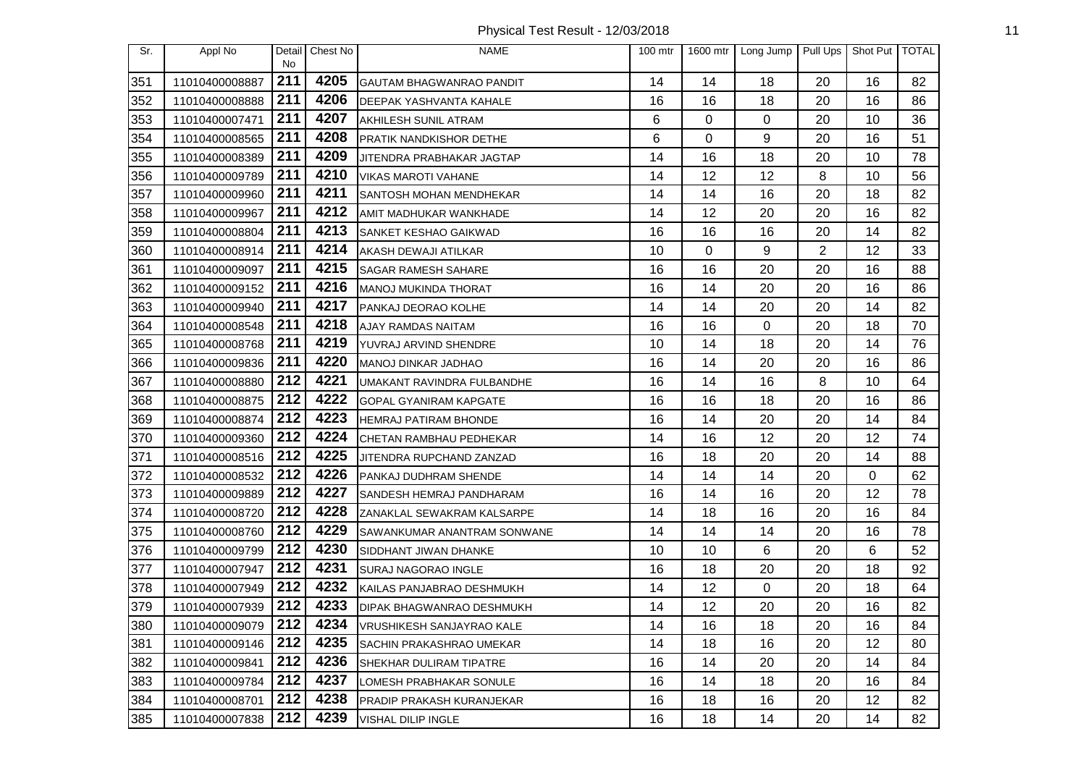Physical Test Result - 12/03/2018 11

| Sr. | Appl No        | Detail<br>No.    | Chest No | <b>NAME</b>                      | 100 mtr | 1600 mtr | Long Jump   | Pull Ups       | Shot Put   TOTAL |    |
|-----|----------------|------------------|----------|----------------------------------|---------|----------|-------------|----------------|------------------|----|
| 351 | 11010400008887 | 211              | 4205     | GAUTAM BHAGWANRAO PANDIT         | 14      | 14       | 18          | 20             | 16               | 82 |
| 352 | 11010400008888 | 211              | 4206     | <b>DEEPAK YASHVANTA KAHALE</b>   | 16      | 16       | 18          | 20             | 16               | 86 |
| 353 | 11010400007471 | 211              | 4207     | AKHILESH SUNIL ATRAM             | 6       | 0        | $\mathbf 0$ | 20             | 10               | 36 |
| 354 | 11010400008565 | 211              | 4208     | <b>PRATIK NANDKISHOR DETHE</b>   | 6       | 0        | 9           | 20             | 16               | 51 |
| 355 | 11010400008389 | 211              | 4209     | JITENDRA PRABHAKAR JAGTAP        | 14      | 16       | 18          | 20             | 10               | 78 |
| 356 | 11010400009789 | 211              | 4210     | <b>VIKAS MAROTI VAHANE</b>       | 14      | 12       | 12          | 8              | 10               | 56 |
| 357 | 11010400009960 | 211              | 4211     | <b>SANTOSH MOHAN MENDHEKAR</b>   | 14      | 14       | 16          | 20             | 18               | 82 |
| 358 | 11010400009967 | 211              | 4212     | AMIT MADHUKAR WANKHADE           | 14      | 12       | 20          | 20             | 16               | 82 |
| 359 | 11010400008804 | 211              | 4213     | SANKET KESHAO GAIKWAD            | 16      | 16       | 16          | 20             | 14               | 82 |
| 360 | 11010400008914 | 211              | 4214     | AKASH DEWAJI ATILKAR             | 10      | $\Omega$ | 9           | $\overline{2}$ | 12               | 33 |
| 361 | 11010400009097 | 211              | 4215     | <b>SAGAR RAMESH SAHARE</b>       | 16      | 16       | 20          | 20             | 16               | 88 |
| 362 | 11010400009152 | 211              | 4216     | MANOJ MUKINDA THORAT             | 16      | 14       | 20          | 20             | 16               | 86 |
| 363 | 11010400009940 | 211              | 4217     | PANKAJ DEORAO KOLHE              | 14      | 14       | 20          | 20             | 14               | 82 |
| 364 | 11010400008548 | 211              | 4218     | AJAY RAMDAS NAITAM               | 16      | 16       | $\mathbf 0$ | 20             | 18               | 70 |
| 365 | 11010400008768 | 211              | 4219     | YUVRAJ ARVIND SHENDRE            | 10      | 14       | 18          | 20             | 14               | 76 |
| 366 | 11010400009836 | 211              | 4220     | MANOJ DINKAR JADHAO              | 16      | 14       | 20          | 20             | 16               | 86 |
| 367 | 11010400008880 | 212              | 4221     | UMAKANT RAVINDRA FULBANDHE       | 16      | 14       | 16          | 8              | 10               | 64 |
| 368 | 11010400008875 | 212              | 4222     | <b>GOPAL GYANIRAM KAPGATE</b>    | 16      | 16       | 18          | 20             | 16               | 86 |
| 369 | 11010400008874 | 212              | 4223     | HEMRAJ PATIRAM BHONDE            | 16      | 14       | 20          | 20             | 14               | 84 |
| 370 | 11010400009360 | 212              | 4224     | CHETAN RAMBHAU PEDHEKAR          | 14      | 16       | 12          | 20             | 12               | 74 |
| 371 | 11010400008516 | 212              | 4225     | JITENDRA RUPCHAND ZANZAD         | 16      | 18       | 20          | 20             | 14               | 88 |
| 372 | 11010400008532 | 212              | 4226     | PANKAJ DUDHRAM SHENDE            | 14      | 14       | 14          | 20             | 0                | 62 |
| 373 | 11010400009889 | 212              | 4227     | SANDESH HEMRAJ PANDHARAM         | 16      | 14       | 16          | 20             | 12               | 78 |
| 374 | 11010400008720 | 212              | 4228     | ZANAKLAL SEWAKRAM KALSARPE       | 14      | 18       | 16          | 20             | 16               | 84 |
| 375 | 11010400008760 | 212              | 4229     | SAWANKUMAR ANANTRAM SONWANE      | 14      | 14       | 14          | 20             | 16               | 78 |
| 376 | 11010400009799 | 212              | 4230     | SIDDHANT JIWAN DHANKE            | 10      | 10       | 6           | 20             | 6                | 52 |
| 377 | 11010400007947 | 212              | 4231     | SURAJ NAGORAO INGLE              | 16      | 18       | 20          | 20             | 18               | 92 |
| 378 | 11010400007949 | 212              | 4232     | KAILAS PANJABRAO DESHMUKH        | 14      | 12       | $\mathbf 0$ | 20             | 18               | 64 |
| 379 | 11010400007939 | 212              | 4233     | <b>DIPAK BHAGWANRAO DESHMUKH</b> | 14      | 12       | 20          | 20             | 16               | 82 |
| 380 | 11010400009079 | $\overline{212}$ | 4234     | VRUSHIKESH SANJAYRAO KALE        | 14      | 16       | 18          | 20             | 16               | 84 |
| 381 | 11010400009146 | 212              | 4235     | SACHIN PRAKASHRAO UMEKAR         | 14      | 18       | 16          | 20             | 12               | 80 |
| 382 | 11010400009841 | 212              | 4236     | <b>SHEKHAR DULIRAM TIPATRE</b>   | 16      | 14       | 20          | 20             | 14               | 84 |
| 383 | 11010400009784 | 212              | 4237     | LOMESH PRABHAKAR SONULE          | 16      | 14       | 18          | 20             | 16               | 84 |
| 384 | 11010400008701 | 212              | 4238     | <b>PRADIP PRAKASH KURANJEKAR</b> | 16      | 18       | 16          | 20             | 12               | 82 |
| 385 | 11010400007838 | 212              | 4239     | VISHAL DILIP INGLE               | 16      | 18       | 14          | 20             | 14               | 82 |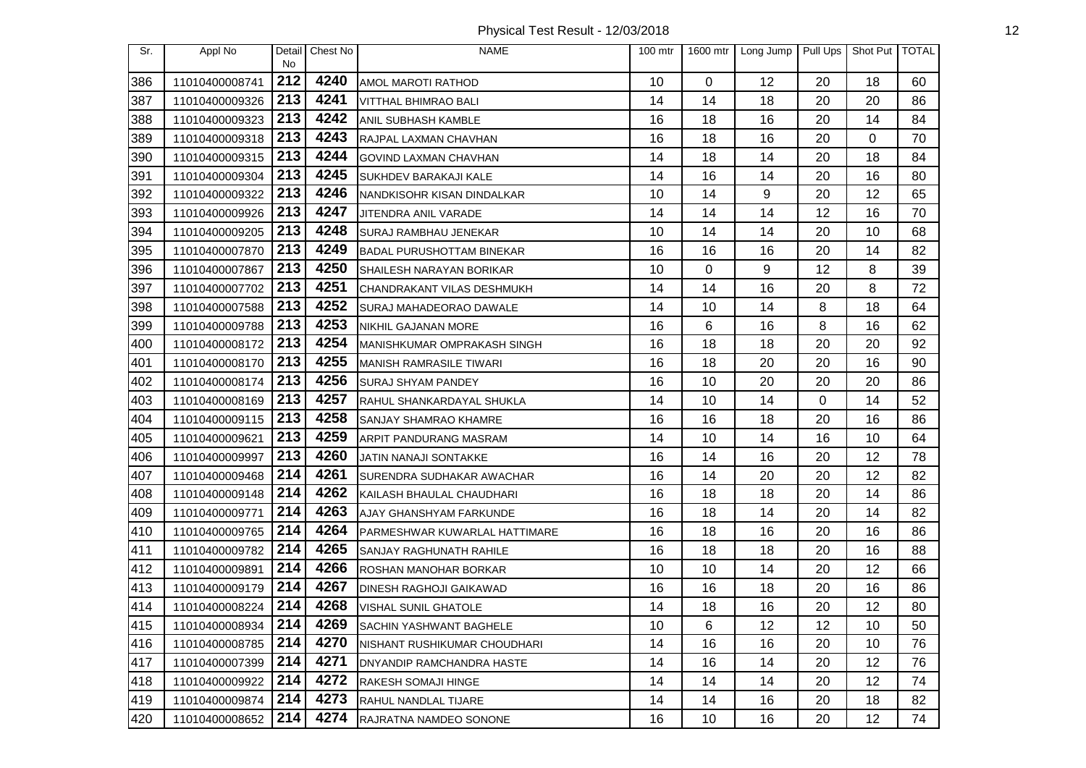Physical Test Result - 12/03/2018 12

| Sr. | Appl No        |           | Detail Chest No | <b>NAME</b>                       | $100$ mtr | 1600 mtr | Long Jump | Pull Ups | Shot Put TOTAL |    |
|-----|----------------|-----------|-----------------|-----------------------------------|-----------|----------|-----------|----------|----------------|----|
| 386 | 11010400008741 | No<br>212 | 4240            | AMOL MAROTI RATHOD                | 10        | $\Omega$ | 12        | 20       | 18             | 60 |
| 387 | 11010400009326 | 213       | 4241            | <b>VITTHAL BHIMRAO BALI</b>       | 14        | 14       | 18        | 20       | 20             | 86 |
| 388 | 11010400009323 | 213       | 4242            | ANIL SUBHASH KAMBLE               | 16        | 18       | 16        | 20       | 14             | 84 |
| 389 | 11010400009318 | 213       | 4243            | RAJPAL LAXMAN CHAVHAN             | 16        | 18       | 16        | 20       | 0              | 70 |
| 390 | 11010400009315 | 213       | 4244            | <b>GOVIND LAXMAN CHAVHAN</b>      | 14        | 18       | 14        | 20       | 18             | 84 |
| 391 | 11010400009304 | 213       | 4245            | <b>SUKHDEV BARAKAJI KALE</b>      | 14        | 16       | 14        | 20       | 16             | 80 |
| 392 | 11010400009322 | 213       | 4246            | NANDKISOHR KISAN DINDALKAR        | 10        | 14       | 9         | 20       | 12             | 65 |
| 393 | 11010400009926 | 213       | 4247            | JITENDRA ANIL VARADE              | 14        | 14       | 14        | 12       | 16             | 70 |
| 394 | 11010400009205 | 213       | 4248            | <b>SURAJ RAMBHAU JENEKAR</b>      | 10        | 14       | 14        | 20       | 10             | 68 |
| 395 | 11010400007870 | 213       | 4249            | <b>BADAL PURUSHOTTAM BINEKAR</b>  | 16        | 16       | 16        | 20       | 14             | 82 |
| 396 | 11010400007867 | 213       | 4250            | <b>SHAILESH NARAYAN BORIKAR</b>   | 10        | $\Omega$ | 9         | 12       | 8              | 39 |
| 397 | 11010400007702 | 213       | 4251            | CHANDRAKANT VILAS DESHMUKH        | 14        | 14       | 16        | 20       | 8              | 72 |
| 398 | 11010400007588 | 213       | 4252            | SURAJ MAHADEORAO DAWALE           | 14        | 10       | 14        | 8        | 18             | 64 |
| 399 | 11010400009788 | 213       | 4253            | <b>NIKHIL GAJANAN MORE</b>        | 16        | 6        | 16        | 8        | 16             | 62 |
| 400 | 11010400008172 | 213       | 4254            | MANISHKUMAR OMPRAKASH SINGH       | 16        | 18       | 18        | 20       | 20             | 92 |
| 401 | 11010400008170 | 213       | 4255            | <b>MANISH RAMRASILE TIWARI</b>    | 16        | 18       | 20        | 20       | 16             | 90 |
| 402 | 11010400008174 | 213       | 4256            | <b>SURAJ SHYAM PANDEY</b>         | 16        | 10       | 20        | 20       | 20             | 86 |
| 403 | 11010400008169 | 213       | 4257            | RAHUL SHANKARDAYAL SHUKLA         | 14        | 10       | 14        | 0        | 14             | 52 |
| 404 | 11010400009115 | 213       | 4258            | <b>SANJAY SHAMRAO KHAMRE</b>      | 16        | 16       | 18        | 20       | 16             | 86 |
| 405 | 11010400009621 | 213       | 4259            | ARPIT PANDURANG MASRAM            | 14        | 10       | 14        | 16       | 10             | 64 |
| 406 | 11010400009997 | 213       | 4260            | JATIN NANAJI SONTAKKE             | 16        | 14       | 16        | 20       | 12             | 78 |
| 407 | 11010400009468 | 214       | 4261            | SURENDRA SUDHAKAR AWACHAR         | 16        | 14       | 20        | 20       | 12             | 82 |
| 408 | 11010400009148 | 214       | 4262            | KAILASH BHAULAL CHAUDHARI         | 16        | 18       | 18        | 20       | 14             | 86 |
| 409 | 11010400009771 | 214       | 4263            | AJAY GHANSHYAM FARKUNDE           | 16        | 18       | 14        | 20       | 14             | 82 |
| 410 | 11010400009765 | 214       | 4264            | PARMESHWAR KUWARLAL HATTIMARE     | 16        | 18       | 16        | 20       | 16             | 86 |
| 411 | 11010400009782 | 214       | 4265            | SANJAY RAGHUNATH RAHILE           | 16        | 18       | 18        | 20       | 16             | 88 |
| 412 | 11010400009891 | 214       | 4266            | <b>ROSHAN MANOHAR BORKAR</b>      | 10        | 10       | 14        | 20       | 12             | 66 |
| 413 | 11010400009179 | 214       | 4267            | <b>DINESH RAGHOJI GAIKAWAD</b>    | 16        | 16       | 18        | 20       | 16             | 86 |
| 414 | 11010400008224 | 214       | 4268            | <b>VISHAL SUNIL GHATOLE</b>       | 14        | 18       | 16        | 20       | 12             | 80 |
| 415 | 11010400008934 | 214       | 4269            | SACHIN YASHWANT BAGHELE           | 10        | 6        | 12        | 12       | 10             | 50 |
| 416 | 11010400008785 | 214       | 4270            | NISHANT RUSHIKUMAR CHOUDHARI      | 14        | 16       | 16        | 20       | 10             | 76 |
| 417 | 11010400007399 | 214       | 4271            | <b>IDNYANDIP RAMCHANDRA HASTE</b> | 14        | 16       | 14        | 20       | 12             | 76 |
| 418 | 11010400009922 | 214       | 4272            | <b>RAKESH SOMAJI HINGE</b>        | 14        | 14       | 14        | 20       | 12             | 74 |
| 419 | 11010400009874 | 214       | 4273            | <b>RAHUL NANDLAL TIJARE</b>       | 14        | 14       | 16        | 20       | 18             | 82 |
| 420 | 11010400008652 | 214       | 4274            | RAJRATNA NAMDEO SONONE            | 16        | 10       | 16        | 20       | 12             | 74 |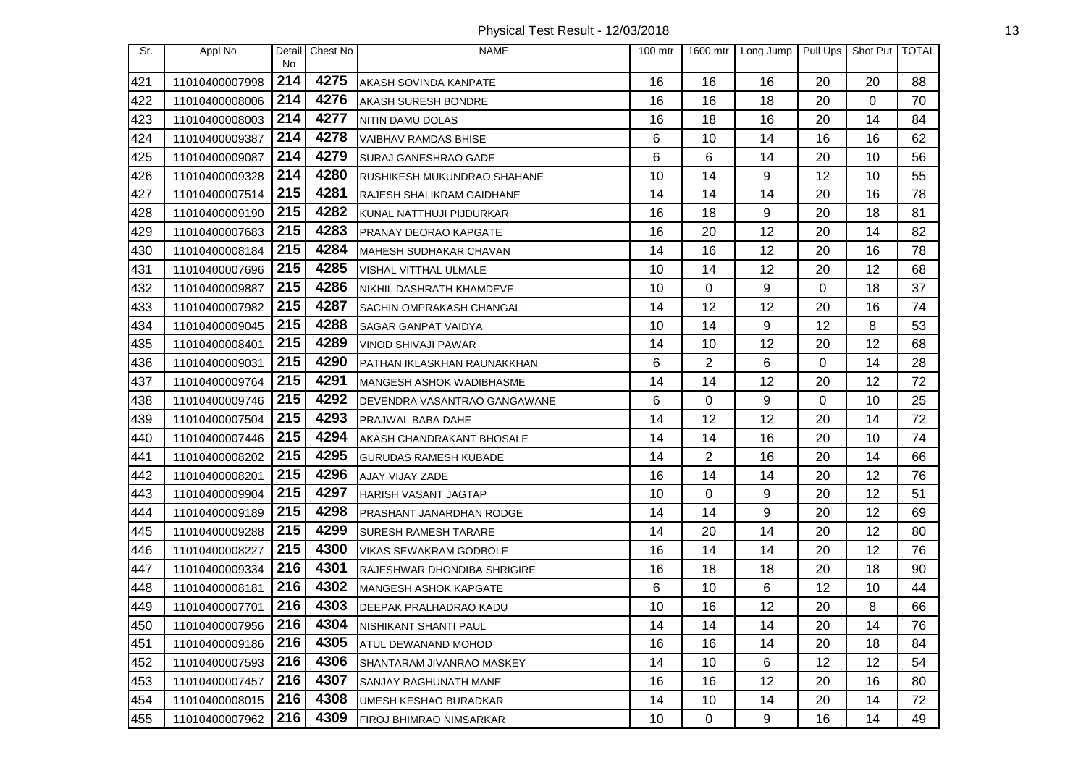Physical Test Result - 12/03/2018 13

| Sr. | Appl No        |           | Detail Chest No | <b>NAME</b>                        | $100$ mtr | 1600 mtr       | Long Jump | Pull Ups | Shot Put TOTAL |    |
|-----|----------------|-----------|-----------------|------------------------------------|-----------|----------------|-----------|----------|----------------|----|
| 421 | 11010400007998 | No<br>214 | 4275            | AKASH SOVINDA KANPATE              | 16        | 16             | 16        | 20       | 20             | 88 |
| 422 | 11010400008006 | 214       | 4276            | AKASH SURESH BONDRE                | 16        | 16             | 18        | 20       | 0              | 70 |
| 423 | 11010400008003 | 214       | 4277            | NITIN DAMU DOLAS                   | 16        | 18             | 16        | 20       | 14             | 84 |
| 424 | 11010400009387 | 214       | 4278            | <b>VAIBHAV RAMDAS BHISE</b>        | 6         | 10             | 14        | 16       | 16             | 62 |
| 425 | 11010400009087 | 214       | 4279            | SURAJ GANESHRAO GADE               | 6         | 6              | 14        | 20       | 10             | 56 |
| 426 | 11010400009328 | 214       | 4280            | RUSHIKESH MUKUNDRAO SHAHANE        | 10        | 14             | 9         | 12       | 10             | 55 |
| 427 | 11010400007514 | 215       | 4281            | RAJESH SHALIKRAM GAIDHANE          | 14        | 14             | 14        | 20       | 16             | 78 |
| 428 | 11010400009190 | 215       | 4282            | KUNAL NATTHUJI PIJDURKAR           | 16        | 18             | 9         | 20       | 18             | 81 |
| 429 | 11010400007683 | 215       | 4283            | PRANAY DEORAO KAPGATE              | 16        | 20             | 12        | 20       | 14             | 82 |
| 430 | 11010400008184 | 215       | 4284            | MAHESH SUDHAKAR CHAVAN             | 14        | 16             | 12        | 20       | 16             | 78 |
| 431 | 11010400007696 | 215       | 4285            | VISHAL VITTHAL ULMALE              | 10        | 14             | 12        | 20       | 12             | 68 |
| 432 | 11010400009887 | 215       | 4286            | NIKHIL DASHRATH KHAMDEVE           | 10        | 0              | 9         | 0        | 18             | 37 |
| 433 | 11010400007982 | 215       | 4287            | <b>SACHIN OMPRAKASH CHANGAL</b>    | 14        | 12             | 12        | 20       | 16             | 74 |
| 434 | 11010400009045 | 215       | 4288            | <b>SAGAR GANPAT VAIDYA</b>         | 10        | 14             | 9         | 12       | 8              | 53 |
| 435 | 11010400008401 | 215       | 4289            | VINOD SHIVAJI PAWAR                | 14        | 10             | 12        | 20       | 12             | 68 |
| 436 | 11010400009031 | 215       | 4290            | PATHAN IKLASKHAN RAUNAKKHAN        | 6         | $\overline{2}$ | 6         | $\Omega$ | 14             | 28 |
| 437 | 11010400009764 | 215       | 4291            | MANGESH ASHOK WADIBHASME           | 14        | 14             | 12        | 20       | 12             | 72 |
| 438 | 11010400009746 | 215       | 4292            | DEVENDRA VASANTRAO GANGAWANE       | 6         | 0              | 9         | 0        | 10             | 25 |
| 439 | 11010400007504 | 215       | 4293            | PRAJWAL BABA DAHE                  | 14        | 12             | 12        | 20       | 14             | 72 |
| 440 | 11010400007446 | 215       | 4294            | AKASH CHANDRAKANT BHOSALE          | 14        | 14             | 16        | 20       | 10             | 74 |
| 441 | 11010400008202 | 215       | 4295            | <b>GURUDAS RAMESH KUBADE</b>       | 14        | 2              | 16        | 20       | 14             | 66 |
| 442 | 11010400008201 | 215       | 4296            | AJAY VIJAY ZADE                    | 16        | 14             | 14        | 20       | 12             | 76 |
| 443 | 11010400009904 | 215       | 4297            | HARISH VASANT JAGTAP               | 10        | $\Omega$       | 9         | 20       | 12             | 51 |
| 444 | 11010400009189 | 215       | 4298            | PRASHANT JANARDHAN RODGE           | 14        | 14             | 9         | 20       | 12             | 69 |
| 445 | 11010400009288 | 215       | 4299            | <b>SURESH RAMESH TARARE</b>        | 14        | 20             | 14        | 20       | 12             | 80 |
| 446 | 11010400008227 | 215       | 4300            | VIKAS SEWAKRAM GODBOLE             | 16        | 14             | 14        | 20       | 12             | 76 |
| 447 | 11010400009334 | 216       | 4301            | <b>RAJESHWAR DHONDIBA SHRIGIRE</b> | 16        | 18             | 18        | 20       | 18             | 90 |
| 448 | 11010400008181 | 216       | 4302            | <b>MANGESH ASHOK KAPGATE</b>       | 6         | 10             | 6         | 12       | 10             | 44 |
| 449 | 11010400007701 | 216       | 4303            | <b>DEEPAK PRALHADRAO KADU</b>      | 10        | 16             | 12        | 20       | 8              | 66 |
| 450 | 11010400007956 | 216       | 4304            | NISHIKANT SHANTI PAUL              | 14        | 14             | 14        | 20       | 14             | 76 |
| 451 | 11010400009186 | 216       | 4305            | ATUL DEWANAND MOHOD                | 16        | 16             | 14        | 20       | 18             | 84 |
| 452 | 11010400007593 | 216       | 4306            | SHANTARAM JIVANRAO MASKEY          | 14        | 10             | 6         | 12       | 12             | 54 |
| 453 | 11010400007457 | 216       | 4307            | SANJAY RAGHUNATH MANE              | 16        | 16             | 12        | 20       | 16             | 80 |
| 454 | 11010400008015 | 216       | 4308            | UMESH KESHAO BURADKAR              | 14        | 10             | 14        | 20       | 14             | 72 |
| 455 | 11010400007962 | 216       | 4309            | FIROJ BHIMRAO NIMSARKAR            | 10        | 0              | 9         | 16       | 14             | 49 |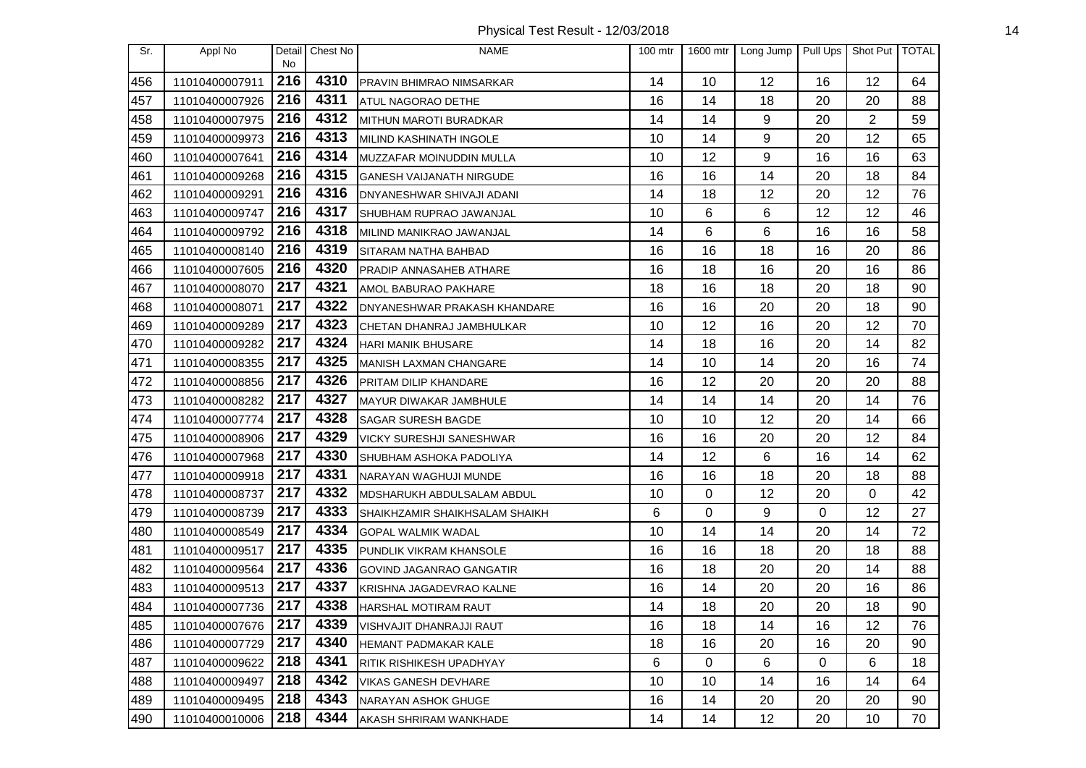Physical Test Result - 12/03/2018 14

| Sr. | Appl No        |           | Detail Chest No | <b>NAME</b>                         | $100$ mtr | 1600 mtr | Long Jump | Pull Ups | Shot Put TOTAL |    |
|-----|----------------|-----------|-----------------|-------------------------------------|-----------|----------|-----------|----------|----------------|----|
| 456 | 11010400007911 | No<br>216 | 4310            | <b>PRAVIN BHIMRAO NIMSARKAR</b>     | 14        | 10       | 12        | 16       | 12             | 64 |
| 457 | 11010400007926 | 216       | 4311            | <b>ATUL NAGORAO DETHE</b>           | 16        | 14       | 18        | 20       | 20             | 88 |
| 458 | 11010400007975 | 216       | 4312            | MITHUN MAROTI BURADKAR              | 14        | 14       | 9         | 20       | $\overline{2}$ | 59 |
| 459 | 11010400009973 | 216       | 4313            | MILIND KASHINATH INGOLE             | 10        | 14       | 9         | 20       | 12             | 65 |
| 460 | 11010400007641 | 216       | 4314            | MUZZAFAR MOINUDDIN MULLA            | 10        | 12       | 9         | 16       | 16             | 63 |
| 461 | 11010400009268 | 216       | 4315            | <b>GANESH VAIJANATH NIRGUDE</b>     | 16        | 16       | 14        | 20       | 18             | 84 |
| 462 | 11010400009291 | 216       | 4316            | DNYANESHWAR SHIVAJI ADANI           | 14        | 18       | 12        | 20       | 12             | 76 |
| 463 | 11010400009747 | 216       | 4317            | SHUBHAM RUPRAO JAWANJAL             | 10        | 6        | 6         | 12       | 12             | 46 |
| 464 | 11010400009792 | 216       | 4318            | MILIND MANIKRAO JAWANJAL            | 14        | 6        | 6         | 16       | 16             | 58 |
| 465 | 11010400008140 | 216       | 4319            | <b>SITARAM NATHA BAHBAD</b>         | 16        | 16       | 18        | 16       | 20             | 86 |
| 466 | 11010400007605 | 216       | 4320            | PRADIP ANNASAHEB ATHARE             | 16        | 18       | 16        | 20       | 16             | 86 |
| 467 | 11010400008070 | 217       | 4321            | AMOL BABURAO PAKHARE                | 18        | 16       | 18        | 20       | 18             | 90 |
| 468 | 11010400008071 | 217       | 4322            | <b>DNYANESHWAR PRAKASH KHANDARE</b> | 16        | 16       | 20        | 20       | 18             | 90 |
| 469 | 11010400009289 | 217       | 4323            | CHETAN DHANRAJ JAMBHULKAR           | 10        | 12       | 16        | 20       | 12             | 70 |
| 470 | 11010400009282 | 217       | 4324            | <b>HARI MANIK BHUSARE</b>           | 14        | 18       | 16        | 20       | 14             | 82 |
| 471 | 11010400008355 | 217       | 4325            | MANISH LAXMAN CHANGARE              | 14        | 10       | 14        | 20       | 16             | 74 |
| 472 | 11010400008856 | 217       | 4326            | PRITAM DILIP KHANDARE               | 16        | 12       | 20        | 20       | 20             | 88 |
| 473 | 11010400008282 | 217       | 4327            | MAYUR DIWAKAR JAMBHULE              | 14        | 14       | 14        | 20       | 14             | 76 |
| 474 | 11010400007774 | 217       | 4328            | <b>SAGAR SURESH BAGDE</b>           | 10        | 10       | 12        | 20       | 14             | 66 |
| 475 | 11010400008906 | 217       | 4329            | <b>VICKY SURESHJI SANESHWAR</b>     | 16        | 16       | 20        | 20       | 12             | 84 |
| 476 | 11010400007968 | 217       | 4330            | SHUBHAM ASHOKA PADOLIYA             | 14        | 12       | 6         | 16       | 14             | 62 |
| 477 | 11010400009918 | 217       | 4331            | NARAYAN WAGHUJI MUNDE               | 16        | 16       | 18        | 20       | 18             | 88 |
| 478 | 11010400008737 | 217       | 4332            | MDSHARUKH ABDULSALAM ABDUL          | 10        | 0        | 12        | 20       | 0              | 42 |
| 479 | 11010400008739 | 217       | 4333            | SHAIKHZAMIR SHAIKHSALAM SHAIKH      | 6         | 0        | 9         | 0        | 12             | 27 |
| 480 | 11010400008549 | 217       | 4334            | <b>GOPAL WALMIK WADAL</b>           | 10        | 14       | 14        | 20       | 14             | 72 |
| 481 | 11010400009517 | 217       | 4335            | PUNDLIK VIKRAM KHANSOLE             | 16        | 16       | 18        | 20       | 18             | 88 |
| 482 | 11010400009564 | 217       | 4336            | GOVIND JAGANRAO GANGATIR            | 16        | 18       | 20        | 20       | 14             | 88 |
| 483 | 11010400009513 | 217       | 4337            | KRISHNA JAGADEVRAO KALNE            | 16        | 14       | 20        | 20       | 16             | 86 |
| 484 | 11010400007736 | 217       | 4338            | <b>HARSHAL MOTIRAM RAUT</b>         | 14        | 18       | 20        | 20       | 18             | 90 |
| 485 | 11010400007676 | 217       | 4339            | VISHVAJIT DHANRAJJI RAUT            | 16        | 18       | 14        | 16       | 12             | 76 |
| 486 | 11010400007729 | 217       | 4340            | <b>HEMANT PADMAKAR KALE</b>         | 18        | 16       | 20        | 16       | 20             | 90 |
| 487 | 11010400009622 | 218       | 4341            | <b>RITIK RISHIKESH UPADHYAY</b>     | 6         | 0        | 6         | 0        | 6              | 18 |
| 488 | 11010400009497 | 218       | 4342            | VIKAS GANESH DEVHARE                | 10        | 10       | 14        | 16       | 14             | 64 |
| 489 | 11010400009495 | 218       | 4343            | <b>NARAYAN ASHOK GHUGE</b>          | 16        | 14       | 20        | 20       | 20             | 90 |
| 490 | 11010400010006 | 218       | 4344            | AKASH SHRIRAM WANKHADE              | 14        | 14       | 12        | 20       | 10             | 70 |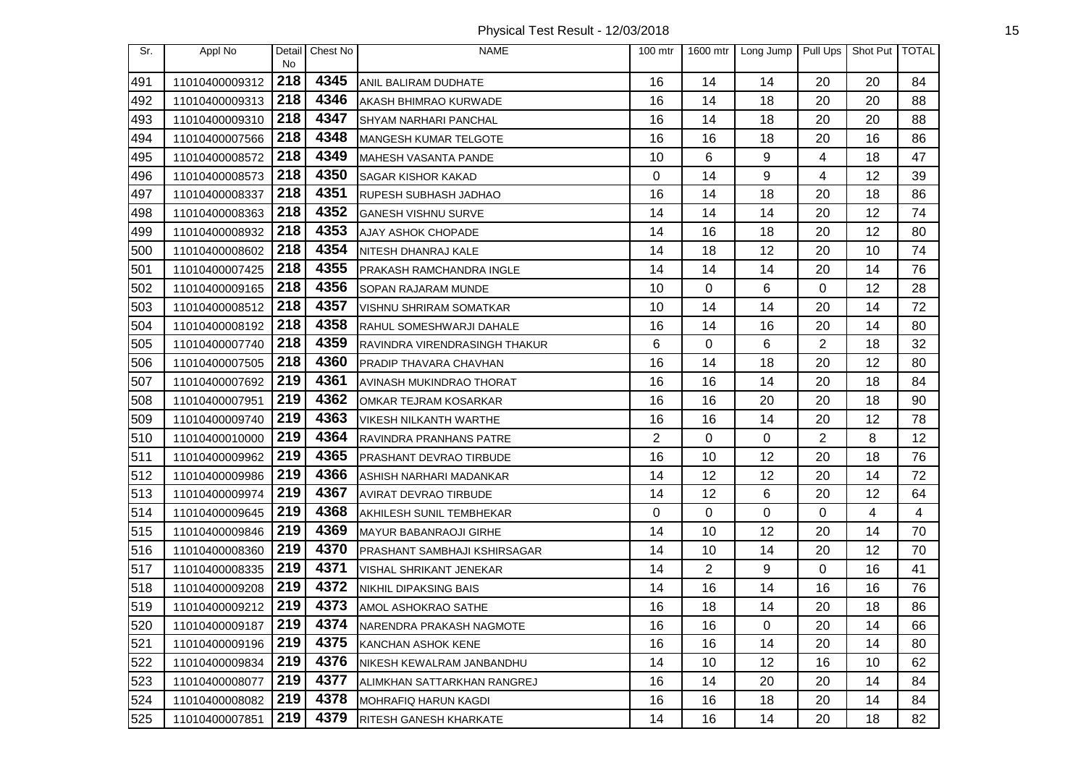Physical Test Result - 12/03/2018 15

| Sr. | Appl No        | Detail<br>No | Chest No | <b>NAME</b>                         | 100 mtr        | 1600 mtr       | Long Jump   Pull Ups |    | Shot Put   TOTAL |    |
|-----|----------------|--------------|----------|-------------------------------------|----------------|----------------|----------------------|----|------------------|----|
| 491 | 11010400009312 | 218          | 4345     | ANIL BALIRAM DUDHATE                | 16             | 14             | 14                   | 20 | 20               | 84 |
| 492 | 11010400009313 | 218          | 4346     | AKASH BHIMRAO KURWADE               | 16             | 14             | 18                   | 20 | 20               | 88 |
| 493 | 11010400009310 | 218          | 4347     | SHYAM NARHARI PANCHAL               | 16             | 14             | 18                   | 20 | 20               | 88 |
| 494 | 11010400007566 | 218          | 4348     | MANGESH KUMAR TELGOTE               | 16             | 16             | 18                   | 20 | 16               | 86 |
| 495 | 11010400008572 | 218          | 4349     | MAHESH VASANTA PANDE                | 10             | 6              | 9                    | 4  | 18               | 47 |
| 496 | 11010400008573 | 218          | 4350     | <b>SAGAR KISHOR KAKAD</b>           | 0              | 14             | 9                    | 4  | 12               | 39 |
| 497 | 11010400008337 | 218          | 4351     | RUPESH SUBHASH JADHAO               | 16             | 14             | 18                   | 20 | 18               | 86 |
| 498 | 11010400008363 | 218          | 4352     | <b>GANESH VISHNU SURVE</b>          | 14             | 14             | 14                   | 20 | 12               | 74 |
| 499 | 11010400008932 | 218          | 4353     | <b>AJAY ASHOK CHOPADE</b>           | 14             | 16             | 18                   | 20 | 12               | 80 |
| 500 | 11010400008602 | 218          | 4354     | NITESH DHANRAJ KALE                 | 14             | 18             | 12                   | 20 | 10               | 74 |
| 501 | 11010400007425 | 218          | 4355     | PRAKASH RAMCHANDRA INGLE            | 14             | 14             | 14                   | 20 | 14               | 76 |
| 502 | 11010400009165 | 218          | 4356     | SOPAN RAJARAM MUNDE                 | 10             | 0              | 6                    | 0  | 12               | 28 |
| 503 | 11010400008512 | 218          | 4357     | VISHNU SHRIRAM SOMATKAR             | 10             | 14             | 14                   | 20 | 14               | 72 |
| 504 | 11010400008192 | 218          | 4358     | RAHUL SOMESHWARJI DAHALE            | 16             | 14             | 16                   | 20 | 14               | 80 |
| 505 | 11010400007740 | 218          | 4359     | RAVINDRA VIRENDRASINGH THAKUR       | 6              | 0              | 6                    | 2  | 18               | 32 |
| 506 | 11010400007505 | 218          | 4360     | PRADIP THAVARA CHAVHAN              | 16             | 14             | 18                   | 20 | 12               | 80 |
| 507 | 11010400007692 | 219          | 4361     | AVINASH MUKINDRAO THORAT            | 16             | 16             | 14                   | 20 | 18               | 84 |
| 508 | 11010400007951 | 219          | 4362     | OMKAR TEJRAM KOSARKAR               | 16             | 16             | 20                   | 20 | 18               | 90 |
| 509 | 11010400009740 | 219          | 4363     | <b>VIKESH NILKANTH WARTHE</b>       | 16             | 16             | 14                   | 20 | 12               | 78 |
| 510 | 11010400010000 | 219          | 4364     | RAVINDRA PRANHANS PATRE             | $\overline{2}$ | 0              | $\mathbf 0$          | 2  | 8                | 12 |
| 511 | 11010400009962 | 219          | 4365     | PRASHANT DEVRAO TIRBUDE             | 16             | 10             | 12                   | 20 | 18               | 76 |
| 512 | 11010400009986 | 219          | 4366     | ASHISH NARHARI MADANKAR             | 14             | 12             | 12                   | 20 | 14               | 72 |
| 513 | 11010400009974 | 219          | 4367     | AVIRAT DEVRAO TIRBUDE               | 14             | 12             | 6                    | 20 | 12               | 64 |
| 514 | 11010400009645 | 219          | 4368     | AKHILESH SUNIL TEMBHEKAR            | 0              | 0              | $\mathbf 0$          | 0  | 4                | 4  |
| 515 | 11010400009846 | 219          | 4369     | MAYUR BABANRAOJI GIRHE              | 14             | 10             | 12                   | 20 | 14               | 70 |
| 516 | 11010400008360 | 219          | 4370     | <b>PRASHANT SAMBHAJI KSHIRSAGAR</b> | 14             | 10             | 14                   | 20 | 12               | 70 |
| 517 | 11010400008335 | 219          | 4371     | VISHAL SHRIKANT JENEKAR             | 14             | $\overline{2}$ | 9                    | 0  | 16               | 41 |
| 518 | 11010400009208 | 219          | 4372     | <b>NIKHIL DIPAKSING BAIS</b>        | 14             | 16             | 14                   | 16 | 16               | 76 |
| 519 | 11010400009212 | 219          | 4373     | AMOL ASHOKRAO SATHE                 | 16             | 18             | 14                   | 20 | 18               | 86 |
| 520 | 11010400009187 | 219          | 4374     | NARENDRA PRAKASH NAGMOTE            | 16             | 16             | 0                    | 20 | 14               | 66 |
| 521 | 11010400009196 | 219          | 4375     | KANCHAN ASHOK KENE                  | 16             | 16             | 14                   | 20 | 14               | 80 |
| 522 | 11010400009834 | 219          | 4376     | NIKESH KEWALRAM JANBANDHU           | 14             | 10             | 12                   | 16 | 10               | 62 |
| 523 | 11010400008077 | 219          | 4377     | ALIMKHAN SATTARKHAN RANGREJ         | 16             | 14             | 20                   | 20 | 14               | 84 |
| 524 | 11010400008082 | 219          | 4378     | MOHRAFIQ HARUN KAGDI                | 16             | 16             | 18                   | 20 | 14               | 84 |
| 525 | 11010400007851 | 219          | 4379     | RITESH GANESH KHARKATE              | 14             | 16             | 14                   | 20 | 18               | 82 |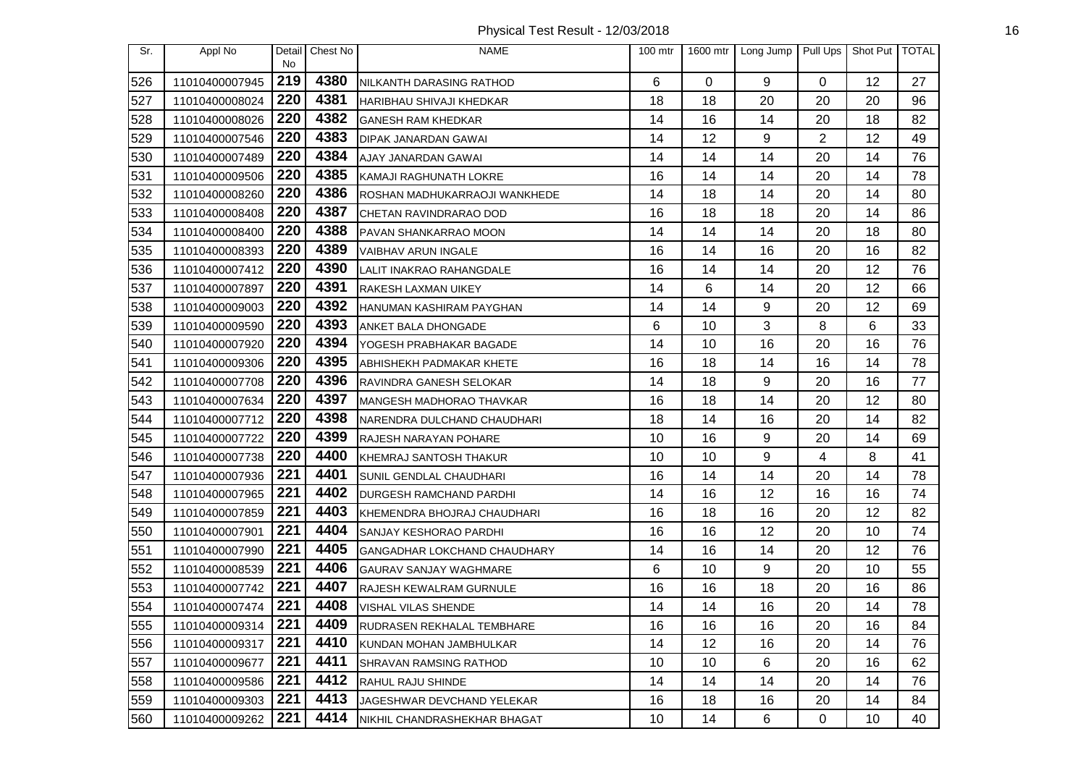Physical Test Result - 12/03/2018 16

| Sr. | Appl No        | Detail<br>No     | Chest No | <b>NAME</b>                     | 100 mtr | 1600 mtr | Long Jump   Pull Ups |          | Shot Put   TOTAL |    |
|-----|----------------|------------------|----------|---------------------------------|---------|----------|----------------------|----------|------------------|----|
| 526 | 11010400007945 | 219              | 4380     | NILKANTH DARASING RATHOD        | 6       | $\Omega$ | 9                    | $\Omega$ | 12               | 27 |
| 527 | 11010400008024 | 220              | 4381     | HARIBHAU SHIVAJI KHEDKAR        | 18      | 18       | 20                   | 20       | 20               | 96 |
| 528 | 11010400008026 | 220              | 4382     | <b>GANESH RAM KHEDKAR</b>       | 14      | 16       | 14                   | 20       | 18               | 82 |
| 529 | 11010400007546 | 220              | 4383     | DIPAK JANARDAN GAWAI            | 14      | 12       | 9                    | 2        | 12               | 49 |
| 530 | 11010400007489 | 220              | 4384     | AJAY JANARDAN GAWAI             | 14      | 14       | 14                   | 20       | 14               | 76 |
| 531 | 11010400009506 | 220              | 4385     | KAMAJI RAGHUNATH LOKRE          | 16      | 14       | 14                   | 20       | 14               | 78 |
| 532 | 11010400008260 | 220              | 4386     | ROSHAN MADHUKARRAOJI WANKHEDE   | 14      | 18       | 14                   | 20       | 14               | 80 |
| 533 | 11010400008408 | 220              | 4387     | CHETAN RAVINDRARAO DOD          | 16      | 18       | 18                   | 20       | 14               | 86 |
| 534 | 11010400008400 | 220              | 4388     | PAVAN SHANKARRAO MOON           | 14      | 14       | 14                   | 20       | 18               | 80 |
| 535 | 11010400008393 | 220              | 4389     | VAIBHAV ARUN INGALE             | 16      | 14       | 16                   | 20       | 16               | 82 |
| 536 | 11010400007412 | 220              | 4390     | LALIT INAKRAO RAHANGDALE        | 16      | 14       | 14                   | 20       | 12               | 76 |
| 537 | 11010400007897 | 220              | 4391     | RAKESH LAXMAN UIKEY             | 14      | 6        | 14                   | 20       | 12               | 66 |
| 538 | 11010400009003 | 220              | 4392     | HANUMAN KASHIRAM PAYGHAN        | 14      | 14       | 9                    | 20       | 12               | 69 |
| 539 | 11010400009590 | 220              | 4393     | ANKET BALA DHONGADE             | 6       | 10       | 3                    | 8        | 6                | 33 |
| 540 | 11010400007920 | 220              | 4394     | YOGESH PRABHAKAR BAGADE         | 14      | 10       | 16                   | 20       | 16               | 76 |
| 541 | 11010400009306 | 220              | 4395     | ABHISHEKH PADMAKAR KHETE        | 16      | 18       | 14                   | 16       | 14               | 78 |
| 542 | 11010400007708 | 220              | 4396     | RAVINDRA GANESH SELOKAR         | 14      | 18       | 9                    | 20       | 16               | 77 |
| 543 | 11010400007634 | 220              | 4397     | <b>MANGESH MADHORAO THAVKAR</b> | 16      | 18       | 14                   | 20       | 12               | 80 |
| 544 | 11010400007712 | 220              | 4398     | NARENDRA DULCHAND CHAUDHARI     | 18      | 14       | 16                   | 20       | 14               | 82 |
| 545 | 11010400007722 | 220              | 4399     | RAJESH NARAYAN POHARE           | 10      | 16       | 9                    | 20       | 14               | 69 |
| 546 | 11010400007738 | 220              | 4400     | KHEMRAJ SANTOSH THAKUR          | 10      | 10       | 9                    | 4        | 8                | 41 |
| 547 | 11010400007936 | 221              | 4401     | SUNIL GENDLAL CHAUDHARI         | 16      | 14       | 14                   | 20       | 14               | 78 |
| 548 | 11010400007965 | 221              | 4402     | <b>DURGESH RAMCHAND PARDHI</b>  | 14      | 16       | 12                   | 16       | 16               | 74 |
| 549 | 11010400007859 | 221              | 4403     | KHEMENDRA BHOJRAJ CHAUDHARI     | 16      | 18       | 16                   | 20       | 12               | 82 |
| 550 | 11010400007901 | 221              | 4404     | SANJAY KESHORAO PARDHI          | 16      | 16       | 12                   | 20       | 10               | 74 |
| 551 | 11010400007990 | 221              | 4405     | GANGADHAR LOKCHAND CHAUDHARY    | 14      | 16       | 14                   | 20       | 12               | 76 |
| 552 | 11010400008539 | 221              | 4406     | <b>GAURAV SANJAY WAGHMARE</b>   | 6       | 10       | 9                    | 20       | 10               | 55 |
| 553 | 11010400007742 | 221              | 4407     | RAJESH KEWALRAM GURNULE         | 16      | 16       | 18                   | 20       | 16               | 86 |
| 554 | 11010400007474 | 221              | 4408     | VISHAL VILAS SHENDE             | 14      | 14       | 16                   | 20       | 14               | 78 |
| 555 | 11010400009314 | $\overline{221}$ | 4409     | RUDRASEN REKHALAL TEMBHARE      | 16      | 16       | 16                   | 20       | 16               | 84 |
| 556 | 11010400009317 | 221              | 4410     | KUNDAN MOHAN JAMBHULKAR         | 14      | 12       | 16                   | 20       | 14               | 76 |
| 557 | 11010400009677 | 221              | 4411     | <b>SHRAVAN RAMSING RATHOD</b>   | 10      | 10       | 6                    | 20       | 16               | 62 |
| 558 | 11010400009586 | 221              | 4412     | RAHUL RAJU SHINDE               | 14      | 14       | 14                   | 20       | 14               | 76 |
| 559 | 11010400009303 | 221              | 4413     | JAGESHWAR DEVCHAND YELEKAR      | 16      | 18       | 16                   | 20       | 14               | 84 |
| 560 | 11010400009262 | 221              | 4414     | NIKHIL CHANDRASHEKHAR BHAGAT    | 10      | 14       | 6                    | 0        | 10               | 40 |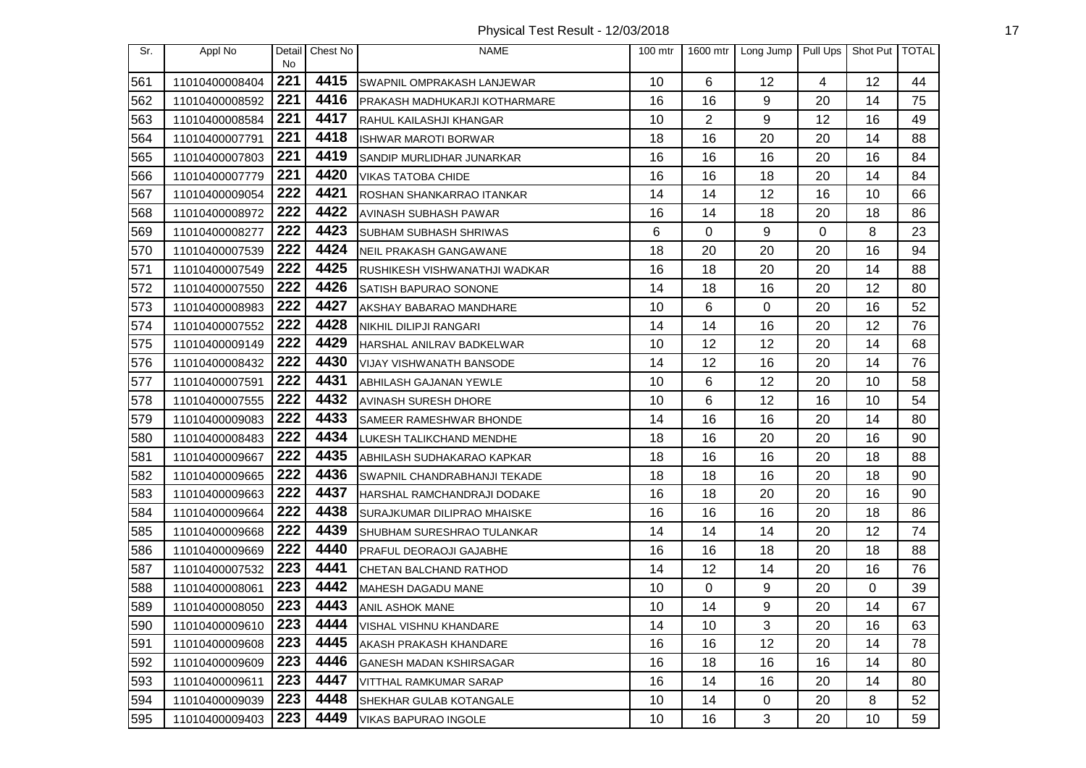| Sr. | Appl No        | No. | Detail Chest No | <b>NAME</b>                        | $100$ mtr | 1600 mtr | Long Jump   | Pull Ups | Shot Put   TOTAL |    |
|-----|----------------|-----|-----------------|------------------------------------|-----------|----------|-------------|----------|------------------|----|
| 561 | 11010400008404 | 221 | 4415            | SWAPNIL OMPRAKASH LANJEWAR         | 10        | 6        | 12          | 4        | 12               | 44 |
| 562 | 11010400008592 | 221 | 4416            | PRAKASH MADHUKARJI KOTHARMARE      | 16        | 16       | 9           | 20       | 14               | 75 |
| 563 | 11010400008584 | 221 | 4417            | RAHUL KAILASHJI KHANGAR            | 10        | 2        | 9           | 12       | 16               | 49 |
| 564 | 11010400007791 | 221 | 4418            | <b>ISHWAR MAROTI BORWAR</b>        | 18        | 16       | 20          | 20       | 14               | 88 |
| 565 | 11010400007803 | 221 | 4419            | SANDIP MURLIDHAR JUNARKAR          | 16        | 16       | 16          | 20       | 16               | 84 |
| 566 | 11010400007779 | 221 | 4420            | <b>VIKAS TATOBA CHIDE</b>          | 16        | 16       | 18          | 20       | 14               | 84 |
| 567 | 11010400009054 | 222 | 4421            | ROSHAN SHANKARRAO ITANKAR          | 14        | 14       | 12          | 16       | 10               | 66 |
| 568 | 11010400008972 | 222 | 4422            | AVINASH SUBHASH PAWAR              | 16        | 14       | 18          | 20       | 18               | 86 |
| 569 | 11010400008277 | 222 | 4423            | SUBHAM SUBHASH SHRIWAS             | 6         | 0        | 9           | 0        | 8                | 23 |
| 570 | 11010400007539 | 222 | 4424            | NEIL PRAKASH GANGAWANE             | 18        | 20       | 20          | 20       | 16               | 94 |
| 571 | 11010400007549 | 222 | 4425            | RUSHIKESH VISHWANATHJI WADKAR      | 16        | 18       | 20          | 20       | 14               | 88 |
| 572 | 11010400007550 | 222 | 4426            | SATISH BAPURAO SONONE              | 14        | 18       | 16          | 20       | 12               | 80 |
| 573 | 11010400008983 | 222 | 4427            | AKSHAY BABARAO MANDHARE            | 10        | 6        | 0           | 20       | 16               | 52 |
| 574 | 11010400007552 | 222 | 4428            | NIKHIL DILIPJI RANGARI             | 14        | 14       | 16          | 20       | 12               | 76 |
| 575 | 11010400009149 | 222 | 4429            | HARSHAL ANILRAV BADKELWAR          | 10        | 12       | 12          | 20       | 14               | 68 |
| 576 | 11010400008432 | 222 | 4430            | VIJAY VISHWANATH BANSODE           | 14        | 12       | 16          | 20       | 14               | 76 |
| 577 | 11010400007591 | 222 | 4431            | <b>ABHILASH GAJANAN YEWLE</b>      | 10        | 6        | 12          | 20       | 10               | 58 |
| 578 | 11010400007555 | 222 | 4432            | AVINASH SURESH DHORE               | 10        | 6        | 12          | 16       | 10               | 54 |
| 579 | 11010400009083 | 222 | 4433            | SAMEER RAMESHWAR BHONDE            | 14        | 16       | 16          | 20       | 14               | 80 |
| 580 | 11010400008483 | 222 | 4434            | LUKESH TALIKCHAND MENDHE           | 18        | 16       | 20          | 20       | 16               | 90 |
| 581 | 11010400009667 | 222 | 4435            | ABHILASH SUDHAKARAO KAPKAR         | 18        | 16       | 16          | 20       | 18               | 88 |
| 582 | 11010400009665 | 222 | 4436            | SWAPNIL CHANDRABHANJI TEKADE       | 18        | 18       | 16          | 20       | 18               | 90 |
| 583 | 11010400009663 | 222 | 4437            | HARSHAL RAMCHANDRAJI DODAKE        | 16        | 18       | 20          | 20       | 16               | 90 |
| 584 | 11010400009664 | 222 | 4438            | <b>SURAJKUMAR DILIPRAO MHAISKE</b> | 16        | 16       | 16          | 20       | 18               | 86 |
| 585 | 11010400009668 | 222 | 4439            | SHUBHAM SURESHRAO TULANKAR         | 14        | 14       | 14          | 20       | 12               | 74 |
| 586 | 11010400009669 | 222 | 4440            | PRAFUL DEORAOJI GAJABHE            | 16        | 16       | 18          | 20       | 18               | 88 |
| 587 | 11010400007532 | 223 | 4441            | CHETAN BALCHAND RATHOD             | 14        | 12       | 14          | 20       | 16               | 76 |
| 588 | 11010400008061 | 223 | 4442            | <b>MAHESH DAGADU MANE</b>          | 10        | 0        | 9           | 20       | 0                | 39 |
| 589 | 11010400008050 | 223 | 4443            | <b>ANIL ASHOK MANE</b>             | 10        | 14       | 9           | 20       | 14               | 67 |
| 590 | 11010400009610 | 223 | 4444            | <b>VISHAL VISHNU KHANDARE</b>      | 14        | 10       | 3           | 20       | 16               | 63 |
| 591 | 11010400009608 | 223 | 4445            | AKASH PRAKASH KHANDARE             | 16        | 16       | 12          | 20       | 14               | 78 |
| 592 | 11010400009609 | 223 | 4446            | GANESH MADAN KSHIRSAGAR            | 16        | 18       | 16          | 16       | 14               | 80 |
| 593 | 11010400009611 | 223 | 4447            | VITTHAL RAMKUMAR SARAP             | 16        | 14       | 16          | 20       | 14               | 80 |
| 594 | 11010400009039 | 223 | 4448            | SHEKHAR GULAB KOTANGALE            | 10        | 14       | $\mathbf 0$ | 20       | 8                | 52 |
| 595 | 11010400009403 | 223 | 4449            | <b>VIKAS BAPURAO INGOLE</b>        | 10        | 16       | 3           | 20       | 10               | 59 |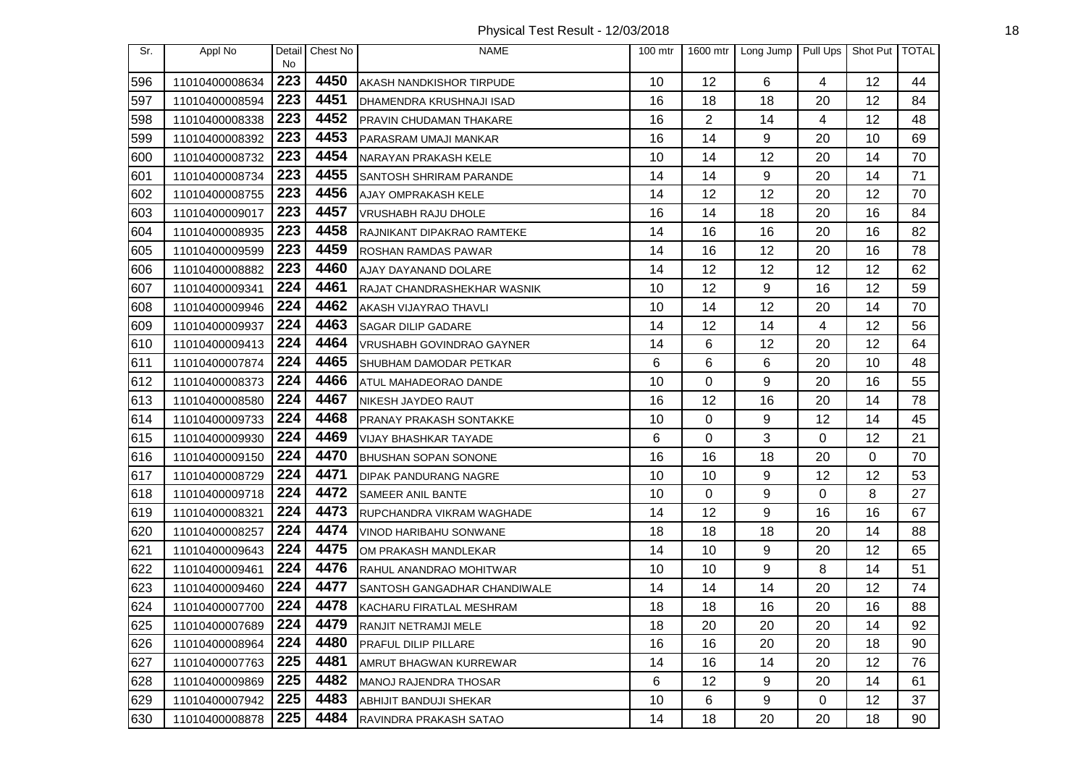Physical Test Result - 12/03/2018 18

| Sr. | Appl No        | Detail<br>No | Chest No | <b>NAME</b>                    | $100$ mtr |          | 1600 mtr   Long Jump | Pull Ups | Shot Put   TOTAL |    |
|-----|----------------|--------------|----------|--------------------------------|-----------|----------|----------------------|----------|------------------|----|
| 596 | 11010400008634 | 223          | 4450     | AKASH NANDKISHOR TIRPUDE       | 10        | 12       | 6                    | 4        | 12               | 44 |
| 597 | 11010400008594 | 223          | 4451     | DHAMENDRA KRUSHNAJI ISAD       | 16        | 18       | 18                   | 20       | 12               | 84 |
| 598 | 11010400008338 | 223          | 4452     | PRAVIN CHUDAMAN THAKARE        | 16        | 2        | 14                   | 4        | 12               | 48 |
| 599 | 11010400008392 | 223          | 4453     | PARASRAM UMAJI MANKAR          | 16        | 14       | 9                    | 20       | 10               | 69 |
| 600 | 11010400008732 | 223          | 4454     | NARAYAN PRAKASH KELE           | 10        | 14       | 12                   | 20       | 14               | 70 |
| 601 | 11010400008734 | 223          | 4455     | SANTOSH SHRIRAM PARANDE        | 14        | 14       | 9                    | 20       | 14               | 71 |
| 602 | 11010400008755 | 223          | 4456     | AJAY OMPRAKASH KELE            | 14        | 12       | 12                   | 20       | 12               | 70 |
| 603 | 11010400009017 | 223          | 4457     | VRUSHABH RAJU DHOLE            | 16        | 14       | 18                   | 20       | 16               | 84 |
| 604 | 11010400008935 | 223          | 4458     | RAJNIKANT DIPAKRAO RAMTEKE     | 14        | 16       | 16                   | 20       | 16               | 82 |
| 605 | 11010400009599 | 223          | 4459     | <b>ROSHAN RAMDAS PAWAR</b>     | 14        | 16       | 12                   | 20       | 16               | 78 |
| 606 | 11010400008882 | 223          | 4460     | AJAY DAYANAND DOLARE           | 14        | 12       | 12                   | 12       | 12               | 62 |
| 607 | 11010400009341 | 224          | 4461     | RAJAT CHANDRASHEKHAR WASNIK    | 10        | 12       | 9                    | 16       | 12               | 59 |
| 608 | 11010400009946 | 224          | 4462     | AKASH VIJAYRAO THAVLI          | 10        | 14       | 12                   | 20       | 14               | 70 |
| 609 | 11010400009937 | 224          | 4463     | <b>SAGAR DILIP GADARE</b>      | 14        | 12       | 14                   | 4        | 12               | 56 |
| 610 | 11010400009413 | 224          | 4464     | VRUSHABH GOVINDRAO GAYNER      | 14        | 6        | 12                   | 20       | 12               | 64 |
| 611 | 11010400007874 | 224          | 4465     | SHUBHAM DAMODAR PETKAR         | 6         | 6        | 6                    | 20       | 10               | 48 |
| 612 | 11010400008373 | 224          | 4466     | ATUL MAHADEORAO DANDE          | 10        | 0        | 9                    | 20       | 16               | 55 |
| 613 | 11010400008580 | 224          | 4467     | NIKESH JAYDEO RAUT             | 16        | 12       | 16                   | 20       | 14               | 78 |
| 614 | 11010400009733 | 224          | 4468     | <b>PRANAY PRAKASH SONTAKKE</b> | 10        | $\Omega$ | 9                    | 12       | 14               | 45 |
| 615 | 11010400009930 | 224          | 4469     | <b>VIJAY BHASHKAR TAYADE</b>   | 6         | 0        | 3                    | 0        | 12               | 21 |
| 616 | 11010400009150 | 224          | 4470     | <b>BHUSHAN SOPAN SONONE</b>    | 16        | 16       | 18                   | 20       | 0                | 70 |
| 617 | 11010400008729 | 224          | 4471     | <b>DIPAK PANDURANG NAGRE</b>   | 10        | 10       | 9                    | 12       | 12               | 53 |
| 618 | 11010400009718 | 224          | 4472     | <b>SAMEER ANIL BANTE</b>       | 10        | 0        | 9                    | 0        | 8                | 27 |
| 619 | 11010400008321 | 224          | 4473     | RUPCHANDRA VIKRAM WAGHADE      | 14        | 12       | 9                    | 16       | 16               | 67 |
| 620 | 11010400008257 | 224          | 4474     | VINOD HARIBAHU SONWANE         | 18        | 18       | 18                   | 20       | 14               | 88 |
| 621 | 11010400009643 | 224          | 4475     | OM PRAKASH MANDLEKAR           | 14        | 10       | 9                    | 20       | 12               | 65 |
| 622 | 11010400009461 | 224          | 4476     | RAHUL ANANDRAO MOHITWAR        | 10        | 10       | 9                    | 8        | 14               | 51 |
| 623 | 11010400009460 | 224          | 4477     | SANTOSH GANGADHAR CHANDIWALE   | 14        | 14       | 14                   | 20       | 12               | 74 |
| 624 | 11010400007700 | 224          | 4478     | KACHARU FIRATLAL MESHRAM       | 18        | 18       | 16                   | 20       | 16               | 88 |
| 625 | 11010400007689 | 224          | 4479     | <b>RANJIT NETRAMJI MELE</b>    | 18        | 20       | 20                   | 20       | 14               | 92 |
| 626 | 11010400008964 | 224          | 4480     | <b>PRAFUL DILIP PILLARE</b>    | 16        | 16       | 20                   | 20       | 18               | 90 |
| 627 | 11010400007763 | 225          | 4481     | AMRUT BHAGWAN KURREWAR         | 14        | 16       | 14                   | 20       | 12               | 76 |
| 628 | 11010400009869 | 225          | 4482     | MANOJ RAJENDRA THOSAR          | 6         | 12       | 9                    | 20       | 14               | 61 |
| 629 | 11010400007942 | 225          | 4483     | ABHIJIT BANDUJI SHEKAR         | 10        | 6        | 9                    | 0        | 12               | 37 |
| 630 | 11010400008878 | 225          | 4484     | RAVINDRA PRAKASH SATAO         | 14        | 18       | 20                   | 20       | 18               | 90 |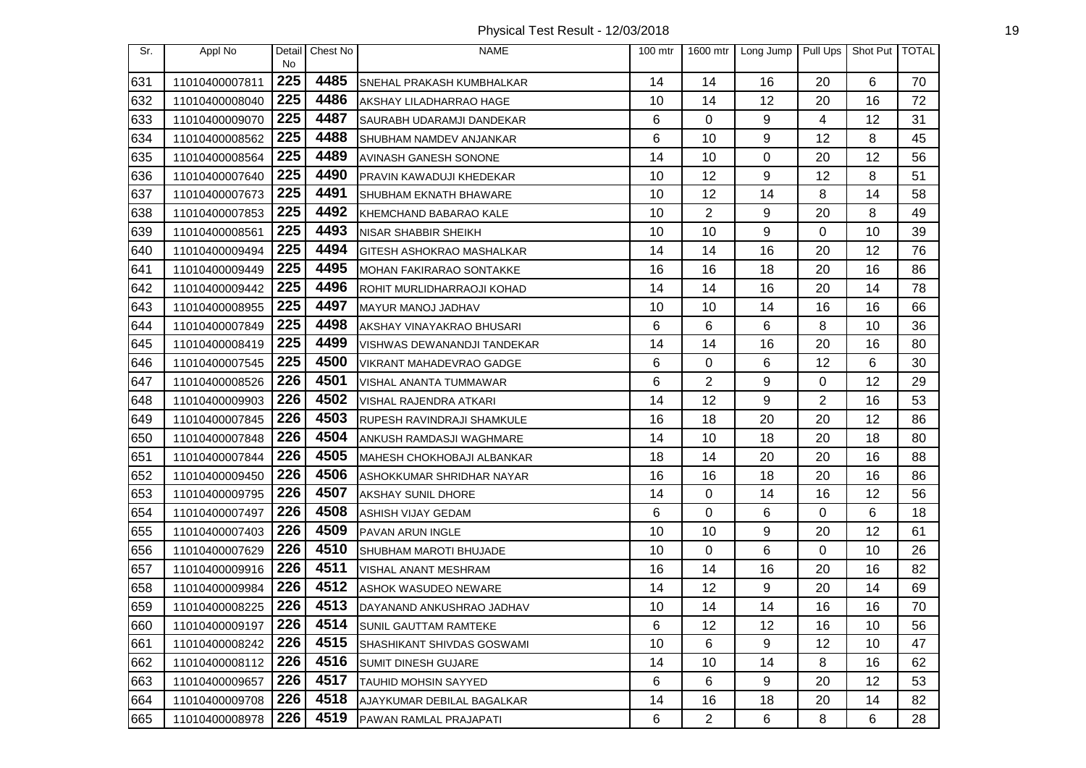Physical Test Result - 12/03/2018 19

| Sr. | Appl No        | Detail<br><b>No</b> | Chest No | <b>NAME</b>                      | 100 mtr | 1600 mtr       | Long Jump | Pull Ups | Shot Put   TOTAL |    |
|-----|----------------|---------------------|----------|----------------------------------|---------|----------------|-----------|----------|------------------|----|
| 631 | 11010400007811 | 225                 | 4485     | SNEHAL PRAKASH KUMBHALKAR        | 14      | 14             | 16        | 20       | 6                | 70 |
| 632 | 11010400008040 | 225                 | 4486     | AKSHAY LILADHARRAO HAGE          | 10      | 14             | 12        | 20       | 16               | 72 |
| 633 | 11010400009070 | 225                 | 4487     | SAURABH UDARAMJI DANDEKAR        | 6       | 0              | 9         | 4        | 12               | 31 |
| 634 | 11010400008562 | 225                 | 4488     | <b>SHUBHAM NAMDEV ANJANKAR</b>   | 6       | 10             | 9         | 12       | 8                | 45 |
| 635 | 11010400008564 | 225                 | 4489     | <b>AVINASH GANESH SONONE</b>     | 14      | 10             | $\Omega$  | 20       | 12               | 56 |
| 636 | 11010400007640 | 225                 | 4490     | PRAVIN KAWADUJI KHEDEKAR         | 10      | 12             | 9         | 12       | 8                | 51 |
| 637 | 11010400007673 | 225                 | 4491     | SHUBHAM EKNATH BHAWARE           | 10      | 12             | 14        | 8        | 14               | 58 |
| 638 | 11010400007853 | 225                 | 4492     | KHEMCHAND BABARAO KALE           | 10      | $\overline{2}$ | 9         | 20       | 8                | 49 |
| 639 | 11010400008561 | 225                 | 4493     | <b>NISAR SHABBIR SHEIKH</b>      | 10      | 10             | 9         | 0        | 10               | 39 |
| 640 | 11010400009494 | 225                 | 4494     | <b>GITESH ASHOKRAO MASHALKAR</b> | 14      | 14             | 16        | 20       | 12               | 76 |
| 641 | 11010400009449 | 225                 | 4495     | MOHAN FAKIRARAO SONTAKKE         | 16      | 16             | 18        | 20       | 16               | 86 |
| 642 | 11010400009442 | 225                 | 4496     | ROHIT MURLIDHARRAOJI KOHAD       | 14      | 14             | 16        | 20       | 14               | 78 |
| 643 | 11010400008955 | 225                 | 4497     | MAYUR MANOJ JADHAV               | 10      | 10             | 14        | 16       | 16               | 66 |
| 644 | 11010400007849 | 225                 | 4498     | AKSHAY VINAYAKRAO BHUSARI        | 6       | 6              | 6         | 8        | 10               | 36 |
| 645 | 11010400008419 | 225                 | 4499     | VISHWAS DEWANANDJI TANDEKAR      | 14      | 14             | 16        | 20       | 16               | 80 |
| 646 | 11010400007545 | 225                 | 4500     | VIKRANT MAHADEVRAO GADGE         | 6       | 0              | 6         | 12       | 6                | 30 |
| 647 | 11010400008526 | 226                 | 4501     | VISHAL ANANTA TUMMAWAR           | 6       | $\overline{2}$ | 9         | 0        | 12               | 29 |
| 648 | 11010400009903 | 226                 | 4502     | VISHAL RAJENDRA ATKARI           | 14      | 12             | 9         | 2        | 16               | 53 |
| 649 | 11010400007845 | 226                 | 4503     | RUPESH RAVINDRAJI SHAMKULE       | 16      | 18             | 20        | 20       | 12               | 86 |
| 650 | 11010400007848 | 226                 | 4504     | ANKUSH RAMDASJI WAGHMARE         | 14      | 10             | 18        | 20       | 18               | 80 |
| 651 | 11010400007844 | 226                 | 4505     | MAHESH CHOKHOBAJI ALBANKAR       | 18      | 14             | 20        | 20       | 16               | 88 |
| 652 | 11010400009450 | 226                 | 4506     | ASHOKKUMAR SHRIDHAR NAYAR        | 16      | 16             | 18        | 20       | 16               | 86 |
| 653 | 11010400009795 | 226                 | 4507     | <b>AKSHAY SUNIL DHORE</b>        | 14      | 0              | 14        | 16       | 12               | 56 |
| 654 | 11010400007497 | 226                 | 4508     | <b>ASHISH VIJAY GEDAM</b>        | 6       | $\Omega$       | 6         | 0        | 6                | 18 |
| 655 | 11010400007403 | 226                 | 4509     | PAVAN ARUN INGLE                 | 10      | 10             | 9         | 20       | 12               | 61 |
| 656 | 11010400007629 | 226                 | 4510     | SHUBHAM MAROTI BHUJADE           | 10      | 0              | 6         | 0        | 10               | 26 |
| 657 | 11010400009916 | 226                 | 4511     | VISHAL ANANT MESHRAM             | 16      | 14             | 16        | 20       | 16               | 82 |
| 658 | 11010400009984 | 226                 | 4512     | <b>ASHOK WASUDEO NEWARE</b>      | 14      | 12             | 9         | 20       | 14               | 69 |
| 659 | 11010400008225 | 226                 | 4513     | DAYANAND ANKUSHRAO JADHAV        | 10      | 14             | 14        | 16       | 16               | 70 |
| 660 | 11010400009197 | 226                 | 4514     | <b>SUNIL GAUTTAM RAMTEKE</b>     | 6       | 12             | 12        | 16       | 10               | 56 |
| 661 | 11010400008242 | 226                 | 4515     | SHASHIKANT SHIVDAS GOSWAMI       | 10      | 6              | 9         | 12       | 10               | 47 |
| 662 | 11010400008112 | 226                 | 4516     | <b>SUMIT DINESH GUJARE</b>       | 14      | 10             | 14        | 8        | 16               | 62 |
| 663 | 11010400009657 | 226                 | 4517     | TAUHID MOHSIN SAYYED             | 6       | 6              | 9         | 20       | 12               | 53 |
| 664 | 11010400009708 | 226                 | 4518     | AJAYKUMAR DEBILAL BAGALKAR       | 14      | 16             | 18        | 20       | 14               | 82 |
| 665 | 11010400008978 | 226                 | 4519     | PAWAN RAMLAL PRAJAPATI           | 6       | 2              | 6         | 8        | 6                | 28 |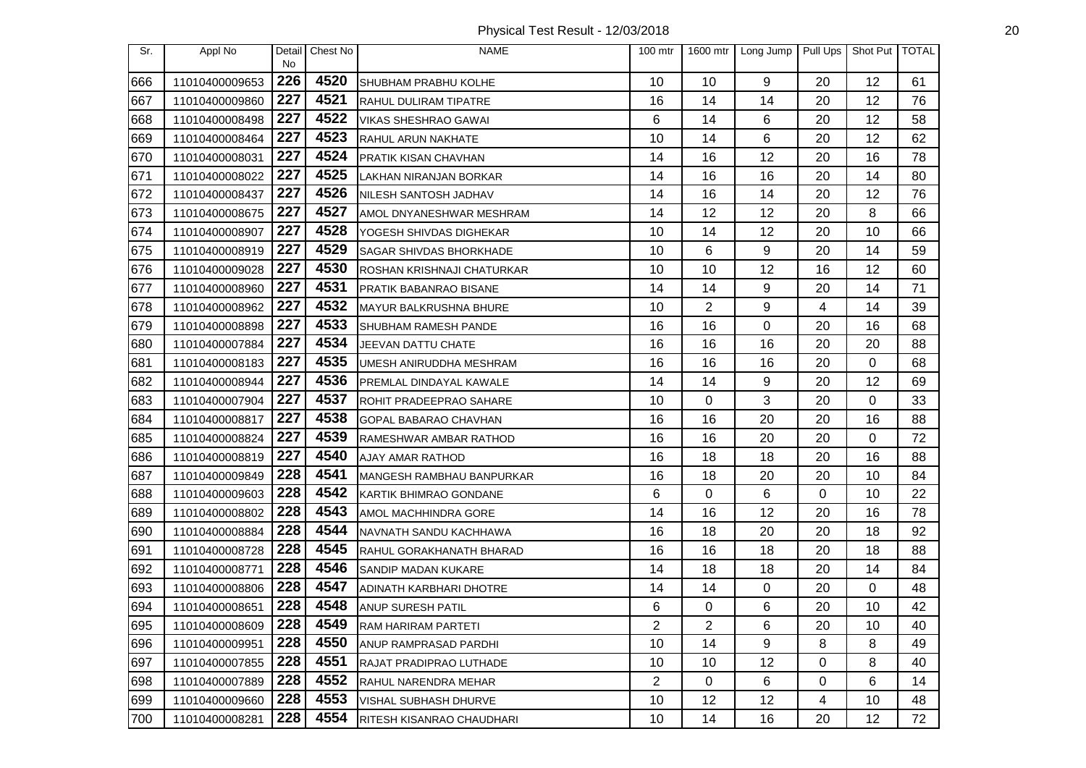Physical Test Result - 12/03/2018 20

| Sr. | Appl No        | No  | Detail Chest No | <b>NAME</b>                    | $100$ mtr      | 1600 mtr       | Long Jump | Pull Ups | Shot Put TOTAL |    |
|-----|----------------|-----|-----------------|--------------------------------|----------------|----------------|-----------|----------|----------------|----|
| 666 | 11010400009653 | 226 | 4520            | SHUBHAM PRABHU KOLHE           | 10             | 10             | 9         | 20       | 12             | 61 |
| 667 | 11010400009860 | 227 | 4521            | <b>RAHUL DULIRAM TIPATRE</b>   | 16             | 14             | 14        | 20       | 12             | 76 |
| 668 | 11010400008498 | 227 | 4522            | VIKAS SHESHRAO GAWAI           | 6              | 14             | 6         | 20       | 12             | 58 |
| 669 | 11010400008464 | 227 | 4523            | RAHUL ARUN NAKHATE             | 10             | 14             | 6         | 20       | 12             | 62 |
| 670 | 11010400008031 | 227 | 4524            | <b>PRATIK KISAN CHAVHAN</b>    | 14             | 16             | 12        | 20       | 16             | 78 |
| 671 | 11010400008022 | 227 | 4525            | LAKHAN NIRANJAN BORKAR         | 14             | 16             | 16        | 20       | 14             | 80 |
| 672 | 11010400008437 | 227 | 4526            | NILESH SANTOSH JADHAV          | 14             | 16             | 14        | 20       | 12             | 76 |
| 673 | 11010400008675 | 227 | 4527            | AMOL DNYANESHWAR MESHRAM       | 14             | 12             | 12        | 20       | 8              | 66 |
| 674 | 11010400008907 | 227 | 4528            | YOGESH SHIVDAS DIGHEKAR        | 10             | 14             | 12        | 20       | 10             | 66 |
| 675 | 11010400008919 | 227 | 4529            | <b>SAGAR SHIVDAS BHORKHADE</b> | 10             | 6              | 9         | 20       | 14             | 59 |
| 676 | 11010400009028 | 227 | 4530            | ROSHAN KRISHNAJI CHATURKAR     | 10             | 10             | 12        | 16       | 12             | 60 |
| 677 | 11010400008960 | 227 | 4531            | PRATIK BABANRAO BISANE         | 14             | 14             | 9         | 20       | 14             | 71 |
| 678 | 11010400008962 | 227 | 4532            | MAYUR BALKRUSHNA BHURE         | 10             | $\overline{2}$ | 9         | 4        | 14             | 39 |
| 679 | 11010400008898 | 227 | 4533            | SHUBHAM RAMESH PANDE           | 16             | 16             | 0         | 20       | 16             | 68 |
| 680 | 11010400007884 | 227 | 4534            | JEEVAN DATTU CHATE             | 16             | 16             | 16        | 20       | 20             | 88 |
| 681 | 11010400008183 | 227 | 4535            | UMESH ANIRUDDHA MESHRAM        | 16             | 16             | 16        | 20       | 0              | 68 |
| 682 | 11010400008944 | 227 | 4536            | PREMLAL DINDAYAL KAWALE        | 14             | 14             | 9         | 20       | 12             | 69 |
| 683 | 11010400007904 | 227 | 4537            | ROHIT PRADEEPRAO SAHARE        | 10             | 0              | 3         | 20       | 0              | 33 |
| 684 | 11010400008817 | 227 | 4538            | GOPAL BABARAO CHAVHAN          | 16             | 16             | 20        | 20       | 16             | 88 |
| 685 | 11010400008824 | 227 | 4539            | RAMESHWAR AMBAR RATHOD         | 16             | 16             | 20        | 20       | 0              | 72 |
| 686 | 11010400008819 | 227 | 4540            | AJAY AMAR RATHOD               | 16             | 18             | 18        | 20       | 16             | 88 |
| 687 | 11010400009849 | 228 | 4541            | MANGESH RAMBHAU BANPURKAR      | 16             | 18             | 20        | 20       | 10             | 84 |
| 688 | 11010400009603 | 228 | 4542            | KARTIK BHIMRAO GONDANE         | 6              | 0              | 6         | 0        | 10             | 22 |
| 689 | 11010400008802 | 228 | 4543            | AMOL MACHHINDRA GORE           | 14             | 16             | 12        | 20       | 16             | 78 |
| 690 | 11010400008884 | 228 | 4544            | NAVNATH SANDU KACHHAWA         | 16             | 18             | 20        | 20       | 18             | 92 |
| 691 | 11010400008728 | 228 | 4545            | RAHUL GORAKHANATH BHARAD       | 16             | 16             | 18        | 20       | 18             | 88 |
| 692 | 11010400008771 | 228 | 4546            | SANDIP MADAN KUKARE            | 14             | 18             | 18        | 20       | 14             | 84 |
| 693 | 11010400008806 | 228 | 4547            | ADINATH KARBHARI DHOTRE        | 14             | 14             | 0         | 20       | 0              | 48 |
| 694 | 11010400008651 | 228 | 4548            | ANUP SURESH PATIL              | 6              | 0              | 6         | 20       | 10             | 42 |
| 695 | 11010400008609 | 228 | 4549            | RAM HARIRAM PARTETI            | 2              | 2              | 6         | 20       | 10             | 40 |
| 696 | 11010400009951 | 228 | 4550            | ANUP RAMPRASAD PARDHI          | 10             | 14             | 9         | 8        | 8              | 49 |
| 697 | 11010400007855 | 228 | 4551            | RAJAT PRADIPRAO LUTHADE        | 10             | 10             | 12        | 0        | 8              | 40 |
| 698 | 11010400007889 | 228 | 4552            | <b>RAHUL NARENDRA MEHAR</b>    | $\overline{2}$ | 0              | 6         | 0        | 6              | 14 |
| 699 | 11010400009660 | 228 | 4553            | VISHAL SUBHASH DHURVE          | 10             | 12             | 12        | 4        | 10             | 48 |
| 700 | 11010400008281 | 228 | 4554            | RITESH KISANRAO CHAUDHARI      | 10             | 14             | 16        | 20       | 12             | 72 |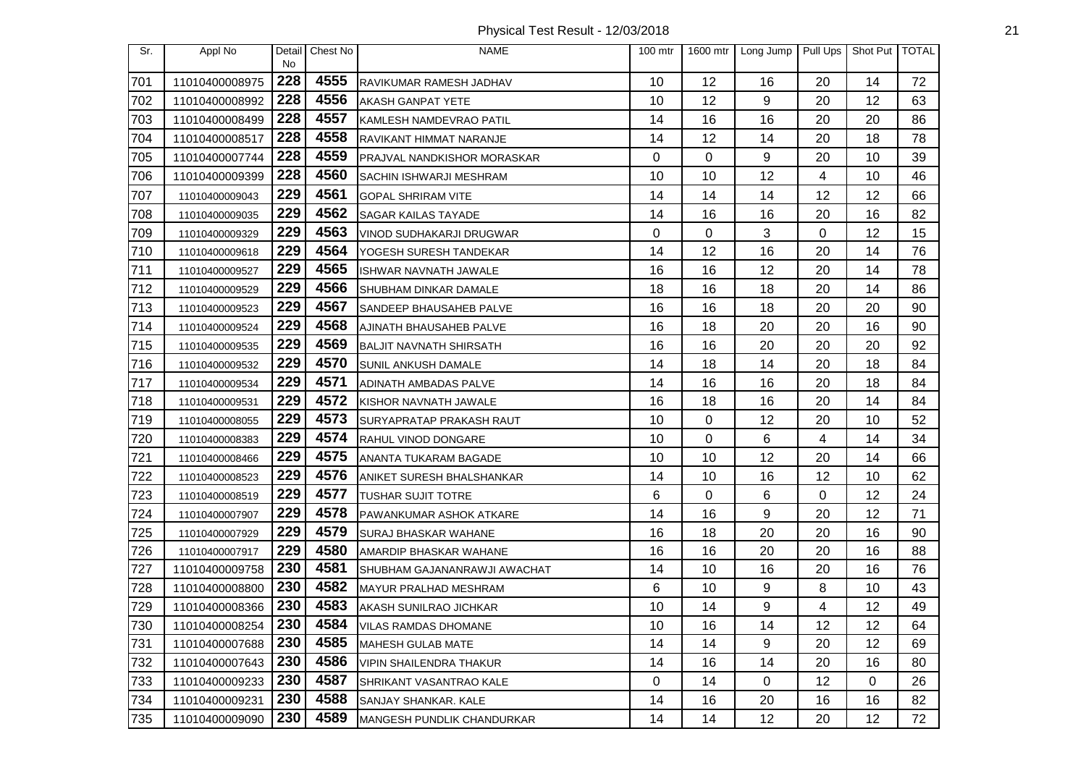| Sr. | Appl No        | Detail<br><b>No</b> | Chest No | <b>NAME</b>                    | 100 mtr | 1600 mtr | Long Jump   | Pull Ups | Shot Put   TOTAL |    |
|-----|----------------|---------------------|----------|--------------------------------|---------|----------|-------------|----------|------------------|----|
| 701 | 11010400008975 | 228                 | 4555     | RAVIKUMAR RAMESH JADHAV        | 10      | 12       | 16          | 20       | 14               | 72 |
| 702 | 11010400008992 | 228                 | 4556     | <b>AKASH GANPAT YETE</b>       | 10      | 12       | 9           | 20       | 12               | 63 |
| 703 | 11010400008499 | 228                 | 4557     | KAMLESH NAMDEVRAO PATIL        | 14      | 16       | 16          | 20       | 20               | 86 |
| 704 | 11010400008517 | 228                 | 4558     | RAVIKANT HIMMAT NARANJE        | 14      | 12       | 14          | 20       | 18               | 78 |
| 705 | 11010400007744 | 228                 | 4559     | PRAJVAL NANDKISHOR MORASKAR    | 0       | 0        | 9           | 20       | 10               | 39 |
| 706 | 11010400009399 | 228                 | 4560     | <b>SACHIN ISHWARJI MESHRAM</b> | 10      | 10       | 12          | 4        | 10               | 46 |
| 707 | 11010400009043 | 229                 | 4561     | <b>GOPAL SHRIRAM VITE</b>      | 14      | 14       | 14          | 12       | 12               | 66 |
| 708 | 11010400009035 | 229                 | 4562     | <b>SAGAR KAILAS TAYADE</b>     | 14      | 16       | 16          | 20       | 16               | 82 |
| 709 | 11010400009329 | 229                 | 4563     | VINOD SUDHAKARJI DRUGWAR       | 0       | 0        | 3           | 0        | 12               | 15 |
| 710 | 11010400009618 | 229                 | 4564     | YOGESH SURESH TANDEKAR         | 14      | 12       | 16          | 20       | 14               | 76 |
| 711 | 11010400009527 | 229                 | 4565     | ISHWAR NAVNATH JAWALE          | 16      | 16       | 12          | 20       | 14               | 78 |
| 712 | 11010400009529 | 229                 | 4566     | <b>SHUBHAM DINKAR DAMALE</b>   | 18      | 16       | 18          | 20       | 14               | 86 |
| 713 | 11010400009523 | 229                 | 4567     | SANDEEP BHAUSAHEB PALVE        | 16      | 16       | 18          | 20       | 20               | 90 |
| 714 | 11010400009524 | 229                 | 4568     | AJINATH BHAUSAHEB PALVE        | 16      | 18       | 20          | 20       | 16               | 90 |
| 715 | 11010400009535 | 229                 | 4569     | <b>BALJIT NAVNATH SHIRSATH</b> | 16      | 16       | 20          | 20       | 20               | 92 |
| 716 | 11010400009532 | 229                 | 4570     | SUNIL ANKUSH DAMALE            | 14      | 18       | 14          | 20       | 18               | 84 |
| 717 | 11010400009534 | 229                 | 4571     | ADINATH AMBADAS PALVE          | 14      | 16       | 16          | 20       | 18               | 84 |
| 718 | 11010400009531 | 229                 | 4572     | KISHOR NAVNATH JAWALE          | 16      | 18       | 16          | 20       | 14               | 84 |
| 719 | 11010400008055 | 229                 | 4573     | SURYAPRATAP PRAKASH RAUT       | 10      | 0        | 12          | 20       | 10               | 52 |
| 720 | 11010400008383 | 229                 | 4574     | RAHUL VINOD DONGARE            | 10      | 0        | 6           | 4        | 14               | 34 |
| 721 | 11010400008466 | 229                 | 4575     | ANANTA TUKARAM BAGADE          | 10      | 10       | 12          | 20       | 14               | 66 |
| 722 | 11010400008523 | 229                 | 4576     | ANIKET SURESH BHALSHANKAR      | 14      | 10       | 16          | 12       | 10               | 62 |
| 723 | 11010400008519 | 229                 | 4577     | <b>TUSHAR SUJIT TOTRE</b>      | 6       | 0        | 6           | 0        | 12               | 24 |
| 724 | 11010400007907 | 229                 | 4578     | PAWANKUMAR ASHOK ATKARE        | 14      | 16       | 9           | 20       | 12               | 71 |
| 725 | 11010400007929 | 229                 | 4579     | SURAJ BHASKAR WAHANE           | 16      | 18       | 20          | 20       | 16               | 90 |
| 726 | 11010400007917 | 229                 | 4580     | AMARDIP BHASKAR WAHANE         | 16      | 16       | 20          | 20       | 16               | 88 |
| 727 | 11010400009758 | 230                 | 4581     | SHUBHAM GAJANANRAWJI AWACHAT   | 14      | 10       | 16          | 20       | 16               | 76 |
| 728 | 11010400008800 | 230                 | 4582     | MAYUR PRALHAD MESHRAM          | 6       | 10       | 9           | 8        | 10               | 43 |
| 729 | 11010400008366 | 230                 | 4583     | AKASH SUNILRAO JICHKAR         | 10      | 14       | 9           | 4        | 12               | 49 |
| 730 | 11010400008254 | 230                 | 4584     | <b>VILAS RAMDAS DHOMANE</b>    | 10      | 16       | 14          | 12       | 12               | 64 |
| 731 | 11010400007688 | 230                 | 4585     | <b>MAHESH GULAB MATE</b>       | 14      | 14       | 9           | 20       | 12               | 69 |
| 732 | 11010400007643 | 230                 | 4586     | <b>VIPIN SHAILENDRA THAKUR</b> | 14      | 16       | 14          | 20       | 16               | 80 |
| 733 | 11010400009233 | 230                 | 4587     | SHRIKANT VASANTRAO KALE        | 0       | 14       | $\mathbf 0$ | 12       | 0                | 26 |
| 734 | 11010400009231 | 230                 | 4588     | SANJAY SHANKAR. KALE           | 14      | 16       | 20          | 16       | 16               | 82 |
| 735 | 11010400009090 | 230                 | 4589     | MANGESH PUNDLIK CHANDURKAR     | 14      | 14       | 12          | 20       | 12               | 72 |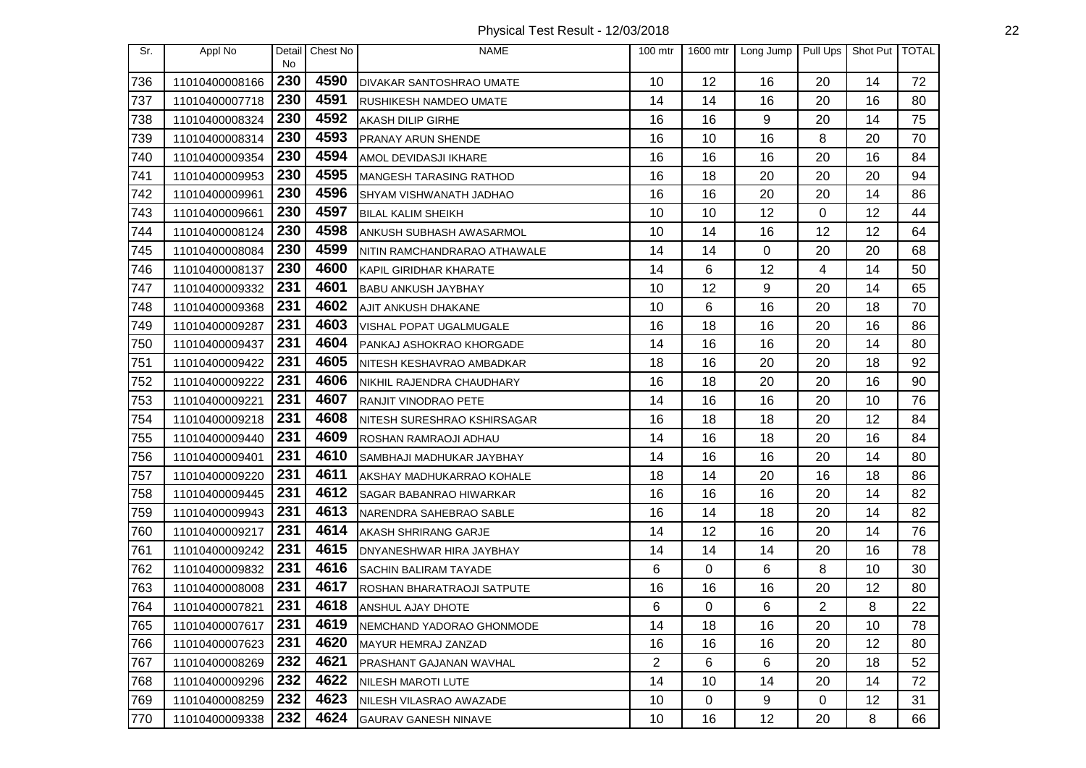| Sr. | Appl No        | Detail           | Chest No | <b>NAME</b>                       | $100$ mtr | 1600 mtr | Long Jump | Pull Ups | Shot Put   TOTAL |    |
|-----|----------------|------------------|----------|-----------------------------------|-----------|----------|-----------|----------|------------------|----|
| 736 | 11010400008166 | <b>No</b><br>230 | 4590     | DIVAKAR SANTOSHRAO UMATE          | 10        | 12       | 16        | 20       | 14               | 72 |
| 737 | 11010400007718 | 230              | 4591     | <b>RUSHIKESH NAMDEO UMATE</b>     | 14        | 14       | 16        | 20       | 16               | 80 |
| 738 | 11010400008324 | 230              | 4592     | AKASH DILIP GIRHE                 | 16        | 16       | 9         | 20       | 14               | 75 |
| 739 | 11010400008314 | 230              | 4593     | PRANAY ARUN SHENDE                | 16        | 10       | 16        | 8        | 20               | 70 |
| 740 | 11010400009354 | 230              | 4594     | AMOL DEVIDASJI IKHARE             | 16        | 16       | 16        | 20       | 16               | 84 |
| 741 | 11010400009953 | 230              | 4595     | <b>MANGESH TARASING RATHOD</b>    | 16        | 18       | 20        | 20       | 20               | 94 |
| 742 | 11010400009961 | 230              | 4596     | SHYAM VISHWANATH JADHAO           | 16        | 16       | 20        | 20       | 14               | 86 |
| 743 | 11010400009661 | 230              | 4597     | <b>BILAL KALIM SHEIKH</b>         | 10        | 10       | 12        | 0        | 12               | 44 |
| 744 | 11010400008124 | 230              | 4598     | ANKUSH SUBHASH AWASARMOL          | 10        | 14       | 16        | 12       | 12               | 64 |
| 745 | 11010400008084 | 230              | 4599     | NITIN RAMCHANDRARAO ATHAWALE      | 14        | 14       | 0         | 20       | 20               | 68 |
| 746 | 11010400008137 | 230              | 4600     | KAPIL GIRIDHAR KHARATE            | 14        | 6        | 12        | 4        | 14               | 50 |
| 747 | 11010400009332 | 231              | 4601     | <b>BABU ANKUSH JAYBHAY</b>        | 10        | 12       | 9         | 20       | 14               | 65 |
| 748 | 11010400009368 | 231              | 4602     | AJIT ANKUSH DHAKANE               | 10        | 6        | 16        | 20       | 18               | 70 |
| 749 | 11010400009287 | 231              | 4603     | <b>VISHAL POPAT UGALMUGALE</b>    | 16        | 18       | 16        | 20       | 16               | 86 |
| 750 | 11010400009437 | 231              | 4604     | PANKAJ ASHOKRAO KHORGADE          | 14        | 16       | 16        | 20       | 14               | 80 |
| 751 | 11010400009422 | 231              | 4605     | NITESH KESHAVRAO AMBADKAR         | 18        | 16       | 20        | 20       | 18               | 92 |
| 752 | 11010400009222 | 231              | 4606     | NIKHIL RAJENDRA CHAUDHARY         | 16        | 18       | 20        | 20       | 16               | 90 |
| 753 | 11010400009221 | 231              | 4607     | RANJIT VINODRAO PETE              | 14        | 16       | 16        | 20       | 10               | 76 |
| 754 | 11010400009218 | 231              | 4608     | NITESH SURESHRAO KSHIRSAGAR       | 16        | 18       | 18        | 20       | 12               | 84 |
| 755 | 11010400009440 | 231              | 4609     | ROSHAN RAMRAOJI ADHAU             | 14        | 16       | 18        | 20       | 16               | 84 |
| 756 | 11010400009401 | 231              | 4610     | SAMBHAJI MADHUKAR JAYBHAY         | 14        | 16       | 16        | 20       | 14               | 80 |
| 757 | 11010400009220 | 231              | 4611     | AKSHAY MADHUKARRAO KOHALE         | 18        | 14       | 20        | 16       | 18               | 86 |
| 758 | 11010400009445 | 231              | 4612     | SAGAR BABANRAO HIWARKAR           | 16        | 16       | 16        | 20       | 14               | 82 |
| 759 | 11010400009943 | 231              | 4613     | NARENDRA SAHEBRAO SABLE           | 16        | 14       | 18        | 20       | 14               | 82 |
| 760 | 11010400009217 | 231              | 4614     | <b>AKASH SHRIRANG GARJE</b>       | 14        | 12       | 16        | 20       | 14               | 76 |
| 761 | 11010400009242 | 231              | 4615     | DNYANESHWAR HIRA JAYBHAY          | 14        | 14       | 14        | 20       | 16               | 78 |
| 762 | 11010400009832 | 231              | 4616     | <b>SACHIN BALIRAM TAYADE</b>      | 6         | 0        | 6         | 8        | 10               | 30 |
| 763 | 11010400008008 | 231              | 4617     | <b>ROSHAN BHARATRAOJI SATPUTE</b> | 16        | 16       | 16        | 20       | 12               | 80 |
| 764 | 11010400007821 | 231              | 4618     | ANSHUL AJAY DHOTE                 | 6         | 0        | 6         | 2        | 8                | 22 |
| 765 | 11010400007617 | $\overline{231}$ | 4619     | NEMCHAND YADORAO GHONMODE         | 14        | 18       | 16        | 20       | 10               | 78 |
| 766 | 11010400007623 | 231              | 4620     | MAYUR HEMRAJ ZANZAD               | 16        | 16       | 16        | 20       | 12               | 80 |
| 767 | 11010400008269 | 232              | 4621     | PRASHANT GAJANAN WAVHAL           | 2         | 6        | 6         | 20       | 18               | 52 |
| 768 | 11010400009296 | 232              | 4622     | NILESH MAROTI LUTE                | 14        | 10       | 14        | 20       | 14               | 72 |
| 769 | 11010400008259 | 232              | 4623     | NILESH VILASRAO AWAZADE           | 10        | 0        | 9         | 0        | 12               | 31 |
| 770 | 11010400009338 | 232              | 4624     | <b>GAURAV GANESH NINAVE</b>       | 10        | 16       | 12        | 20       | 8                | 66 |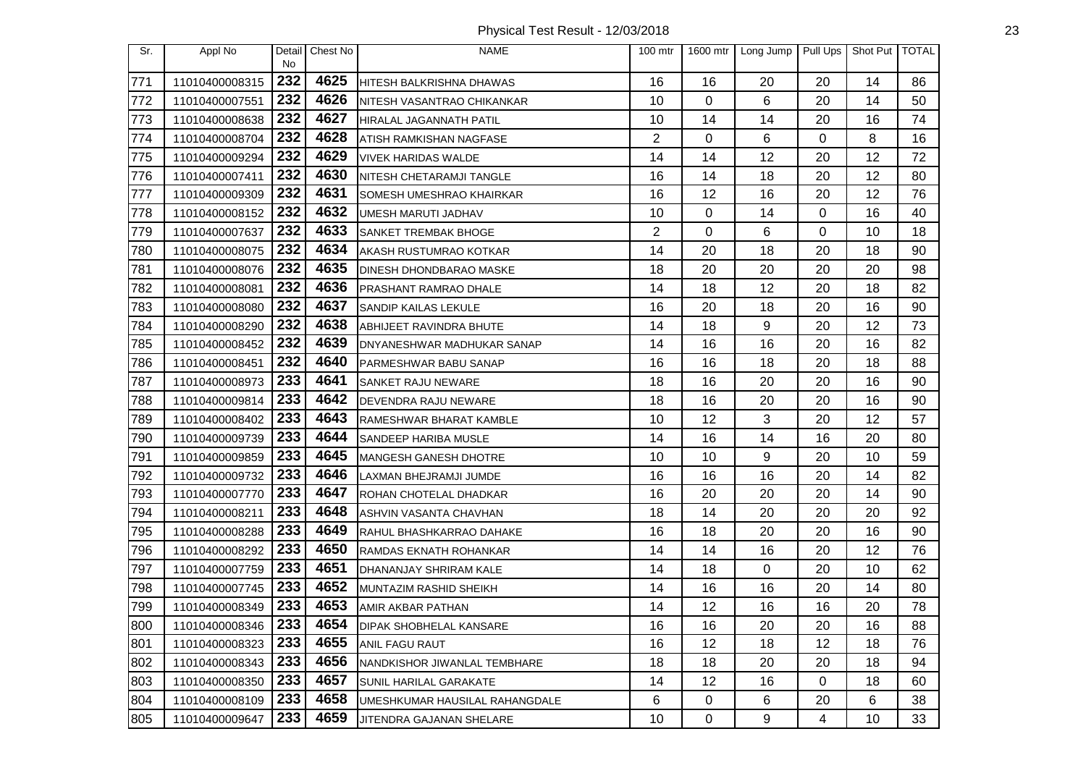Physical Test Result - 12/03/2018 23

| Sr. | Appl No        | Detail<br>No | Chest No | <b>NAME</b>                    | 100 mtr        | 1600 mtr | Long Jump   | Pull Ups | Shot Put | <b>TOTAL</b> |
|-----|----------------|--------------|----------|--------------------------------|----------------|----------|-------------|----------|----------|--------------|
| 771 | 11010400008315 | 232          | 4625     | HITESH BALKRISHNA DHAWAS       | 16             | 16       | 20          | 20       | 14       | 86           |
| 772 | 11010400007551 | 232          | 4626     | NITESH VASANTRAO CHIKANKAR     | 10             | 0        | 6           | 20       | 14       | 50           |
| 773 | 11010400008638 | 232          | 4627     | HIRALAL JAGANNATH PATIL        | 10             | 14       | 14          | 20       | 16       | 74           |
| 774 | 11010400008704 | 232          | 4628     | ATISH RAMKISHAN NAGFASE        | $\overline{2}$ | 0        | 6           | 0        | 8        | 16           |
| 775 | 11010400009294 | 232          | 4629     | <b>VIVEK HARIDAS WALDE</b>     | 14             | 14       | 12          | 20       | 12       | 72           |
| 776 | 11010400007411 | 232          | 4630     | NITESH CHETARAMJI TANGLE       | 16             | 14       | 18          | 20       | 12       | 80           |
| 777 | 11010400009309 | 232          | 4631     | SOMESH UMESHRAO KHAIRKAR       | 16             | 12       | 16          | 20       | 12       | 76           |
| 778 | 11010400008152 | 232          | 4632     | UMESH MARUTI JADHAV            | 10             | 0        | 14          | 0        | 16       | 40           |
| 779 | 11010400007637 | 232          | 4633     | SANKET TREMBAK BHOGE           | $\overline{2}$ | 0        | 6           | 0        | 10       | 18           |
| 780 | 11010400008075 | 232          | 4634     | AKASH RUSTUMRAO KOTKAR         | 14             | 20       | 18          | 20       | 18       | 90           |
| 781 | 11010400008076 | 232          | 4635     | DINESH DHONDBARAO MASKE        | 18             | 20       | 20          | 20       | 20       | 98           |
| 782 | 11010400008081 | 232          | 4636     | <b>PRASHANT RAMRAO DHALE</b>   | 14             | 18       | 12          | 20       | 18       | 82           |
| 783 | 11010400008080 | 232          | 4637     | SANDIP KAILAS LEKULE           | 16             | 20       | 18          | 20       | 16       | 90           |
| 784 | 11010400008290 | 232          | 4638     | ABHIJEET RAVINDRA BHUTE        | 14             | 18       | 9           | 20       | 12       | 73           |
| 785 | 11010400008452 | 232          | 4639     | DNYANESHWAR MADHUKAR SANAP     | 14             | 16       | 16          | 20       | 16       | 82           |
| 786 | 11010400008451 | 232          | 4640     | PARMESHWAR BABU SANAP          | 16             | 16       | 18          | 20       | 18       | 88           |
| 787 | 11010400008973 | 233          | 4641     | <b>SANKET RAJU NEWARE</b>      | 18             | 16       | 20          | 20       | 16       | 90           |
| 788 | 11010400009814 | 233          | 4642     | DEVENDRA RAJU NEWARE           | 18             | 16       | 20          | 20       | 16       | 90           |
| 789 | 11010400008402 | 233          | 4643     | RAMESHWAR BHARAT KAMBLE        | 10             | 12       | 3           | 20       | 12       | 57           |
| 790 | 11010400009739 | 233          | 4644     | SANDEEP HARIBA MUSLE           | 14             | 16       | 14          | 16       | 20       | 80           |
| 791 | 11010400009859 | 233          | 4645     | MANGESH GANESH DHOTRE          | 10             | 10       | 9           | 20       | 10       | 59           |
| 792 | 11010400009732 | 233          | 4646     | LAXMAN BHEJRAMJI JUMDE         | 16             | 16       | 16          | 20       | 14       | 82           |
| 793 | 11010400007770 | 233          | 4647     | ROHAN CHOTELAL DHADKAR         | 16             | 20       | 20          | 20       | 14       | 90           |
| 794 | 11010400008211 | 233          | 4648     | ASHVIN VASANTA CHAVHAN         | 18             | 14       | 20          | 20       | 20       | 92           |
| 795 | 11010400008288 | 233          | 4649     | RAHUL BHASHKARRAO DAHAKE       | 16             | 18       | 20          | 20       | 16       | 90           |
| 796 | 11010400008292 | 233          | 4650     | RAMDAS EKNATH ROHANKAR         | 14             | 14       | 16          | 20       | 12       | 76           |
| 797 | 11010400007759 | 233          | 4651     | DHANANJAY SHRIRAM KALE         | 14             | 18       | $\mathbf 0$ | 20       | 10       | 62           |
| 798 | 11010400007745 | 233          | 4652     | MUNTAZIM RASHID SHEIKH         | 14             | 16       | 16          | 20       | 14       | 80           |
| 799 | 11010400008349 | 233          | 4653     | AMIR AKBAR PATHAN              | 14             | 12       | 16          | 16       | 20       | 78           |
| 800 | 11010400008346 | 233          | 4654     | <b>DIPAK SHOBHELAL KANSARE</b> | 16             | 16       | 20          | 20       | 16       | 88           |
| 801 | 11010400008323 | 233          | 4655     | <b>ANIL FAGU RAUT</b>          | 16             | 12       | 18          | 12       | 18       | 76           |
| 802 | 11010400008343 | 233          | 4656     | NANDKISHOR JIWANLAL TEMBHARE   | 18             | 18       | 20          | 20       | 18       | 94           |
| 803 | 11010400008350 | 233          | 4657     | SUNIL HARILAL GARAKATE         | 14             | 12       | 16          | 0        | 18       | 60           |
| 804 | 11010400008109 | 233          | 4658     | UMESHKUMAR HAUSILAL RAHANGDALE | 6              | 0        | 6           | 20       | 6        | 38           |
| 805 | 11010400009647 | 233          | 4659     | JITENDRA GAJANAN SHELARE       | 10             | 0        | 9           | 4        | 10       | 33           |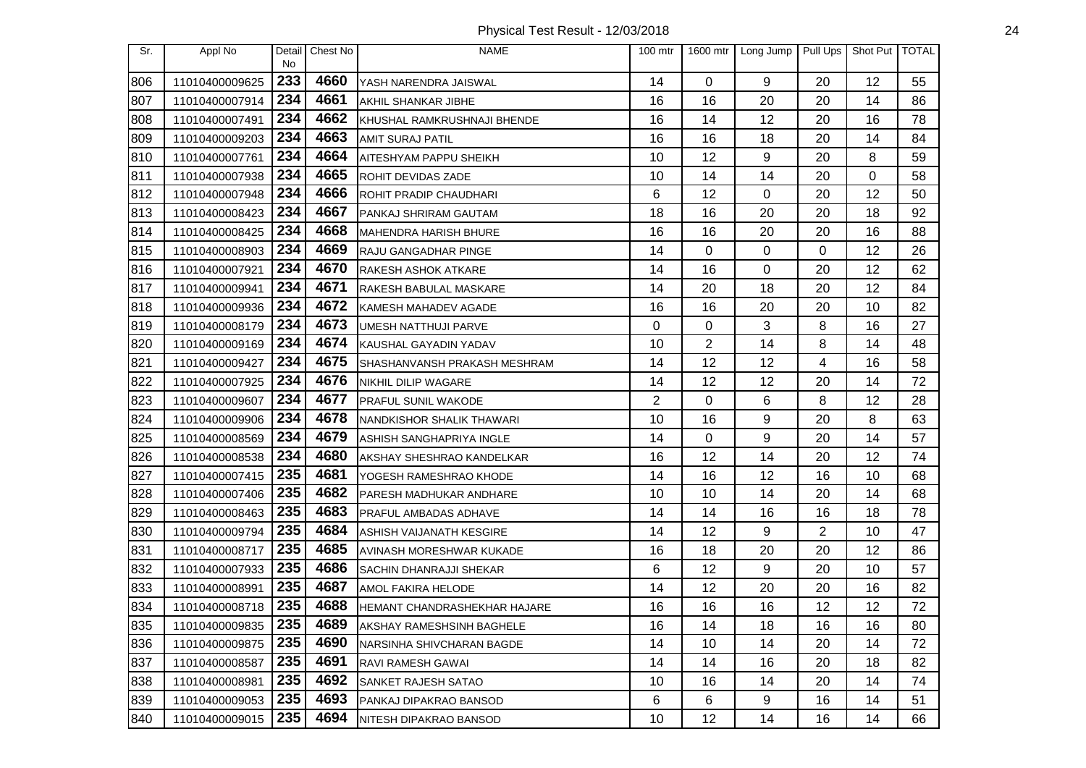| Sr. | Appl No        | Detail<br><b>No</b> | Chest No | <b>NAME</b>                    | 100 mtr        | 1600 mtr       | Long Jump   | Pull Ups | Shot Put   TOTAL |    |
|-----|----------------|---------------------|----------|--------------------------------|----------------|----------------|-------------|----------|------------------|----|
| 806 | 11010400009625 | 233                 | 4660     | YASH NARENDRA JAISWAL          | 14             | 0              | 9           | 20       | 12               | 55 |
| 807 | 11010400007914 | 234                 | 4661     | AKHIL SHANKAR JIBHE            | 16             | 16             | 20          | 20       | 14               | 86 |
| 808 | 11010400007491 | 234                 | 4662     | KHUSHAL RAMKRUSHNAJI BHENDE    | 16             | 14             | 12          | 20       | 16               | 78 |
| 809 | 11010400009203 | 234                 | 4663     | <b>AMIT SURAJ PATIL</b>        | 16             | 16             | 18          | 20       | 14               | 84 |
| 810 | 11010400007761 | 234                 | 4664     | AITESHYAM PAPPU SHEIKH         | 10             | 12             | 9           | 20       | 8                | 59 |
| 811 | 11010400007938 | 234                 | 4665     | ROHIT DEVIDAS ZADE             | 10             | 14             | 14          | 20       | 0                | 58 |
| 812 | 11010400007948 | 234                 | 4666     | ROHIT PRADIP CHAUDHARI         | 6              | 12             | $\mathbf 0$ | 20       | 12               | 50 |
| 813 | 11010400008423 | 234                 | 4667     | PANKAJ SHRIRAM GAUTAM          | 18             | 16             | 20          | 20       | 18               | 92 |
| 814 | 11010400008425 | 234                 | 4668     | <b>MAHENDRA HARISH BHURE</b>   | 16             | 16             | 20          | 20       | 16               | 88 |
| 815 | 11010400008903 | 234                 | 4669     | <b>RAJU GANGADHAR PINGE</b>    | 14             | 0              | 0           | 0        | 12               | 26 |
| 816 | 11010400007921 | 234                 | 4670     | RAKESH ASHOK ATKARE            | 14             | 16             | 0           | 20       | 12               | 62 |
| 817 | 11010400009941 | 234                 | 4671     | RAKESH BABULAL MASKARE         | 14             | 20             | 18          | 20       | 12               | 84 |
| 818 | 11010400009936 | 234                 | 4672     | KAMESH MAHADEV AGADE           | 16             | 16             | 20          | 20       | 10               | 82 |
| 819 | 11010400008179 | 234                 | 4673     | UMESH NATTHUJI PARVE           | 0              | 0              | 3           | 8        | 16               | 27 |
| 820 | 11010400009169 | 234                 | 4674     | <b>KAUSHAL GAYADIN YADAV</b>   | 10             | $\overline{2}$ | 14          | 8        | 14               | 48 |
| 821 | 11010400009427 | 234                 | 4675     | SHASHANVANSH PRAKASH MESHRAM   | 14             | 12             | 12          | 4        | 16               | 58 |
| 822 | 11010400007925 | 234                 | 4676     | NIKHIL DILIP WAGARE            | 14             | 12             | 12          | 20       | 14               | 72 |
| 823 | 11010400009607 | 234                 | 4677     | PRAFUL SUNIL WAKODE            | $\overline{2}$ | 0              | 6           | 8        | 12               | 28 |
| 824 | 11010400009906 | 234                 | 4678     | NANDKISHOR SHALIK THAWARI      | 10             | 16             | 9           | 20       | 8                | 63 |
| 825 | 11010400008569 | 234                 | 4679     | ASHISH SANGHAPRIYA INGLE       | 14             | 0              | 9           | 20       | 14               | 57 |
| 826 | 11010400008538 | 234                 | 4680     | AKSHAY SHESHRAO KANDELKAR      | 16             | 12             | 14          | 20       | 12               | 74 |
| 827 | 11010400007415 | 235                 | 4681     | YOGESH RAMESHRAO KHODE         | 14             | 16             | 12          | 16       | 10               | 68 |
| 828 | 11010400007406 | 235                 | 4682     | PARESH MADHUKAR ANDHARE        | 10             | 10             | 14          | 20       | 14               | 68 |
| 829 | 11010400008463 | 235                 | 4683     | PRAFUL AMBADAS ADHAVE          | 14             | 14             | 16          | 16       | 18               | 78 |
| 830 | 11010400009794 | 235                 | 4684     | ASHISH VAIJANATH KESGIRE       | 14             | 12             | 9           | 2        | 10               | 47 |
| 831 | 11010400008717 | 235                 | 4685     | AVINASH MORESHWAR KUKADE       | 16             | 18             | 20          | 20       | 12               | 86 |
| 832 | 11010400007933 | 235                 | 4686     | <b>SACHIN DHANRAJJI SHEKAR</b> | 6              | 12             | 9           | 20       | 10               | 57 |
| 833 | 11010400008991 | 235                 | 4687     | AMOL FAKIRA HELODE             | 14             | 12             | 20          | 20       | 16               | 82 |
| 834 | 11010400008718 | 235                 | 4688     | HEMANT CHANDRASHEKHAR HAJARE   | 16             | 16             | 16          | 12       | 12               | 72 |
| 835 | 11010400009835 | 235                 | 4689     | AKSHAY RAMESHSINH BAGHELE      | 16             | 14             | 18          | 16       | 16               | 80 |
| 836 | 11010400009875 | 235                 | 4690     | NARSINHA SHIVCHARAN BAGDE      | 14             | 10             | 14          | 20       | 14               | 72 |
| 837 | 11010400008587 | 235                 | 4691     | RAVI RAMESH GAWAI              | 14             | 14             | 16          | 20       | 18               | 82 |
| 838 | 11010400008981 | 235                 | 4692     | SANKET RAJESH SATAO            | 10             | 16             | 14          | 20       | 14               | 74 |
| 839 | 11010400009053 | 235                 | 4693     | PANKAJ DIPAKRAO BANSOD         | 6              | 6              | 9           | 16       | 14               | 51 |
| 840 | 11010400009015 | 235                 | 4694     | NITESH DIPAKRAO BANSOD         | 10             | 12             | 14          | 16       | 14               | 66 |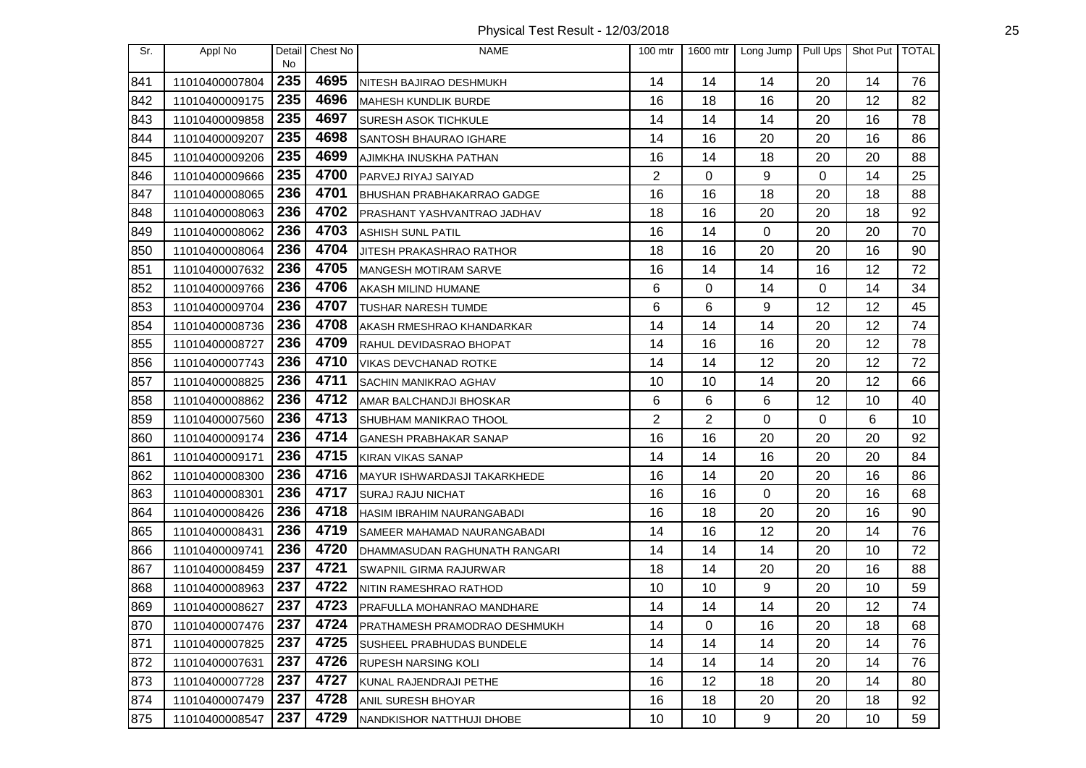Physical Test Result - 12/03/2018 25

| Sr. | Appl No        | No  | Detail Chest No | <b>NAME</b>                        | $100$ mtr       | 1600 mtr       | Long Jump   | Pull Ups | Shot Put TOTAL |    |
|-----|----------------|-----|-----------------|------------------------------------|-----------------|----------------|-------------|----------|----------------|----|
| 841 | 11010400007804 | 235 | 4695            | NITESH BAJIRAO DESHMUKH            | 14              | 14             | 14          | 20       | 14             | 76 |
| 842 | 11010400009175 | 235 | 4696            | <b>MAHESH KUNDLIK BURDE</b>        | 16              | 18             | 16          | 20       | 12             | 82 |
| 843 | 11010400009858 | 235 | 4697            | <b>SURESH ASOK TICHKULE</b>        | 14              | 14             | 14          | 20       | 16             | 78 |
| 844 | 11010400009207 | 235 | 4698            | SANTOSH BHAURAO IGHARE             | 14              | 16             | 20          | 20       | 16             | 86 |
| 845 | 11010400009206 | 235 | 4699            | AJIMKHA INUSKHA PATHAN             | 16              | 14             | 18          | 20       | 20             | 88 |
| 846 | 11010400009666 | 235 | 4700            | PARVEJ RIYAJ SAIYAD                | $\overline{2}$  | 0              | 9           | 0        | 14             | 25 |
| 847 | 11010400008065 | 236 | 4701            | <b>BHUSHAN PRABHAKARRAO GADGE</b>  | 16              | 16             | 18          | 20       | 18             | 88 |
| 848 | 11010400008063 | 236 | 4702            | <b>PRASHANT YASHVANTRAO JADHAV</b> | 18              | 16             | 20          | 20       | 18             | 92 |
| 849 | 11010400008062 | 236 | 4703            | <b>ASHISH SUNL PATIL</b>           | 16              | 14             | 0           | 20       | 20             | 70 |
| 850 | 11010400008064 | 236 | 4704            | <b>JITESH PRAKASHRAO RATHOR</b>    | 18              | 16             | 20          | 20       | 16             | 90 |
| 851 | 11010400007632 | 236 | 4705            | <b>MANGESH MOTIRAM SARVE</b>       | 16              | 14             | 14          | 16       | 12             | 72 |
| 852 | 11010400009766 | 236 | 4706            | AKASH MILIND HUMANE                | 6               | 0              | 14          | 0        | 14             | 34 |
| 853 | 11010400009704 | 236 | 4707            | TUSHAR NARESH TUMDE                | $6\phantom{1}6$ | 6              | 9           | 12       | 12             | 45 |
| 854 | 11010400008736 | 236 | 4708            | AKASH RMESHRAO KHANDARKAR          | 14              | 14             | 14          | 20       | 12             | 74 |
| 855 | 11010400008727 | 236 | 4709            | RAHUL DEVIDASRAO BHOPAT            | 14              | 16             | 16          | 20       | 12             | 78 |
| 856 | 11010400007743 | 236 | 4710            | VIKAS DEVCHANAD ROTKE              | 14              | 14             | 12          | 20       | 12             | 72 |
| 857 | 11010400008825 | 236 | 4711            | <b>SACHIN MANIKRAO AGHAV</b>       | 10              | 10             | 14          | 20       | 12             | 66 |
| 858 | 11010400008862 | 236 | 4712            | AMAR BALCHANDJI BHOSKAR            | 6               | 6              | 6           | 12       | 10             | 40 |
| 859 | 11010400007560 | 236 | 4713            | <b>SHUBHAM MANIKRAO THOOL</b>      | 2               | $\overline{2}$ | $\mathbf 0$ | 0        | 6              | 10 |
| 860 | 11010400009174 | 236 | 4714            | <b>GANESH PRABHAKAR SANAP</b>      | 16              | 16             | 20          | 20       | 20             | 92 |
| 861 | 11010400009171 | 236 | 4715            | <b>KIRAN VIKAS SANAP</b>           | 14              | 14             | 16          | 20       | 20             | 84 |
| 862 | 11010400008300 | 236 | 4716            | MAYUR ISHWARDASJI TAKARKHEDE       | 16              | 14             | 20          | 20       | 16             | 86 |
| 863 | 11010400008301 | 236 | 4717            | <b>SURAJ RAJU NICHAT</b>           | 16              | 16             | 0           | 20       | 16             | 68 |
| 864 | 11010400008426 | 236 | 4718            | <b>HASIM IBRAHIM NAURANGABADI</b>  | 16              | 18             | 20          | 20       | 16             | 90 |
| 865 | 11010400008431 | 236 | 4719            | SAMEER MAHAMAD NAURANGABADI        | 14              | 16             | 12          | 20       | 14             | 76 |
| 866 | 11010400009741 | 236 | 4720            | DHAMMASUDAN RAGHUNATH RANGARI      | 14              | 14             | 14          | 20       | 10             | 72 |
| 867 | 11010400008459 | 237 | 4721            | <b>SWAPNIL GIRMA RAJURWAR</b>      | 18              | 14             | 20          | 20       | 16             | 88 |
| 868 | 11010400008963 | 237 | 4722            | NITIN RAMESHRAO RATHOD             | 10              | 10             | 9           | 20       | 10             | 59 |
| 869 | 11010400008627 | 237 | 4723            | PRAFULLA MOHANRAO MANDHARE         | 14              | 14             | 14          | 20       | 12             | 74 |
| 870 | 11010400007476 | 237 | 4724            | PRATHAMESH PRAMODRAO DESHMUKH      | 14              | 0              | 16          | 20       | 18             | 68 |
| 871 | 11010400007825 | 237 | 4725            | SUSHEEL PRABHUDAS BUNDELE          | 14              | 14             | 14          | 20       | 14             | 76 |
| 872 | 11010400007631 | 237 | 4726            | RUPESH NARSING KOLI                | 14              | 14             | 14          | 20       | 14             | 76 |
| 873 | 11010400007728 | 237 | 4727            | <b>KUNAL RAJENDRAJI PETHE</b>      | 16              | 12             | 18          | 20       | 14             | 80 |
| 874 | 11010400007479 | 237 | 4728            | <b>ANIL SURESH BHOYAR</b>          | 16              | 18             | 20          | 20       | 18             | 92 |
| 875 | 11010400008547 | 237 | 4729            | NANDKISHOR NATTHUJI DHOBE          | 10              | 10             | 9           | 20       | 10             | 59 |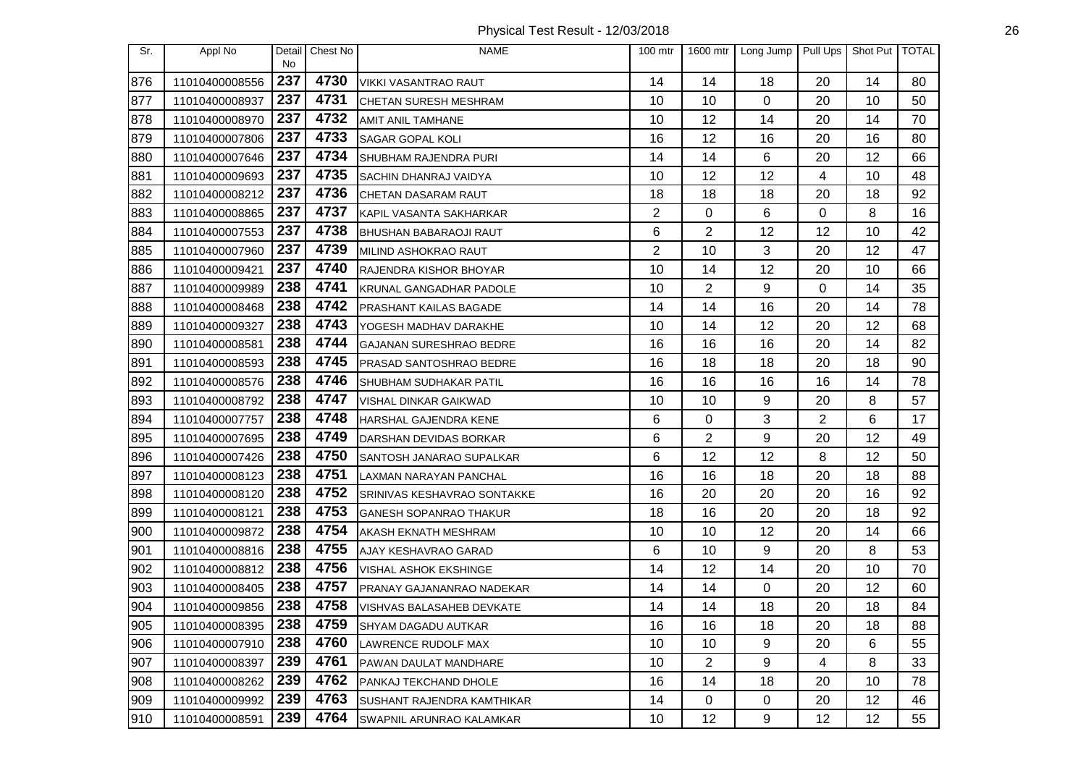Physical Test Result - 12/03/2018 26

| Sr. | Appl No        | Detail<br>No | Chest No | <b>NAME</b>                       | 100 mtr        | 1600 mtr       | Long Jump | Pull Ups | Shot Put   TOTAL |    |
|-----|----------------|--------------|----------|-----------------------------------|----------------|----------------|-----------|----------|------------------|----|
| 876 | 11010400008556 | 237          | 4730     | VIKKI VASANTRAO RAUT              | 14             | 14             | 18        | 20       | 14               | 80 |
| 877 | 11010400008937 | 237          | 4731     | CHETAN SURESH MESHRAM             | 10             | 10             | 0         | 20       | 10               | 50 |
| 878 | 11010400008970 | 237          | 4732     | AMIT ANIL TAMHANE                 | 10             | 12             | 14        | 20       | 14               | 70 |
| 879 | 11010400007806 | 237          | 4733     | SAGAR GOPAL KOLI                  | 16             | 12             | 16        | 20       | 16               | 80 |
| 880 | 11010400007646 | 237          | 4734     | SHUBHAM RAJENDRA PURI             | 14             | 14             | 6         | 20       | 12               | 66 |
| 881 | 11010400009693 | 237          | 4735     | SACHIN DHANRAJ VAIDYA             | 10             | 12             | 12        | 4        | 10               | 48 |
| 882 | 11010400008212 | 237          | 4736     | CHETAN DASARAM RAUT               | 18             | 18             | 18        | 20       | 18               | 92 |
| 883 | 11010400008865 | 237          | 4737     | KAPIL VASANTA SAKHARKAR           | $\overline{2}$ | 0              | 6         | 0        | 8                | 16 |
| 884 | 11010400007553 | 237          | 4738     | <b>BHUSHAN BABARAOJI RAUT</b>     | 6              | 2              | 12        | 12       | 10               | 42 |
| 885 | 11010400007960 | 237          | 4739     | MILIND ASHOKRAO RAUT              | $\overline{2}$ | 10             | 3         | 20       | 12               | 47 |
| 886 | 11010400009421 | 237          | 4740     | RAJENDRA KISHOR BHOYAR            | 10             | 14             | 12        | 20       | 10               | 66 |
| 887 | 11010400009989 | 238          | 4741     | KRUNAL GANGADHAR PADOLE           | 10             | 2              | 9         | 0        | 14               | 35 |
| 888 | 11010400008468 | 238          | 4742     | PRASHANT KAILAS BAGADE            | 14             | 14             | 16        | 20       | 14               | 78 |
| 889 | 11010400009327 | 238          | 4743     | YOGESH MADHAV DARAKHE             | 10             | 14             | 12        | 20       | 12               | 68 |
| 890 | 11010400008581 | 238          | 4744     | <b>GAJANAN SURESHRAO BEDRE</b>    | 16             | 16             | 16        | 20       | 14               | 82 |
| 891 | 11010400008593 | 238          | 4745     | PRASAD SANTOSHRAO BEDRE           | 16             | 18             | 18        | 20       | 18               | 90 |
| 892 | 11010400008576 | 238          | 4746     | SHUBHAM SUDHAKAR PATIL            | 16             | 16             | 16        | 16       | 14               | 78 |
| 893 | 11010400008792 | 238          | 4747     | VISHAL DINKAR GAIKWAD             | 10             | 10             | 9         | 20       | 8                | 57 |
| 894 | 11010400007757 | 238          | 4748     | HARSHAL GAJENDRA KENE             | 6              | 0              | 3         | 2        | 6                | 17 |
| 895 | 11010400007695 | 238          | 4749     | DARSHAN DEVIDAS BORKAR            | 6              | 2              | 9         | 20       | 12               | 49 |
| 896 | 11010400007426 | 238          | 4750     | SANTOSH JANARAO SUPALKAR          | 6              | 12             | 12        | 8        | 12               | 50 |
| 897 | 11010400008123 | 238          | 4751     | LAXMAN NARAYAN PANCHAL            | 16             | 16             | 18        | 20       | 18               | 88 |
| 898 | 11010400008120 | 238          | 4752     | SRINIVAS KESHAVRAO SONTAKKE       | 16             | 20             | 20        | 20       | 16               | 92 |
| 899 | 11010400008121 | 238          | 4753     | GANESH SOPANRAO THAKUR            | 18             | 16             | 20        | 20       | 18               | 92 |
| 900 | 11010400009872 | 238          | 4754     | AKASH EKNATH MESHRAM              | 10             | 10             | 12        | 20       | 14               | 66 |
| 901 | 11010400008816 | 238          | 4755     | AJAY KESHAVRAO GARAD              | 6              | 10             | 9         | 20       | 8                | 53 |
| 902 | 11010400008812 | 238          | 4756     | VISHAL ASHOK EKSHINGE             | 14             | 12             | 14        | 20       | 10               | 70 |
| 903 | 11010400008405 | 238          | 4757     | PRANAY GAJANANRAO NADEKAR         | 14             | 14             | 0         | 20       | 12               | 60 |
| 904 | 11010400009856 | 238          | 4758     | VISHVAS BALASAHEB DEVKATE         | 14             | 14             | 18        | 20       | 18               | 84 |
| 905 | 11010400008395 | 238          | 4759     | <b>SHYAM DAGADU AUTKAR</b>        | 16             | 16             | 18        | 20       | 18               | 88 |
| 906 | 11010400007910 | 238          | 4760     | LAWRENCE RUDOLF MAX               | 10             | 10             | 9         | 20       | 6                | 55 |
| 907 | 11010400008397 | 239          | 4761     | PAWAN DAULAT MANDHARE             | 10             | $\overline{c}$ | 9         | 4        | 8                | 33 |
| 908 | 11010400008262 | 239          | 4762     | PANKAJ TEKCHAND DHOLE             | 16             | 14             | 18        | 20       | 10               | 78 |
| 909 | 11010400009992 | 239          | 4763     | <b>SUSHANT RAJENDRA KAMTHIKAR</b> | 14             | 0              | 0         | 20       | 12               | 46 |
| 910 | 11010400008591 | 239          | 4764     | SWAPNIL ARUNRAO KALAMKAR          | 10             | 12             | 9         | 12       | 12               | 55 |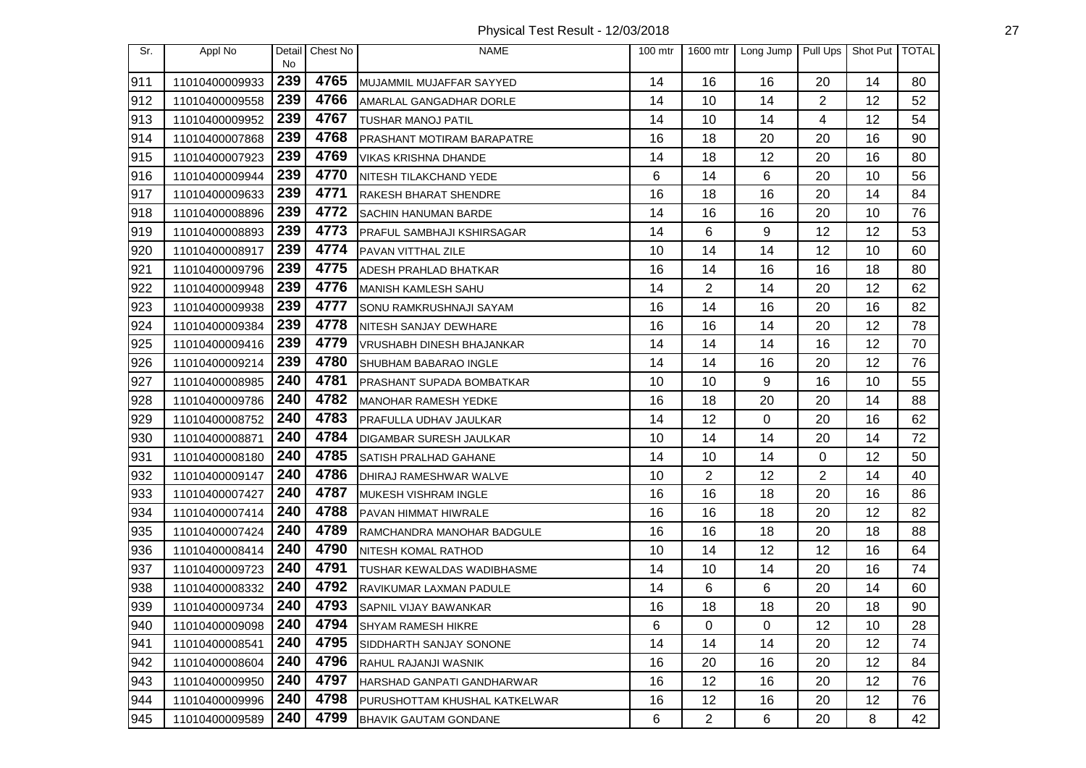Physical Test Result - 12/03/2018 27

| Sr. | Appl No        | Detail<br><b>No</b> | Chest No | <b>NAME</b>                   | $100$ mtr | 1600 mtr       | Long Jump   | Pull Ups       | Shot Put   TOTAL |    |
|-----|----------------|---------------------|----------|-------------------------------|-----------|----------------|-------------|----------------|------------------|----|
| 911 | 11010400009933 | 239                 | 4765     | MUJAMMIL MUJAFFAR SAYYED      | 14        | 16             | 16          | 20             | 14               | 80 |
| 912 | 11010400009558 | 239                 | 4766     | AMARLAL GANGADHAR DORLE       | 14        | 10             | 14          | $\overline{2}$ | 12               | 52 |
| 913 | 11010400009952 | 239                 | 4767     | <b>TUSHAR MANOJ PATIL</b>     | 14        | 10             | 14          | 4              | 12               | 54 |
| 914 | 11010400007868 | 239                 | 4768     | PRASHANT MOTIRAM BARAPATRE    | 16        | 18             | 20          | 20             | 16               | 90 |
| 915 | 11010400007923 | 239                 | 4769     | <b>VIKAS KRISHNA DHANDE</b>   | 14        | 18             | 12          | 20             | 16               | 80 |
| 916 | 11010400009944 | 239                 | 4770     | NITESH TILAKCHAND YEDE        | 6         | 14             | 6           | 20             | 10               | 56 |
| 917 | 11010400009633 | 239                 | 4771     | RAKESH BHARAT SHENDRE         | 16        | 18             | 16          | 20             | 14               | 84 |
| 918 | 11010400008896 | 239                 | 4772     | SACHIN HANUMAN BARDE          | 14        | 16             | 16          | 20             | 10               | 76 |
| 919 | 11010400008893 | 239                 | 4773     | PRAFUL SAMBHAJI KSHIRSAGAR    | 14        | 6              | 9           | 12             | 12               | 53 |
| 920 | 11010400008917 | 239                 | 4774     | PAVAN VITTHAL ZILE            | 10        | 14             | 14          | 12             | 10               | 60 |
| 921 | 11010400009796 | 239                 | 4775     | ADESH PRAHLAD BHATKAR         | 16        | 14             | 16          | 16             | 18               | 80 |
| 922 | 11010400009948 | 239                 | 4776     | <b>MANISH KAMLESH SAHU</b>    | 14        | 2              | 14          | 20             | 12               | 62 |
| 923 | 11010400009938 | 239                 | 4777     | SONU RAMKRUSHNAJI SAYAM       | 16        | 14             | 16          | 20             | 16               | 82 |
| 924 | 11010400009384 | 239                 | 4778     | NITESH SANJAY DEWHARE         | 16        | 16             | 14          | 20             | 12               | 78 |
| 925 | 11010400009416 | 239                 | 4779     | VRUSHABH DINESH BHAJANKAR     | 14        | 14             | 14          | 16             | 12               | 70 |
| 926 | 11010400009214 | 239                 | 4780     | SHUBHAM BABARAO INGLE         | 14        | 14             | 16          | 20             | 12               | 76 |
| 927 | 11010400008985 | 240                 | 4781     | PRASHANT SUPADA BOMBATKAR     | 10        | 10             | 9           | 16             | 10               | 55 |
| 928 | 11010400009786 | 240                 | 4782     | MANOHAR RAMESH YEDKE          | 16        | 18             | 20          | 20             | 14               | 88 |
| 929 | 11010400008752 | 240                 | 4783     | PRAFULLA UDHAV JAULKAR        | 14        | 12             | $\mathbf 0$ | 20             | 16               | 62 |
| 930 | 11010400008871 | 240                 | 4784     | DIGAMBAR SURESH JAULKAR       | 10        | 14             | 14          | 20             | 14               | 72 |
| 931 | 11010400008180 | 240                 | 4785     | SATISH PRALHAD GAHANE         | 14        | 10             | 14          | 0              | 12               | 50 |
| 932 | 11010400009147 | 240                 | 4786     | DHIRAJ RAMESHWAR WALVE        | 10        | 2              | 12          | 2              | 14               | 40 |
| 933 | 11010400007427 | 240                 | 4787     | MUKESH VISHRAM INGLE          | 16        | 16             | 18          | 20             | 16               | 86 |
| 934 | 11010400007414 | 240                 | 4788     | PAVAN HIMMAT HIWRALE          | 16        | 16             | 18          | 20             | 12               | 82 |
| 935 | 11010400007424 | 240                 | 4789     | RAMCHANDRA MANOHAR BADGULE    | 16        | 16             | 18          | 20             | 18               | 88 |
| 936 | 11010400008414 | 240                 | 4790     | NITESH KOMAL RATHOD           | 10        | 14             | 12          | 12             | 16               | 64 |
| 937 | 11010400009723 | 240                 | 4791     | TUSHAR KEWALDAS WADIBHASME    | 14        | 10             | 14          | 20             | 16               | 74 |
| 938 | 11010400008332 | 240                 | 4792     | RAVIKUMAR LAXMAN PADULE       | 14        | 6              | 6           | 20             | 14               | 60 |
| 939 | 11010400009734 | 240                 | 4793     | SAPNIL VIJAY BAWANKAR         | 16        | 18             | 18          | 20             | 18               | 90 |
| 940 | 11010400009098 | 240                 | 4794     | <b>SHYAM RAMESH HIKRE</b>     | 6         | 0              | 0           | 12             | 10               | 28 |
| 941 | 11010400008541 | 240                 | 4795     | SIDDHARTH SANJAY SONONE       | 14        | 14             | 14          | 20             | 12               | 74 |
| 942 | 11010400008604 | 240                 | 4796     | RAHUL RAJANJI WASNIK          | 16        | 20             | 16          | 20             | 12               | 84 |
| 943 | 11010400009950 | 240                 | 4797     | HARSHAD GANPATI GANDHARWAR    | 16        | 12             | 16          | 20             | 12               | 76 |
| 944 | 11010400009996 | 240                 | 4798     | PURUSHOTTAM KHUSHAL KATKELWAR | 16        | 12             | 16          | 20             | 12               | 76 |
| 945 | 11010400009589 | 240                 | 4799     | <b>BHAVIK GAUTAM GONDANE</b>  | 6         | $\overline{2}$ | 6           | 20             | 8                | 42 |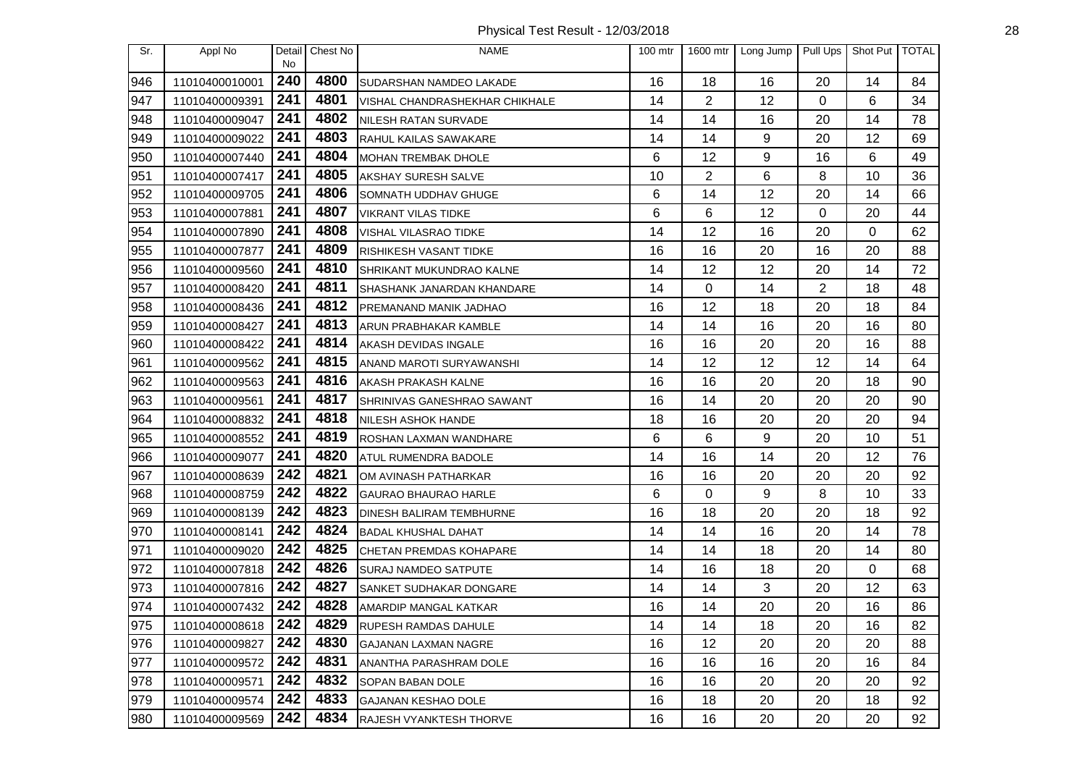Physical Test Result - 12/03/2018 28

| Sr. | Appl No        | Detail<br>No | Chest No | <b>NAME</b>                    | $100$ mtr | 1600 mtr       | Long Jump | Pull Ups | Shot Put   TOTAL |    |
|-----|----------------|--------------|----------|--------------------------------|-----------|----------------|-----------|----------|------------------|----|
| 946 | 11010400010001 | 240          | 4800     | SUDARSHAN NAMDEO LAKADE        | 16        | 18             | 16        | 20       | 14               | 84 |
| 947 | 11010400009391 | 241          | 4801     | VISHAL CHANDRASHEKHAR CHIKHALE | 14        | $\overline{2}$ | 12        | 0        | 6                | 34 |
| 948 | 11010400009047 | 241          | 4802     | NILESH RATAN SURVADE           | 14        | 14             | 16        | 20       | 14               | 78 |
| 949 | 11010400009022 | 241          | 4803     | RAHUL KAILAS SAWAKARE          | 14        | 14             | 9         | 20       | 12               | 69 |
| 950 | 11010400007440 | 241          | 4804     | MOHAN TREMBAK DHOLE            | 6         | 12             | 9         | 16       | 6                | 49 |
| 951 | 11010400007417 | 241          | 4805     | AKSHAY SURESH SALVE            | 10        | $\overline{2}$ | 6         | 8        | 10               | 36 |
| 952 | 11010400009705 | 241          | 4806     | SOMNATH UDDHAV GHUGE           | 6         | 14             | 12        | 20       | 14               | 66 |
| 953 | 11010400007881 | 241          | 4807     | <b>VIKRANT VILAS TIDKE</b>     | 6         | 6              | 12        | 0        | 20               | 44 |
| 954 | 11010400007890 | 241          | 4808     | VISHAL VILASRAO TIDKE          | 14        | 12             | 16        | 20       | 0                | 62 |
| 955 | 11010400007877 | 241          | 4809     | RISHIKESH VASANT TIDKE         | 16        | 16             | 20        | 16       | 20               | 88 |
| 956 | 11010400009560 | 241          | 4810     | SHRIKANT MUKUNDRAO KALNE       | 14        | 12             | 12        | 20       | 14               | 72 |
| 957 | 11010400008420 | 241          | 4811     | SHASHANK JANARDAN KHANDARE     | 14        | 0              | 14        | 2        | 18               | 48 |
| 958 | 11010400008436 | 241          | 4812     | PREMANAND MANIK JADHAO         | 16        | 12             | 18        | 20       | 18               | 84 |
| 959 | 11010400008427 | 241          | 4813     | ARUN PRABHAKAR KAMBLE          | 14        | 14             | 16        | 20       | 16               | 80 |
| 960 | 11010400008422 | 241          | 4814     | AKASH DEVIDAS INGALE           | 16        | 16             | 20        | 20       | 16               | 88 |
| 961 | 11010400009562 | 241          | 4815     | ANAND MAROTI SURYAWANSHI       | 14        | 12             | 12        | 12       | 14               | 64 |
| 962 | 11010400009563 | 241          | 4816     | <b>AKASH PRAKASH KALNE</b>     | 16        | 16             | 20        | 20       | 18               | 90 |
| 963 | 11010400009561 | 241          | 4817     | SHRINIVAS GANESHRAO SAWANT     | 16        | 14             | 20        | 20       | 20               | 90 |
| 964 | 11010400008832 | 241          | 4818     | <b>NILESH ASHOK HANDE</b>      | 18        | 16             | 20        | 20       | 20               | 94 |
| 965 | 11010400008552 | 241          | 4819     | ROSHAN LAXMAN WANDHARE         | 6         | 6              | 9         | 20       | 10               | 51 |
| 966 | 11010400009077 | 241          | 4820     | ATUL RUMENDRA BADOLE           | 14        | 16             | 14        | 20       | 12               | 76 |
| 967 | 11010400008639 | 242          | 4821     | OM AVINASH PATHARKAR           | 16        | 16             | 20        | 20       | 20               | 92 |
| 968 | 11010400008759 | 242          | 4822     | GAURAO BHAURAO HARLE           | 6         | 0              | 9         | 8        | 10               | 33 |
| 969 | 11010400008139 | 242          | 4823     | DINESH BALIRAM TEMBHURNE       | 16        | 18             | 20        | 20       | 18               | 92 |
| 970 | 11010400008141 | 242          | 4824     | <b>BADAL KHUSHAL DAHAT</b>     | 14        | 14             | 16        | 20       | 14               | 78 |
| 971 | 11010400009020 | 242          | 4825     | <b>CHETAN PREMDAS KOHAPARE</b> | 14        | 14             | 18        | 20       | 14               | 80 |
| 972 | 11010400007818 | 242          | 4826     | SURAJ NAMDEO SATPUTE           | 14        | 16             | 18        | 20       | 0                | 68 |
| 973 | 11010400007816 | 242          | 4827     | SANKET SUDHAKAR DONGARE        | 14        | 14             | 3         | 20       | 12               | 63 |
| 974 | 11010400007432 | 242          | 4828     | AMARDIP MANGAL KATKAR          | 16        | 14             | 20        | 20       | 16               | 86 |
| 975 | 11010400008618 | 242          | 4829     | <b>RUPESH RAMDAS DAHULE</b>    | 14        | 14             | 18        | 20       | 16               | 82 |
| 976 | 11010400009827 | 242          | 4830     | <b>GAJANAN LAXMAN NAGRE</b>    | 16        | 12             | 20        | 20       | 20               | 88 |
| 977 | 11010400009572 | 242          | 4831     | ANANTHA PARASHRAM DOLE         | 16        | 16             | 16        | 20       | 16               | 84 |
| 978 | 11010400009571 | 242          | 4832     | <b>SOPAN BABAN DOLE</b>        | 16        | 16             | 20        | 20       | 20               | 92 |
| 979 | 11010400009574 | 242          | 4833     | <b>GAJANAN KESHAO DOLE</b>     | 16        | 18             | 20        | 20       | 18               | 92 |
| 980 | 11010400009569 | 242          | 4834     | RAJESH VYANKTESH THORVE        | 16        | 16             | 20        | 20       | 20               | 92 |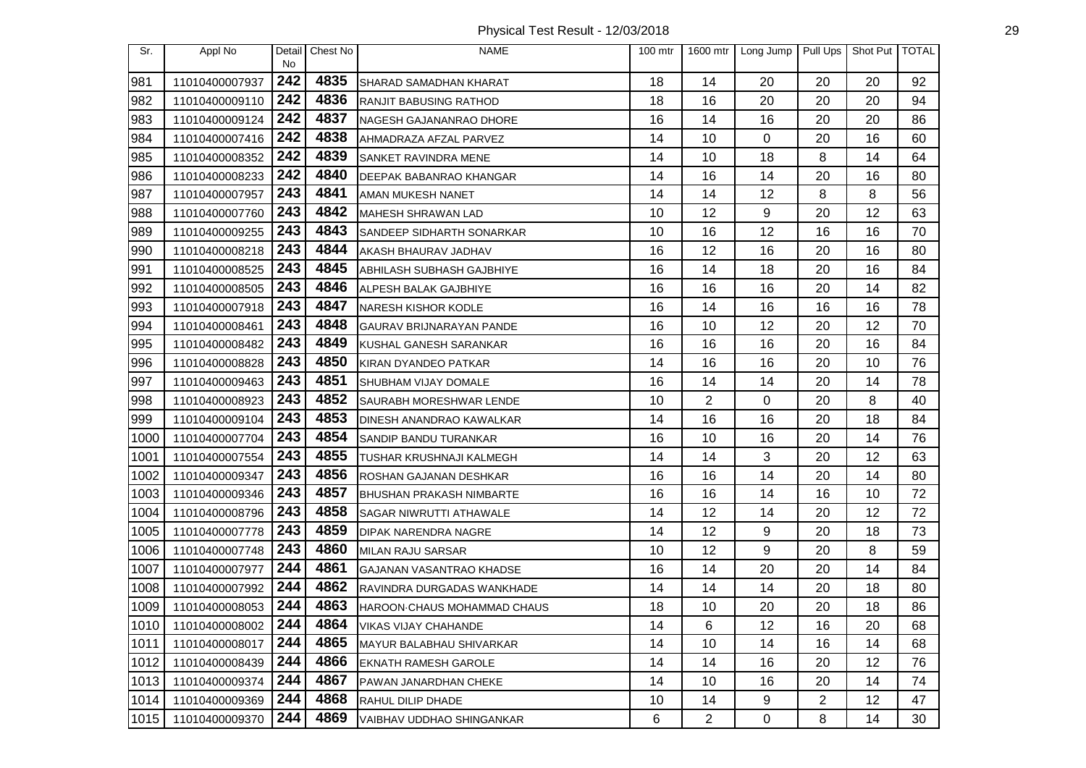Physical Test Result - 12/03/2018 29

| Sr.  | Appl No        | Detail    | Chest No | <b>NAME</b>                          | $100$ mtr | 1600 mtr       | Long Jump   Pull Ups |    | Shot Put   TOTAL |    |
|------|----------------|-----------|----------|--------------------------------------|-----------|----------------|----------------------|----|------------------|----|
| 981  | 11010400007937 | No<br>242 | 4835     | SHARAD SAMADHAN KHARAT               | 18        | 14             | 20                   | 20 | 20               | 92 |
| 982  | 11010400009110 | 242       | 4836     | <b>RANJIT BABUSING RATHOD</b>        | 18        | 16             | 20                   | 20 | 20               | 94 |
| 983  | 11010400009124 | 242       | 4837     | NAGESH GAJANANRAO DHORE              | 16        | 14             | 16                   | 20 | 20               | 86 |
| 984  | 11010400007416 | 242       | 4838     | AHMADRAZA AFZAL PARVEZ               | 14        | 10             | 0                    | 20 | 16               | 60 |
| 985  | 11010400008352 | 242       | 4839     | <b>SANKET RAVINDRA MENE</b>          | 14        | 10             | 18                   | 8  | 14               | 64 |
| 986  | 11010400008233 | 242       | 4840     | DEEPAK BABANRAO KHANGAR              | 14        | 16             | 14                   | 20 | 16               | 80 |
| 987  | 11010400007957 | 243       | 4841     | AMAN MUKESH NANET                    | 14        | 14             | 12                   | 8  | 8                | 56 |
| 988  | 11010400007760 | 243       | 4842     | MAHESH SHRAWAN LAD                   | 10        | 12             | 9                    | 20 | 12               | 63 |
| 989  | 11010400009255 | 243       | 4843     | SANDEEP SIDHARTH SONARKAR            | 10        | 16             | 12                   | 16 | 16               | 70 |
| 990  | 11010400008218 | 243       | 4844     | AKASH BHAURAV JADHAV                 | 16        | 12             | 16                   | 20 | 16               | 80 |
| 991  | 11010400008525 | 243       | 4845     | ABHILASH SUBHASH GAJBHIYE            | 16        | 14             | 18                   | 20 | 16               | 84 |
| 992  | 11010400008505 | 243       | 4846     | ALPESH BALAK GAJBHIYE                | 16        | 16             | 16                   | 20 | 14               | 82 |
| 993  | 11010400007918 | 243       | 4847     | <b>NARESH KISHOR KODLE</b>           | 16        | 14             | 16                   | 16 | 16               | 78 |
| 994  | 11010400008461 | 243       | 4848     | GAURAV BRIJNARAYAN PANDE             | 16        | 10             | 12                   | 20 | 12               | 70 |
| 995  | 11010400008482 | 243       | 4849     | KUSHAL GANESH SARANKAR               | 16        | 16             | 16                   | 20 | 16               | 84 |
| 996  | 11010400008828 | 243       | 4850     | KIRAN DYANDEO PATKAR                 | 14        | 16             | 16                   | 20 | 10               | 76 |
| 997  | 11010400009463 | 243       | 4851     | <b>SHUBHAM VIJAY DOMALE</b>          | 16        | 14             | 14                   | 20 | 14               | 78 |
| 998  | 11010400008923 | 243       | 4852     | SAURABH MORESHWAR LENDE              | 10        | $\overline{2}$ | 0                    | 20 | 8                | 40 |
| 999  | 11010400009104 | 243       | 4853     | DINESH ANANDRAO KAWALKAR             | 14        | 16             | 16                   | 20 | 18               | 84 |
| 1000 | 11010400007704 | 243       | 4854     | SANDIP BANDU TURANKAR                | 16        | 10             | 16                   | 20 | 14               | 76 |
| 1001 | 11010400007554 | 243       | 4855     | <b>TUSHAR KRUSHNAJI KALMEGH</b>      | 14        | 14             | 3                    | 20 | 12               | 63 |
| 1002 | 11010400009347 | 243       | 4856     | ROSHAN GAJANAN DESHKAR               | 16        | 16             | 14                   | 20 | 14               | 80 |
| 1003 | 11010400009346 | 243       | 4857     | <b>BHUSHAN PRAKASH NIMBARTE</b>      | 16        | 16             | 14                   | 16 | 10               | 72 |
| 1004 | 11010400008796 | 243       | 4858     | <b>SAGAR NIWRUTTI ATHAWALE</b>       | 14        | 12             | 14                   | 20 | 12               | 72 |
| 1005 | 11010400007778 | 243       | 4859     | DIPAK NARENDRA NAGRE                 | 14        | 12             | 9                    | 20 | 18               | 73 |
| 1006 | 11010400007748 | 243       | 4860     | MILAN RAJU SARSAR                    | 10        | 12             | 9                    | 20 | 8                | 59 |
| 1007 | 11010400007977 | 244       | 4861     | <b>GAJANAN VASANTRAO KHADSE</b>      | 16        | 14             | 20                   | 20 | 14               | 84 |
| 1008 | 11010400007992 | 244       | 4862     | RAVINDRA DURGADAS WANKHADE           | 14        | 14             | 14                   | 20 | 18               | 80 |
| 1009 | 11010400008053 | 244       | 4863     | <b>I</b> HAROON·CHAUS MOHAMMAD CHAUS | 18        | 10             | 20                   | 20 | 18               | 86 |
| 1010 | 11010400008002 | 244       | 4864     | <b>VIKAS VIJAY CHAHANDE</b>          | 14        | 6              | 12                   | 16 | 20               | 68 |
| 1011 | 11010400008017 | 244       | 4865     | <b>MAYUR BALABHAU SHIVARKAR</b>      | 14        | 10             | 14                   | 16 | 14               | 68 |
| 1012 | 11010400008439 | 244       | 4866     | <b>EKNATH RAMESH GAROLE</b>          | 14        | 14             | 16                   | 20 | 12               | 76 |
| 1013 | 11010400009374 | 244       | 4867     | PAWAN JANARDHAN CHEKE                | 14        | 10             | 16                   | 20 | 14               | 74 |
| 1014 | 11010400009369 | 244       | 4868     | RAHUL DILIP DHADE                    | 10        | 14             | 9                    | 2  | 12               | 47 |
| 1015 | 11010400009370 | 244       | 4869     | VAIBHAV UDDHAO SHINGANKAR            | 6         | 2              | $\mathbf 0$          | 8  | 14               | 30 |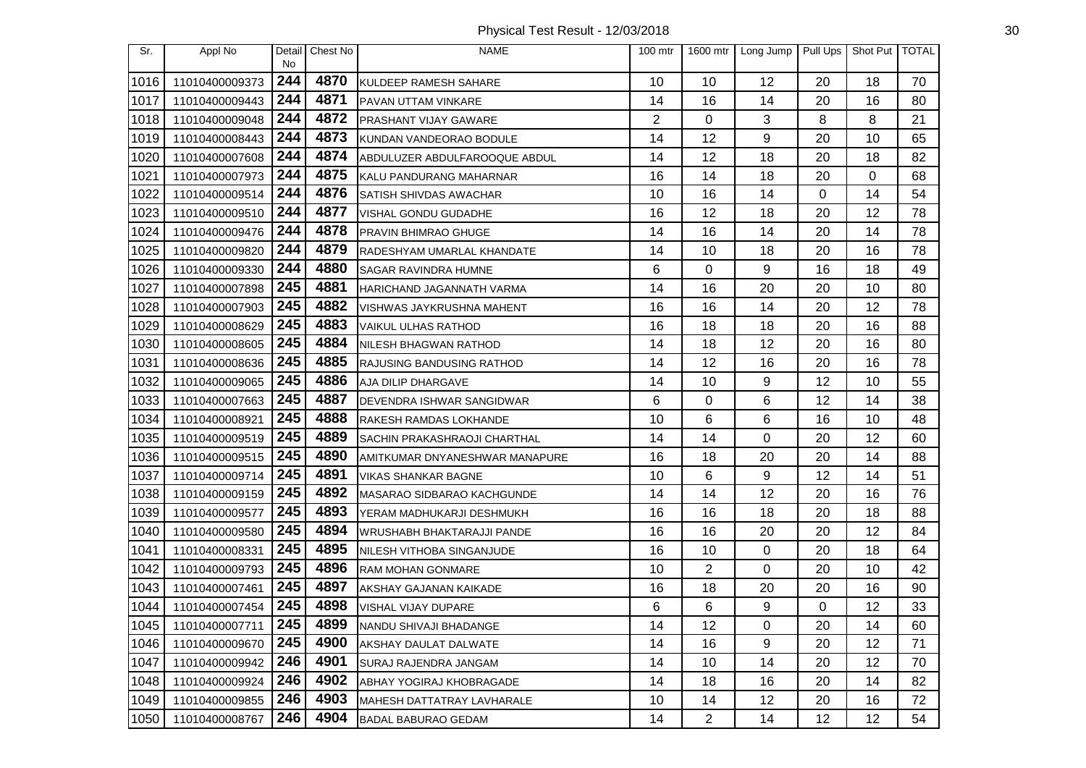Physical Test Result - 12/03/2018 30

| Sr.  | Appl No        | Detail     | Chest No | <b>NAME</b>                         | 100 mtr | 1600 mtr       | Long Jump   | Pull Ups | Shot Put TOTAL |    |
|------|----------------|------------|----------|-------------------------------------|---------|----------------|-------------|----------|----------------|----|
| 1016 | 11010400009373 | No.<br>244 | 4870     | KULDEEP RAMESH SAHARE               | 10      | 10             | 12          | 20       | 18             | 70 |
| 1017 | 11010400009443 | 244        | 4871     | PAVAN UTTAM VINKARE                 | 14      | 16             | 14          | 20       | 16             | 80 |
| 1018 | 11010400009048 | 244        | 4872     | PRASHANT VIJAY GAWARE               | 2       | 0              | 3           | 8        | 8              | 21 |
| 1019 | 11010400008443 | 244        | 4873     | KUNDAN VANDEORAO BODULE             | 14      | 12             | 9           | 20       | 10             | 65 |
| 1020 | 11010400007608 | 244        | 4874     | ABDULUZER ABDULFAROOQUE ABDUL       | 14      | 12             | 18          | 20       | 18             | 82 |
| 1021 | 11010400007973 | 244        | 4875     | KALU PANDURANG MAHARNAR             | 16      | 14             | 18          | 20       | 0              | 68 |
| 1022 | 11010400009514 | 244        | 4876     | SATISH SHIVDAS AWACHAR              | 10      | 16             | 14          | 0        | 14             | 54 |
| 1023 | 11010400009510 | 244        | 4877     | VISHAL GONDU GUDADHE                | 16      | 12             | 18          | 20       | 12             | 78 |
| 1024 | 11010400009476 | 244        | 4878     | PRAVIN BHIMRAO GHUGE                | 14      | 16             | 14          | 20       | 14             | 78 |
| 1025 | 11010400009820 | 244        | 4879     | RADESHYAM UMARLAL KHANDATE          | 14      | 10             | 18          | 20       | 16             | 78 |
| 1026 | 11010400009330 | 244        | 4880     | SAGAR RAVINDRA HUMNE                | 6       | $\Omega$       | 9           | 16       | 18             | 49 |
| 1027 | 11010400007898 | 245        | 4881     | HARICHAND JAGANNATH VARMA           | 14      | 16             | 20          | 20       | 10             | 80 |
| 1028 | 11010400007903 | 245        | 4882     | VISHWAS JAYKRUSHNA MAHENT           | 16      | 16             | 14          | 20       | 12             | 78 |
| 1029 | 11010400008629 | 245        | 4883     | <b>VAIKUL ULHAS RATHOD</b>          | 16      | 18             | 18          | 20       | 16             | 88 |
| 1030 | 11010400008605 | 245        | 4884     | NILESH BHAGWAN RATHOD               | 14      | 18             | 12          | 20       | 16             | 80 |
| 1031 | 11010400008636 | 245        | 4885     | RAJUSING BANDUSING RATHOD           | 14      | 12             | 16          | 20       | 16             | 78 |
| 1032 | 11010400009065 | 245        | 4886     | AJA DILIP DHARGAVE                  | 14      | 10             | 9           | 12       | 10             | 55 |
| 1033 | 11010400007663 | 245        | 4887     | DEVENDRA ISHWAR SANGIDWAR           | 6       | 0              | 6           | 12       | 14             | 38 |
| 1034 | 11010400008921 | 245        | 4888     | RAKESH RAMDAS LOKHANDE              | 10      | 6              | 6           | 16       | 10             | 48 |
| 1035 | 11010400009519 | 245        | 4889     | <b>SACHIN PRAKASHRAOJI CHARTHAL</b> | 14      | 14             | 0           | 20       | 12             | 60 |
| 1036 | 11010400009515 | 245        | 4890     | AMITKUMAR DNYANESHWAR MANAPURE      | 16      | 18             | 20          | 20       | 14             | 88 |
| 1037 | 11010400009714 | 245        | 4891     | <b>VIKAS SHANKAR BAGNE</b>          | 10      | 6              | 9           | 12       | 14             | 51 |
| 1038 | 11010400009159 | 245        | 4892     | MASARAO SIDBARAO KACHGUNDE          | 14      | 14             | 12          | 20       | 16             | 76 |
| 1039 | 11010400009577 | 245        | 4893     | YERAM MADHUKARJI DESHMUKH           | 16      | 16             | 18          | 20       | 18             | 88 |
| 1040 | 11010400009580 | 245        | 4894     | WRUSHABH BHAKTARAJJI PANDE          | 16      | 16             | 20          | 20       | 12             | 84 |
| 1041 | 11010400008331 | 245        | 4895     | NILESH VITHOBA SINGANJUDE           | 16      | 10             | $\mathbf 0$ | 20       | 18             | 64 |
| 1042 | 11010400009793 | 245        | 4896     | <b>RAM MOHAN GONMARE</b>            | 10      | $\overline{2}$ | 0           | 20       | 10             | 42 |
| 1043 | 11010400007461 | 245        | 4897     | AKSHAY GAJANAN KAIKADE              | 16      | 18             | 20          | 20       | 16             | 90 |
| 1044 | 11010400007454 | 245        | 4898     | VISHAL VIJAY DUPARE                 | 6       | 6              | 9           | 0        | 12             | 33 |
| 1045 | 11010400007711 | 245        | 4899     | NANDU SHIVAJI BHADANGE              | 14      | 12             | 0           | 20       | 14             | 60 |
| 1046 | 11010400009670 | 245        | 4900     | AKSHAY DAULAT DALWATE               | 14      | 16             | 9           | 20       | 12             | 71 |
| 1047 | 11010400009942 | 246        | 4901     | SURAJ RAJENDRA JANGAM               | 14      | 10             | 14          | 20       | 12             | 70 |
| 1048 | 11010400009924 | 246        | 4902     | ABHAY YOGIRAJ KHOBRAGADE            | 14      | 18             | 16          | 20       | 14             | 82 |
| 1049 | 11010400009855 | 246        | 4903     | MAHESH DATTATRAY LAVHARALE          | 10      | 14             | 12          | 20       | 16             | 72 |
| 1050 | 11010400008767 | 246        | 4904     | BADAL BABURAO GEDAM                 | 14      | 2              | 14          | 12       | 12             | 54 |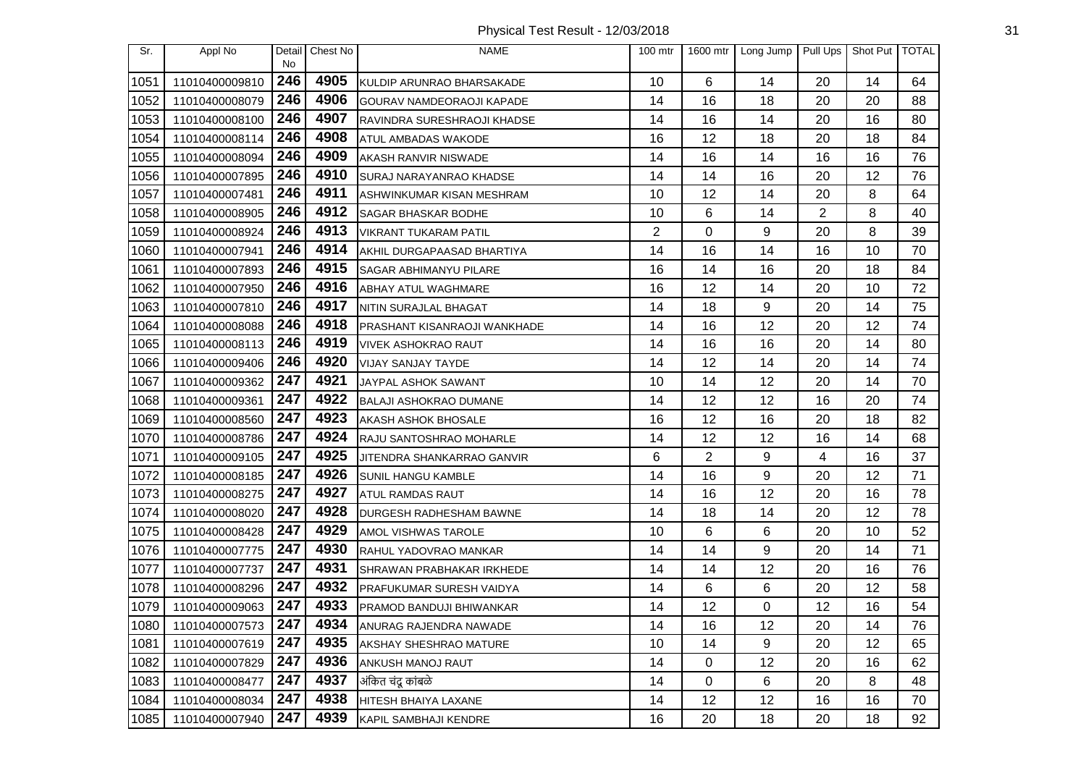| Sr.  | Appl No        | Detail<br>No. | Chest No | <b>NAME</b>                         | $100$ mtr      | 1600 mtr | Long Jump | Pull Ups | Shot Put   TOTAL |    |
|------|----------------|---------------|----------|-------------------------------------|----------------|----------|-----------|----------|------------------|----|
| 1051 | 11010400009810 | 246           | 4905     | KULDIP ARUNRAO BHARSAKADE           | 10             | 6        | 14        | 20       | 14               | 64 |
| 1052 | 11010400008079 | 246           | 4906     | <b>GOURAV NAMDEORAOJI KAPADE</b>    | 14             | 16       | 18        | 20       | 20               | 88 |
| 1053 | 11010400008100 | 246           | 4907     | RAVINDRA SURESHRAOJI KHADSE         | 14             | 16       | 14        | 20       | 16               | 80 |
| 1054 | 11010400008114 | 246           | 4908     | ATUL AMBADAS WAKODE                 | 16             | 12       | 18        | 20       | 18               | 84 |
| 1055 | 11010400008094 | 246           | 4909     | AKASH RANVIR NISWADE                | 14             | 16       | 14        | 16       | 16               | 76 |
| 1056 | 11010400007895 | 246           | 4910     | SURAJ NARAYANRAO KHADSE             | 14             | 14       | 16        | 20       | 12               | 76 |
| 1057 | 11010400007481 | 246           | 4911     | ASHWINKUMAR KISAN MESHRAM           | 10             | 12       | 14        | 20       | 8                | 64 |
| 1058 | 11010400008905 | 246           | 4912     | <b>SAGAR BHASKAR BODHE</b>          | 10             | 6        | 14        | 2        | 8                | 40 |
| 1059 | 11010400008924 | 246           | 4913     | <b>VIKRANT TUKARAM PATIL</b>        | $\overline{2}$ | 0        | 9         | 20       | 8                | 39 |
| 1060 | 11010400007941 | 246           | 4914     | AKHIL DURGAPAASAD BHARTIYA          | 14             | 16       | 14        | 16       | 10               | 70 |
| 1061 | 11010400007893 | 246           | 4915     | SAGAR ABHIMANYU PILARE              | 16             | 14       | 16        | 20       | 18               | 84 |
| 1062 | 11010400007950 | 246           | 4916     | <b>ABHAY ATUL WAGHMARE</b>          | 16             | 12       | 14        | 20       | 10               | 72 |
| 1063 | 11010400007810 | 246           | 4917     | NITIN SURAJLAL BHAGAT               | 14             | 18       | 9         | 20       | 14               | 75 |
| 1064 | 11010400008088 | 246           | 4918     | <b>PRASHANT KISANRAOJI WANKHADE</b> | 14             | 16       | 12        | 20       | 12               | 74 |
| 1065 | 11010400008113 | 246           | 4919     | <b>VIVEK ASHOKRAO RAUT</b>          | 14             | 16       | 16        | 20       | 14               | 80 |
| 1066 | 11010400009406 | 246           | 4920     | VIJAY SANJAY TAYDE                  | 14             | 12       | 14        | 20       | 14               | 74 |
| 1067 | 11010400009362 | 247           | 4921     | JAYPAL ASHOK SAWANT                 | 10             | 14       | 12        | 20       | 14               | 70 |
| 1068 | 11010400009361 | 247           | 4922     | <b>BALAJI ASHOKRAO DUMANE</b>       | 14             | 12       | 12        | 16       | 20               | 74 |
| 1069 | 11010400008560 | 247           | 4923     | AKASH ASHOK BHOSALE                 | 16             | 12       | 16        | 20       | 18               | 82 |
| 1070 | 11010400008786 | 247           | 4924     | RAJU SANTOSHRAO MOHARLE             | 14             | 12       | 12        | 16       | 14               | 68 |
| 1071 | 11010400009105 | 247           | 4925     | JITENDRA SHANKARRAO GANVIR          | 6              | 2        | 9         | 4        | 16               | 37 |
| 1072 | 11010400008185 | 247           | 4926     | <b>SUNIL HANGU KAMBLE</b>           | 14             | 16       | 9         | 20       | 12               | 71 |
| 1073 | 11010400008275 | 247           | 4927     | <b>ATUL RAMDAS RAUT</b>             | 14             | 16       | 12        | 20       | 16               | 78 |
| 1074 | 11010400008020 | 247           | 4928     | <b>DURGESH RADHESHAM BAWNE</b>      | 14             | 18       | 14        | 20       | 12               | 78 |
| 1075 | 11010400008428 | 247           | 4929     | AMOL VISHWAS TAROLE                 | 10             | 6        | 6         | 20       | 10               | 52 |
| 1076 | 11010400007775 | 247           | 4930     | RAHUL YADOVRAO MANKAR               | 14             | 14       | 9         | 20       | 14               | 71 |
| 1077 | 11010400007737 | 247           | 4931     | SHRAWAN PRABHAKAR IRKHEDE           | 14             | 14       | 12        | 20       | 16               | 76 |
| 1078 | 11010400008296 | 247           | 4932     | <b>PRAFUKUMAR SURESH VAIDYA</b>     | 14             | 6        | 6         | 20       | 12               | 58 |
| 1079 | 11010400009063 | 247           | 4933     | PRAMOD BANDUJI BHIWANKAR            | 14             | 12       | 0         | 12       | 16               | 54 |
| 1080 | 11010400007573 | 247           | 4934     | ANURAG RAJENDRA NAWADE              | 14             | 16       | 12        | 20       | 14               | 76 |
| 1081 | 11010400007619 | 247           | 4935     | AKSHAY SHESHRAO MATURE              | 10             | 14       | 9         | 20       | 12               | 65 |
| 1082 | 11010400007829 | 247           | 4936     | ANKUSH MANOJ RAUT                   | 14             | 0        | 12        | 20       | 16               | 62 |
| 1083 | 11010400008477 | 247           | 4937     | अंकित चंदू कांबळे                   | 14             | 0        | 6         | 20       | 8                | 48 |
| 1084 | 11010400008034 | 247           | 4938     | HITESH BHAIYA LAXANE                | 14             | 12       | 12        | 16       | 16               | 70 |
| 1085 | 11010400007940 | 247           | 4939     | KAPIL SAMBHAJI KENDRE               | 16             | 20       | 18        | 20       | 18               | 92 |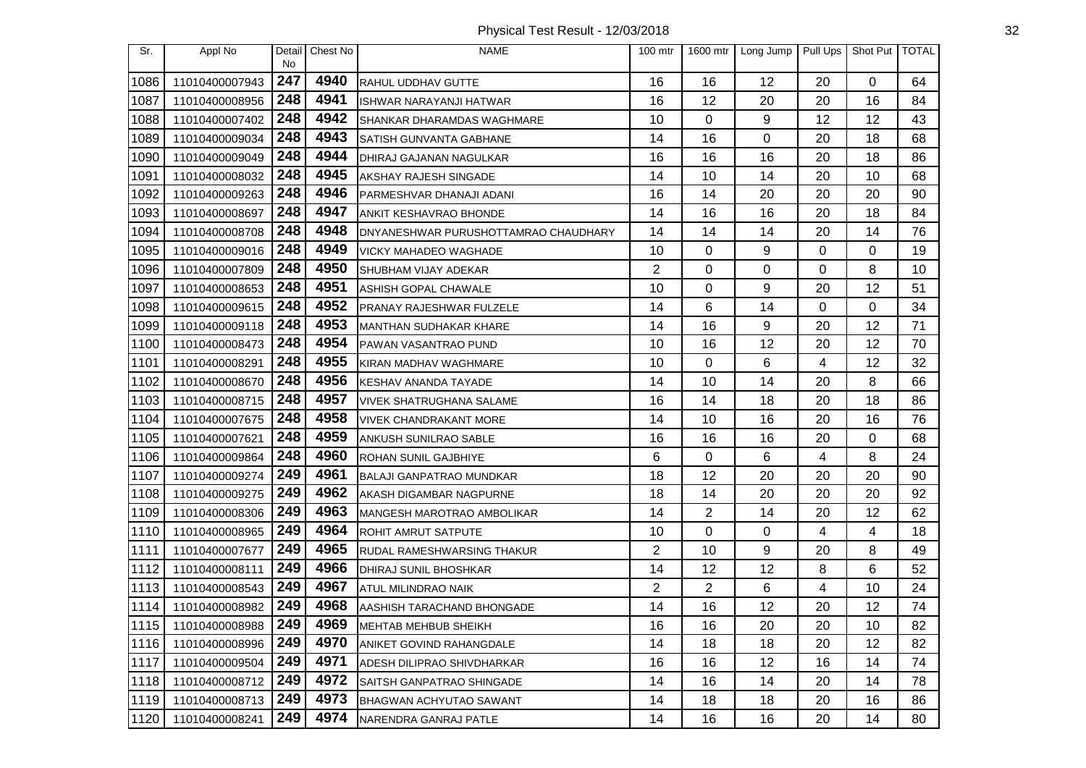| Sr.  | Appl No        | Detail<br>No | Chest No | <b>NAME</b>                          | 100 mtr        | 1600 mtr | Long Jump |    | Pull Ups   Shot Put   TOTAL |    |
|------|----------------|--------------|----------|--------------------------------------|----------------|----------|-----------|----|-----------------------------|----|
| 1086 | 11010400007943 | 247          | 4940     | RAHUL UDDHAV GUTTE                   | 16             | 16       | 12        | 20 | $\Omega$                    | 64 |
| 1087 | 11010400008956 | 248          | 4941     | <b>ISHWAR NARAYANJI HATWAR</b>       | 16             | 12       | 20        | 20 | 16                          | 84 |
| 1088 | 11010400007402 | 248          | 4942     | SHANKAR DHARAMDAS WAGHMARE           | 10             | $\Omega$ | 9         | 12 | 12                          | 43 |
| 1089 | 11010400009034 | 248          | 4943     | SATISH GUNVANTA GABHANE              | 14             | 16       | 0         | 20 | 18                          | 68 |
| 1090 | 11010400009049 | 248          | 4944     | DHIRAJ GAJANAN NAGULKAR              | 16             | 16       | 16        | 20 | 18                          | 86 |
| 1091 | 11010400008032 | 248          | 4945     | AKSHAY RAJESH SINGADE                | 14             | 10       | 14        | 20 | 10                          | 68 |
| 1092 | 11010400009263 | 248          | 4946     | PARMESHVAR DHANAJI ADANI             | 16             | 14       | 20        | 20 | 20                          | 90 |
| 1093 | 11010400008697 | 248          | 4947     | <b>ANKIT KESHAVRAO BHONDE</b>        | 14             | 16       | 16        | 20 | 18                          | 84 |
| 1094 | 11010400008708 | 248          | 4948     | DNYANESHWAR PURUSHOTTAMRAO CHAUDHARY | 14             | 14       | 14        | 20 | 14                          | 76 |
| 1095 | 11010400009016 | 248          | 4949     | <b>VICKY MAHADEO WAGHADE</b>         | 10             | 0        | 9         | 0  | 0                           | 19 |
| 1096 | 11010400007809 | 248          | 4950     | SHUBHAM VIJAY ADEKAR                 | 2              | 0        | 0         | 0  | 8                           | 10 |
| 1097 | 11010400008653 | 248          | 4951     | ASHISH GOPAL CHAWALE                 | 10             | $\Omega$ | 9         | 20 | 12                          | 51 |
| 1098 | 11010400009615 | 248          | 4952     | PRANAY RAJESHWAR FULZELE             | 14             | 6        | 14        | 0  | 0                           | 34 |
| 1099 | 11010400009118 | 248          | 4953     | <b>MANTHAN SUDHAKAR KHARE</b>        | 14             | 16       | 9         | 20 | 12                          | 71 |
| 1100 | 11010400008473 | 248          | 4954     | PAWAN VASANTRAO PUND                 | 10             | 16       | 12        | 20 | 12                          | 70 |
| 1101 | 11010400008291 | 248          | 4955     | KIRAN MADHAV WAGHMARE                | 10             | 0        | 6         | 4  | 12                          | 32 |
| 1102 | 11010400008670 | 248          | 4956     | <b>KESHAV ANANDA TAYADE</b>          | 14             | 10       | 14        | 20 | 8                           | 66 |
| 1103 | 11010400008715 | 248          | 4957     | <b>VIVEK SHATRUGHANA SALAME</b>      | 16             | 14       | 18        | 20 | 18                          | 86 |
| 1104 | 11010400007675 | 248          | 4958     | <b>VIVEK CHANDRAKANT MORE</b>        | 14             | 10       | 16        | 20 | 16                          | 76 |
| 1105 | 11010400007621 | 248          | 4959     | ANKUSH SUNILRAO SABLE                | 16             | 16       | 16        | 20 | 0                           | 68 |
| 1106 | 11010400009864 | 248          | 4960     | ROHAN SUNIL GAJBHIYE                 | 6              | 0        | 6         | 4  | 8                           | 24 |
| 1107 | 11010400009274 | 249          | 4961     | <b>BALAJI GANPATRAO MUNDKAR</b>      | 18             | 12       | 20        | 20 | 20                          | 90 |
| 1108 | 11010400009275 | 249          | 4962     | AKASH DIGAMBAR NAGPURNE              | 18             | 14       | 20        | 20 | 20                          | 92 |
| 1109 | 11010400008306 | 249          | 4963     | <b>MANGESH MAROTRAO AMBOLIKAR</b>    | 14             | 2        | 14        | 20 | 12                          | 62 |
| 1110 | 11010400008965 | 249          | 4964     | ROHIT AMRUT SATPUTE                  | 10             | 0        | 0         | 4  | 4                           | 18 |
| 1111 | 11010400007677 | 249          | 4965     | RUDAL RAMESHWARSING THAKUR           | $\overline{2}$ | 10       | 9         | 20 | 8                           | 49 |
| 1112 | 11010400008111 | 249          | 4966     | DHIRAJ SUNIL BHOSHKAR                | 14             | 12       | 12        | 8  | 6                           | 52 |
| 1113 | 11010400008543 | 249          | 4967     | <b>ATUL MILINDRAO NAIK</b>           | $\overline{2}$ | 2        | 6         | 4  | 10                          | 24 |
| 1114 | 11010400008982 | 249          | 4968     | AASHISH TARACHAND BHONGADE           | 14             | 16       | 12        | 20 | 12                          | 74 |
| 1115 | 11010400008988 | 249          | 4969     | MEHTAB MEHBUB SHEIKH                 | 16             | 16       | 20        | 20 | 10                          | 82 |
| 1116 | 11010400008996 | 249          | 4970     | ANIKET GOVIND RAHANGDALE             | 14             | 18       | 18        | 20 | 12                          | 82 |
| 1117 | 11010400009504 | 249          | 4971     | ADESH DILIPRAO SHIVDHARKAR           | 16             | 16       | 12        | 16 | 14                          | 74 |
| 1118 | 11010400008712 | 249          | 4972     | SAITSH GANPATRAO SHINGADE            | 14             | 16       | 14        | 20 | 14                          | 78 |
| 1119 | 11010400008713 | 249          | 4973     | <b>BHAGWAN ACHYUTAO SAWANT</b>       | 14             | 18       | 18        | 20 | 16                          | 86 |
| 1120 | 11010400008241 | 249          | 4974     | NARENDRA GANRAJ PATLE                | 14             | 16       | 16        | 20 | 14                          | 80 |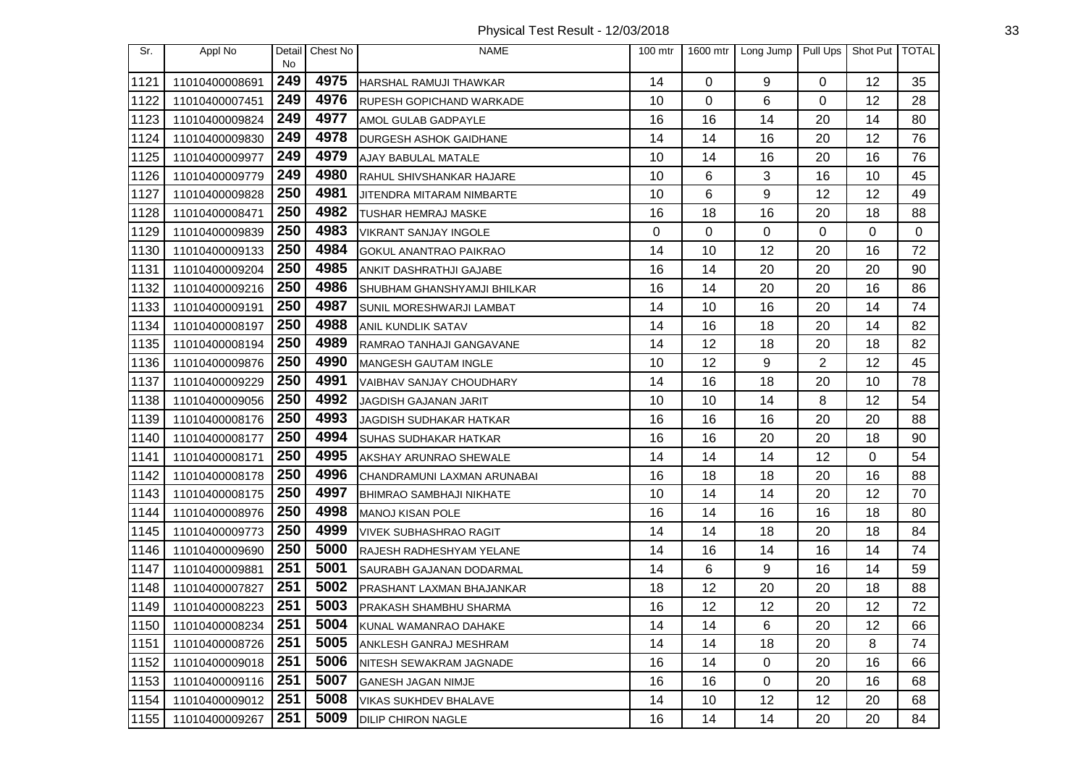Physical Test Result - 12/03/2018 33

| Sr.  | Appl No        | Detail<br>No | Chest No | <b>NAME</b>                     | $100$ mtr | 1600 mtr | Long Jump   Pull Ups |          | Shot Put TOTAL |    |
|------|----------------|--------------|----------|---------------------------------|-----------|----------|----------------------|----------|----------------|----|
| 1121 | 11010400008691 | 249          | 4975     | HARSHAL RAMUJI THAWKAR          | 14        | $\Omega$ | 9                    | $\Omega$ | 12             | 35 |
| 1122 | 11010400007451 | 249          | 4976     | <b>RUPESH GOPICHAND WARKADE</b> | 10        | 0        | 6                    | 0        | 12             | 28 |
| 1123 | 11010400009824 | 249          | 4977     | AMOL GULAB GADPAYLE             | 16        | 16       | 14                   | 20       | 14             | 80 |
| 1124 | 11010400009830 | 249          | 4978     | <b>DURGESH ASHOK GAIDHANE</b>   | 14        | 14       | 16                   | 20       | 12             | 76 |
| 1125 | 11010400009977 | 249          | 4979     | AJAY BABULAL MATALE             | 10        | 14       | 16                   | 20       | 16             | 76 |
| 1126 | 11010400009779 | 249          | 4980     | RAHUL SHIVSHANKAR HAJARE        | 10        | 6        | 3                    | 16       | 10             | 45 |
| 1127 | 11010400009828 | 250          | 4981     | JITENDRA MITARAM NIMBARTE       | 10        | 6        | 9                    | 12       | 12             | 49 |
| 1128 | 11010400008471 | 250          | 4982     | TUSHAR HEMRAJ MASKE             | 16        | 18       | 16                   | 20       | 18             | 88 |
| 1129 | 11010400009839 | 250          | 4983     | <b>VIKRANT SANJAY INGOLE</b>    | 0         | 0        | 0                    | 0        | 0              | 0  |
| 1130 | 11010400009133 | 250          | 4984     | <b>GOKUL ANANTRAO PAIKRAO</b>   | 14        | 10       | 12                   | 20       | 16             | 72 |
| 1131 | 11010400009204 | 250          | 4985     | ANKIT DASHRATHJI GAJABE         | 16        | 14       | 20                   | 20       | 20             | 90 |
| 1132 | 11010400009216 | 250          | 4986     | SHUBHAM GHANSHYAMJI BHILKAR     | 16        | 14       | 20                   | 20       | 16             | 86 |
| 1133 | 11010400009191 | 250          | 4987     | SUNIL MORESHWARJI LAMBAT        | 14        | 10       | 16                   | 20       | 14             | 74 |
| 1134 | 11010400008197 | 250          | 4988     | <b>ANIL KUNDLIK SATAV</b>       | 14        | 16       | 18                   | 20       | 14             | 82 |
| 1135 | 11010400008194 | 250          | 4989     | RAMRAO TANHAJI GANGAVANE        | 14        | 12       | 18                   | 20       | 18             | 82 |
| 1136 | 11010400009876 | 250          | 4990     | MANGESH GAUTAM INGLE            | 10        | 12       | 9                    | 2        | 12             | 45 |
| 1137 | 11010400009229 | 250          | 4991     | VAIBHAV SANJAY CHOUDHARY        | 14        | 16       | 18                   | 20       | 10             | 78 |
| 1138 | 11010400009056 | 250          | 4992     | JAGDISH GAJANAN JARIT           | 10        | 10       | 14                   | 8        | 12             | 54 |
| 1139 | 11010400008176 | 250          | 4993     | JAGDISH SUDHAKAR HATKAR         | 16        | 16       | 16                   | 20       | 20             | 88 |
| 1140 | 11010400008177 | 250          | 4994     | <b>SUHAS SUDHAKAR HATKAR</b>    | 16        | 16       | 20                   | 20       | 18             | 90 |
| 1141 | 11010400008171 | 250          | 4995     | AKSHAY ARUNRAO SHEWALE          | 14        | 14       | 14                   | 12       | 0              | 54 |
| 1142 | 11010400008178 | 250          | 4996     | CHANDRAMUNI LAXMAN ARUNABAI     | 16        | 18       | 18                   | 20       | 16             | 88 |
| 1143 | 11010400008175 | 250          | 4997     | BHIMRAO SAMBHAJI NIKHATE        | 10        | 14       | 14                   | 20       | 12             | 70 |
| 1144 | 11010400008976 | 250          | 4998     | MANOJ KISAN POLE                | 16        | 14       | 16                   | 16       | 18             | 80 |
| 1145 | 11010400009773 | 250          | 4999     | <b>VIVEK SUBHASHRAO RAGIT</b>   | 14        | 14       | 18                   | 20       | 18             | 84 |
| 1146 | 11010400009690 | 250          | 5000     | RAJESH RADHESHYAM YELANE        | 14        | 16       | 14                   | 16       | 14             | 74 |
| 1147 | 11010400009881 | 251          | 5001     | SAURABH GAJANAN DODARMAL        | 14        | 6        | 9                    | 16       | 14             | 59 |
| 1148 | 11010400007827 | 251          | 5002     | PRASHANT LAXMAN BHAJANKAR       | 18        | 12       | 20                   | 20       | 18             | 88 |
| 1149 | 11010400008223 | 251          | 5003     | PRAKASH SHAMBHU SHARMA          | 16        | 12       | 12                   | 20       | 12             | 72 |
| 1150 | 11010400008234 | 251          | 5004     | KUNAL WAMANRAO DAHAKE           | 14        | 14       | 6                    | 20       | 12             | 66 |
| 1151 | 11010400008726 | 251          | 5005     | ANKLESH GANRAJ MESHRAM          | 14        | 14       | 18                   | 20       | 8              | 74 |
| 1152 | 11010400009018 | 251          | 5006     | NITESH SEWAKRAM JAGNADE         | 16        | 14       | $\mathbf 0$          | 20       | 16             | 66 |
| 1153 | 11010400009116 | 251          | 5007     | <b>GANESH JAGAN NIMJE</b>       | 16        | 16       | $\mathbf 0$          | 20       | 16             | 68 |
| 1154 | 11010400009012 | 251          | 5008     | <b>VIKAS SUKHDEV BHALAVE</b>    | 14        | 10       | 12                   | 12       | 20             | 68 |
| 1155 | 11010400009267 | 251          | 5009     | <b>DILIP CHIRON NAGLE</b>       | 16        | 14       | 14                   | 20       | 20             | 84 |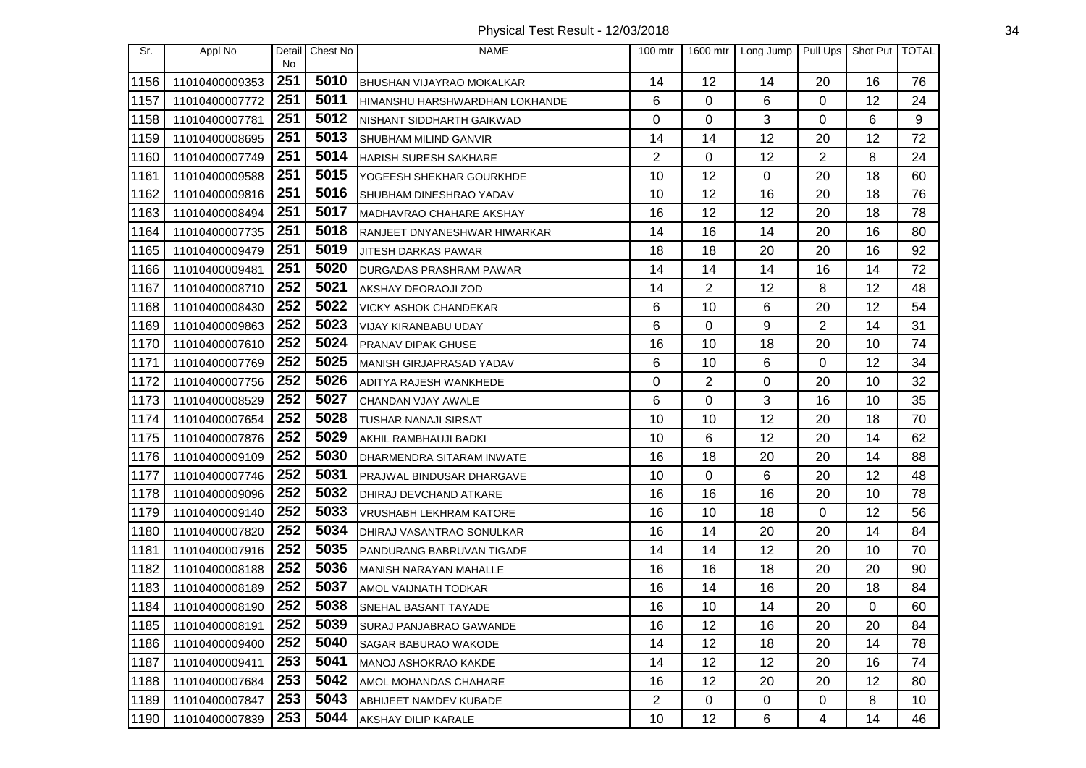| Sr.  | Appl No        | Detail<br><b>No</b> | Chest No | <b>NAME</b>                         | 100 mtr        | 1600 mtr       | Long Jump   | Pull Ups       | Shot Put   TOTAL |                 |
|------|----------------|---------------------|----------|-------------------------------------|----------------|----------------|-------------|----------------|------------------|-----------------|
| 1156 | 11010400009353 | 251                 | 5010     | <b>BHUSHAN VIJAYRAO MOKALKAR</b>    | 14             | 12             | 14          | 20             | 16               | 76              |
| 1157 | 11010400007772 | 251                 | 5011     | HIMANSHU HARSHWARDHAN LOKHANDE      | 6              | 0              | 6           | 0              | 12               | 24              |
| 1158 | 11010400007781 | 251                 | 5012     | NISHANT SIDDHARTH GAIKWAD           | 0              | 0              | 3           | 0              | 6                | 9               |
| 1159 | 11010400008695 | 251                 | 5013     | SHUBHAM MILIND GANVIR               | 14             | 14             | 12          | 20             | 12               | 72              |
| 1160 | 11010400007749 | 251                 | 5014     | <b>HARISH SURESH SAKHARE</b>        | $\overline{2}$ | 0              | 12          | $\overline{2}$ | 8                | 24              |
| 1161 | 11010400009588 | 251                 | 5015     | YOGEESH SHEKHAR GOURKHDE            | 10             | 12             | 0           | 20             | 18               | 60              |
| 1162 | 11010400009816 | 251                 | 5016     | SHUBHAM DINESHRAO YADAV             | 10             | 12             | 16          | 20             | 18               | 76              |
| 1163 | 11010400008494 | 251                 | 5017     | MADHAVRAO CHAHARE AKSHAY            | 16             | 12             | 12          | 20             | 18               | 78              |
| 1164 | 11010400007735 | 251                 | 5018     | <b>RANJEET DNYANESHWAR HIWARKAR</b> | 14             | 16             | 14          | 20             | 16               | 80              |
| 1165 | 11010400009479 | 251                 | 5019     | <b>JITESH DARKAS PAWAR</b>          | 18             | 18             | 20          | 20             | 16               | 92              |
| 1166 | 11010400009481 | 251                 | 5020     | DURGADAS PRASHRAM PAWAR             | 14             | 14             | 14          | 16             | 14               | 72              |
| 1167 | 11010400008710 | 252                 | 5021     | AKSHAY DEORAOJI ZOD                 | 14             | $\overline{2}$ | 12          | 8              | 12               | 48              |
| 1168 | 11010400008430 | 252                 | 5022     | VICKY ASHOK CHANDEKAR               | 6              | 10             | 6           | 20             | 12               | 54              |
| 1169 | 11010400009863 | 252                 | 5023     | VIJAY KIRANBABU UDAY                | 6              | 0              | 9           | 2              | 14               | 31              |
| 1170 | 11010400007610 | 252                 | 5024     | <b>PRANAV DIPAK GHUSE</b>           | 16             | 10             | 18          | 20             | 10               | 74              |
| 1171 | 11010400007769 | 252                 | 5025     | MANISH GIRJAPRASAD YADAV            | 6              | 10             | 6           | 0              | 12               | 34              |
| 1172 | 11010400007756 | 252                 | 5026     | ADITYA RAJESH WANKHEDE              | 0              | $\overline{2}$ | 0           | 20             | 10               | 32              |
| 1173 | 11010400008529 | 252                 | 5027     | CHANDAN VJAY AWALE                  | 6              | 0              | 3           | 16             | 10               | 35              |
| 1174 | 11010400007654 | 252                 | 5028     | <b>TUSHAR NANAJI SIRSAT</b>         | 10             | 10             | 12          | 20             | 18               | 70              |
| 1175 | 11010400007876 | 252                 | 5029     | AKHIL RAMBHAUJI BADKI               | 10             | 6              | 12          | 20             | 14               | 62              |
| 1176 | 11010400009109 | 252                 | 5030     | DHARMENDRA SITARAM INWATE           | 16             | 18             | 20          | 20             | 14               | 88              |
| 1177 | 11010400007746 | 252                 | 5031     | PRAJWAL BINDUSAR DHARGAVE           | 10             | 0              | 6           | 20             | 12               | 48              |
| 1178 | 11010400009096 | 252                 | 5032     | DHIRAJ DEVCHAND ATKARE              | 16             | 16             | 16          | 20             | 10               | 78              |
| 1179 | 11010400009140 | 252                 | 5033     | VRUSHABH LEKHRAM KATORE             | 16             | 10             | 18          | 0              | 12               | 56              |
| 1180 | 11010400007820 | 252                 | 5034     | DHIRAJ VASANTRAO SONULKAR           | 16             | 14             | 20          | 20             | 14               | 84              |
| 1181 | 11010400007916 | 252                 | 5035     | PANDURANG BABRUVAN TIGADE           | 14             | 14             | 12          | 20             | 10               | 70              |
| 1182 | 11010400008188 | 252                 | 5036     | MANISH NARAYAN MAHALLE              | 16             | 16             | 18          | 20             | 20               | 90              |
| 1183 | 11010400008189 | 252                 | 5037     | AMOL VAIJNATH TODKAR                | 16             | 14             | 16          | 20             | 18               | 84              |
| 1184 | 11010400008190 | 252                 | 5038     | SNEHAL BASANT TAYADE                | 16             | 10             | 14          | 20             | 0                | 60              |
| 1185 | 11010400008191 | 252                 | 5039     | <b>SURAJ PANJABRAO GAWANDE</b>      | 16             | 12             | 16          | 20             | 20               | 84              |
| 1186 | 11010400009400 | 252                 | 5040     | <b>SAGAR BABURAO WAKODE</b>         | 14             | 12             | 18          | 20             | 14               | 78              |
| 1187 | 11010400009411 | 253                 | 5041     | <b>MANOJ ASHOKRAO KAKDE</b>         | 14             | 12             | 12          | 20             | 16               | 74              |
| 1188 | 11010400007684 | 253                 | 5042     | AMOL MOHANDAS CHAHARE               | 16             | 12             | 20          | 20             | 12               | 80              |
| 1189 | 11010400007847 | 253                 | 5043     | ABHIJEET NAMDEV KUBADE              | $\overline{c}$ | 0              | $\mathbf 0$ | 0              | 8                | 10 <sup>°</sup> |
| 1190 | 11010400007839 | 253                 | 5044     | AKSHAY DILIP KARALE                 | 10             | 12             | 6           | 4              | 14               | 46              |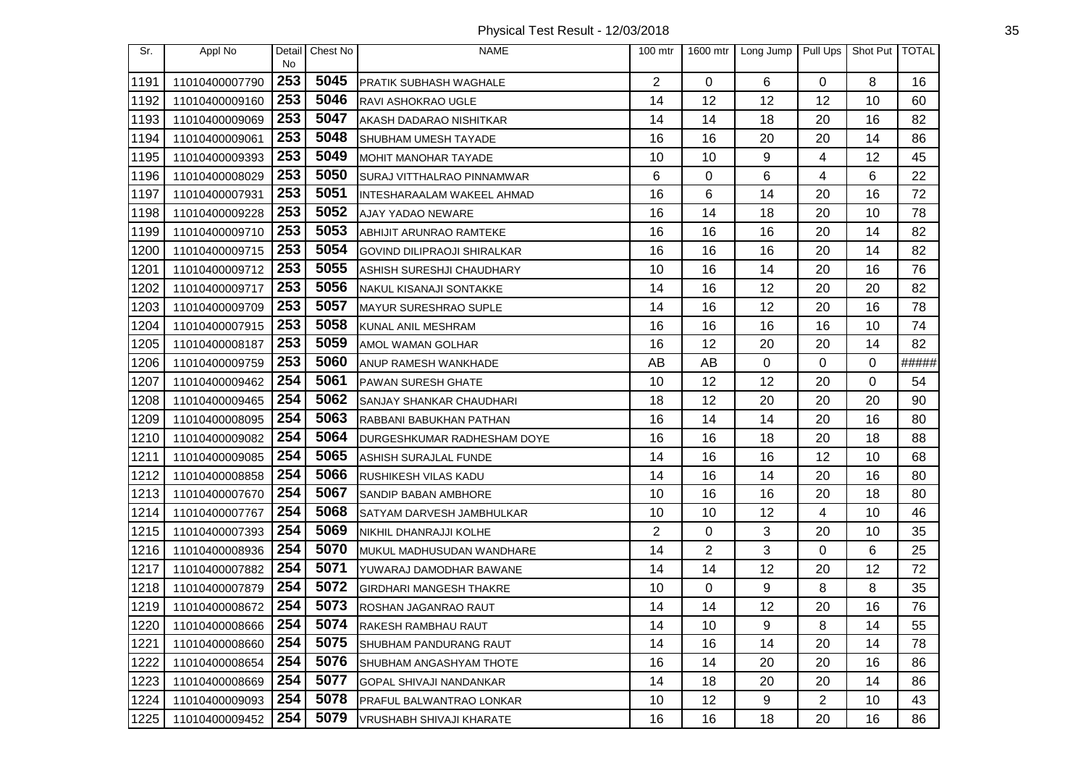| Sr.              | Appl No        |           | Detail Chest No | <b>NAME</b>                        | $100$ mtr      |          | 1600 mtr   Long Jump | Pull Ups       | Shot Put TOTAL |       |
|------------------|----------------|-----------|-----------------|------------------------------------|----------------|----------|----------------------|----------------|----------------|-------|
| 1191             | 11010400007790 | No<br>253 | 5045            | <b>PRATIK SUBHASH WAGHALE</b>      | $\overline{2}$ | $\Omega$ | 6                    | $\mathbf 0$    | 8              | 16    |
| 1192             | 11010400009160 | 253       | 5046            | <b>RAVI ASHOKRAO UGLE</b>          | 14             | 12       | 12                   | 12             | 10             | 60    |
| 1193             | 11010400009069 | 253       | 5047            | AKASH DADARAO NISHITKAR            | 14             | 14       | 18                   | 20             | 16             | 82    |
| 1194             | 11010400009061 | 253       | 5048            | SHUBHAM UMESH TAYADE               | 16             | 16       | 20                   | 20             | 14             | 86    |
| 1195             | 11010400009393 | 253       | 5049            | <b>MOHIT MANOHAR TAYADE</b>        | 10             | 10       | 9                    | 4              | 12             | 45    |
| 1196             | 11010400008029 | 253       | 5050            | <b>SURAJ VITTHALRAO PINNAMWAR</b>  | 6              | 0        | 6                    | 4              | 6              | 22    |
| 1197             | 11010400007931 | 253       | 5051            | INTESHARAALAM WAKEEL AHMAD         | 16             | 6        | 14                   | 20             | 16             | 72    |
| 1198             | 11010400009228 | 253       | 5052            | <b>AJAY YADAO NEWARE</b>           | 16             | 14       | 18                   | 20             | 10             | 78    |
| 1199             | 11010400009710 | 253       | 5053            | ABHIJIT ARUNRAO RAMTEKE            | 16             | 16       | 16                   | 20             | 14             | 82    |
| 1200             | 11010400009715 | 253       | 5054            | <b>GOVIND DILIPRAOJI SHIRALKAR</b> | 16             | 16       | 16                   | 20             | 14             | 82    |
| 1201             | 11010400009712 | 253       | 5055            | ASHISH SURESHJI CHAUDHARY          | 10             | 16       | 14                   | 20             | 16             | 76    |
| 1202             | 11010400009717 | 253       | 5056            | NAKUL KISANAJI SONTAKKE            | 14             | 16       | 12                   | 20             | 20             | 82    |
| 1203             | 11010400009709 | 253       | 5057            | MAYUR SURESHRAO SUPLE              | 14             | 16       | 12                   | 20             | 16             | 78    |
| 1204             | 11010400007915 | 253       | 5058            | KUNAL ANIL MESHRAM                 | 16             | 16       | 16                   | 16             | 10             | 74    |
| 1205             | 11010400008187 | 253       | 5059            | <b>AMOL WAMAN GOLHAR</b>           | 16             | 12       | 20                   | 20             | 14             | 82    |
| 1206             | 11010400009759 | 253       | 5060            | ANUP RAMESH WANKHADE               | AB             | AB       | $\mathbf 0$          | $\Omega$       | 0              | ##### |
| 1207             | 11010400009462 | 254       | 5061            | PAWAN SURESH GHATE                 | 10             | 12       | 12                   | 20             | 0              | 54    |
| 1208             | 11010400009465 | 254       | 5062            | SANJAY SHANKAR CHAUDHARI           | 18             | 12       | 20                   | 20             | 20             | 90    |
| 1209             | 11010400008095 | 254       | 5063            | RABBANI BABUKHAN PATHAN            | 16             | 14       | 14                   | 20             | 16             | 80    |
| 1210             | 11010400009082 | 254       | 5064            | DURGESHKUMAR RADHESHAM DOYE        | 16             | 16       | 18                   | 20             | 18             | 88    |
| 1211             | 11010400009085 | 254       | 5065            | ASHISH SURAJLAL FUNDE              | 14             | 16       | 16                   | 12             | 10             | 68    |
| 1212             | 11010400008858 | 254       | 5066            | <b>RUSHIKESH VILAS KADU</b>        | 14             | 16       | 14                   | 20             | 16             | 80    |
| 1213             | 11010400007670 | 254       | 5067            | <b>SANDIP BABAN AMBHORE</b>        | 10             | 16       | 16                   | 20             | 18             | 80    |
| 1214             | 11010400007767 | 254       | 5068            | SATYAM DARVESH JAMBHULKAR          | 10             | 10       | 12                   | 4              | 10             | 46    |
| 1215             | 11010400007393 | 254       | 5069            | NIKHIL DHANRAJJI KOLHE             | $\overline{2}$ | 0        | 3                    | 20             | 10             | 35    |
| 1216             | 11010400008936 | 254       | 5070            | MUKUL MADHUSUDAN WANDHARE          | 14             | 2        | 3                    | 0              | 6              | 25    |
| 1217             | 11010400007882 | 254       | 5071            | YUWARAJ DAMODHAR BAWANE            | 14             | 14       | 12                   | 20             | 12             | 72    |
| 1218             | 11010400007879 | 254       | 5072            | <b>GIRDHARI MANGESH THAKRE</b>     | 10             | 0        | 9                    | 8              | 8              | 35    |
| 1219             | 11010400008672 | 254       | 5073            | <b>ROSHAN JAGANRAO RAUT</b>        | 14             | 14       | 12                   | 20             | 16             | 76    |
| $\frac{1}{1220}$ | 11010400008666 | 254       | 5074            | RAKESH RAMBHAU RAUT                | 14             | 10       | 9                    | 8              | 14             | 55    |
| 1221             | 11010400008660 | 254       | 5075            | SHUBHAM PANDURANG RAUT             | 14             | 16       | 14                   | 20             | 14             | 78    |
| 1222             | 11010400008654 | 254       | 5076            | SHUBHAM ANGASHYAM THOTE            | 16             | 14       | 20                   | 20             | 16             | 86    |
| 1223             | 11010400008669 | 254       | 5077            | <b>GOPAL SHIVAJI NANDANKAR</b>     | 14             | 18       | 20                   | 20             | 14             | 86    |
| 1224             | 11010400009093 | 254       | 5078            | <b>PRAFUL BALWANTRAO LONKAR</b>    | 10             | 12       | 9                    | $\overline{2}$ | 10             | 43    |
| 1225             | 11010400009452 | 254       | 5079            | <b>VRUSHABH SHIVAJI KHARATE</b>    | 16             | 16       | 18                   | 20             | 16             | 86    |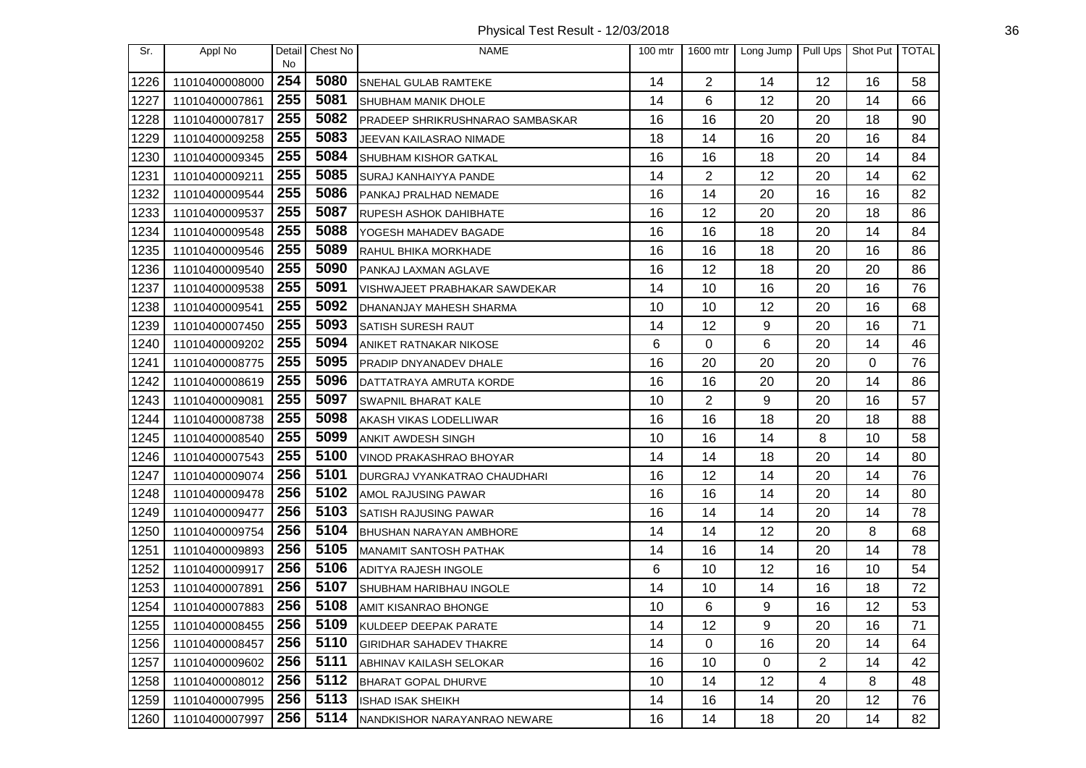Physical Test Result - 12/03/2018 36

| Sr.  | Appl No        | Detail<br>No | Chest No | <b>NAME</b>                      | 100 mtr | 1600 mtr       | Long Jump   Pull Ups |    | Shot Put TOTAL |    |
|------|----------------|--------------|----------|----------------------------------|---------|----------------|----------------------|----|----------------|----|
| 1226 | 11010400008000 | 254          | 5080     | SNEHAL GULAB RAMTEKE             | 14      | $\overline{2}$ | 14                   | 12 | 16             | 58 |
| 1227 | 11010400007861 | 255          | 5081     | SHUBHAM MANIK DHOLE              | 14      | 6              | 12                   | 20 | 14             | 66 |
| 1228 | 11010400007817 | 255          | 5082     | PRADEEP SHRIKRUSHNARAO SAMBASKAR | 16      | 16             | 20                   | 20 | 18             | 90 |
| 1229 | 11010400009258 | 255          | 5083     | JEEVAN KAILASRAO NIMADE          | 18      | 14             | 16                   | 20 | 16             | 84 |
| 1230 | 11010400009345 | 255          | 5084     | <b>SHUBHAM KISHOR GATKAL</b>     | 16      | 16             | 18                   | 20 | 14             | 84 |
| 1231 | 11010400009211 | 255          | 5085     | SURAJ KANHAIYYA PANDE            | 14      | $\overline{c}$ | 12                   | 20 | 14             | 62 |
| 1232 | 11010400009544 | 255          | 5086     | PANKAJ PRALHAD NEMADE            | 16      | 14             | 20                   | 16 | 16             | 82 |
| 1233 | 11010400009537 | 255          | 5087     | <b>RUPESH ASHOK DAHIBHATE</b>    | 16      | 12             | 20                   | 20 | 18             | 86 |
| 1234 | 11010400009548 | 255          | 5088     | YOGESH MAHADEV BAGADE            | 16      | 16             | 18                   | 20 | 14             | 84 |
| 1235 | 11010400009546 | 255          | 5089     | RAHUL BHIKA MORKHADE             | 16      | 16             | 18                   | 20 | 16             | 86 |
| 1236 | 11010400009540 | 255          | 5090     | PANKAJ LAXMAN AGLAVE             | 16      | 12             | 18                   | 20 | 20             | 86 |
| 1237 | 11010400009538 | 255          | 5091     | VISHWAJEET PRABHAKAR SAWDEKAR    | 14      | 10             | 16                   | 20 | 16             | 76 |
| 1238 | 11010400009541 | 255          | 5092     | DHANANJAY MAHESH SHARMA          | 10      | 10             | 12                   | 20 | 16             | 68 |
| 1239 | 11010400007450 | 255          | 5093     | SATISH SURESH RAUT               | 14      | 12             | 9                    | 20 | 16             | 71 |
| 1240 | 11010400009202 | 255          | 5094     | <b>ANIKET RATNAKAR NIKOSE</b>    | 6       | 0              | 6                    | 20 | 14             | 46 |
| 1241 | 11010400008775 | 255          | 5095     | PRADIP DNYANADEV DHALE           | 16      | 20             | 20                   | 20 | 0              | 76 |
| 1242 | 11010400008619 | 255          | 5096     | DATTATRAYA AMRUTA KORDE          | 16      | 16             | 20                   | 20 | 14             | 86 |
| 1243 | 11010400009081 | 255          | 5097     | <b>SWAPNIL BHARAT KALE</b>       | 10      | $\overline{2}$ | 9                    | 20 | 16             | 57 |
| 1244 | 11010400008738 | 255          | 5098     | AKASH VIKAS LODELLIWAR           | 16      | 16             | 18                   | 20 | 18             | 88 |
| 1245 | 11010400008540 | 255          | 5099     | ANKIT AWDESH SINGH               | 10      | 16             | 14                   | 8  | 10             | 58 |
| 1246 | 11010400007543 | 255          | 5100     | VINOD PRAKASHRAO BHOYAR          | 14      | 14             | 18                   | 20 | 14             | 80 |
| 1247 | 11010400009074 | 256          | 5101     | DURGRAJ VYANKATRAO CHAUDHARI     | 16      | 12             | 14                   | 20 | 14             | 76 |
| 1248 | 11010400009478 | 256          | 5102     | AMOL RAJUSING PAWAR              | 16      | 16             | 14                   | 20 | 14             | 80 |
| 1249 | 11010400009477 | 256          | 5103     | <b>SATISH RAJUSING PAWAR</b>     | 16      | 14             | 14                   | 20 | 14             | 78 |
| 1250 | 11010400009754 | 256          | 5104     | BHUSHAN NARAYAN AMBHORE          | 14      | 14             | 12                   | 20 | 8              | 68 |
| 1251 | 11010400009893 | 256          | 5105     | MANAMIT SANTOSH PATHAK           | 14      | 16             | 14                   | 20 | 14             | 78 |
| 1252 | 11010400009917 | 256          | 5106     | ADITYA RAJESH INGOLE             | 6       | 10             | 12                   | 16 | 10             | 54 |
| 1253 | 11010400007891 | 256          | 5107     | <b>SHUBHAM HARIBHAU INGOLE</b>   | 14      | 10             | 14                   | 16 | 18             | 72 |
| 1254 | 11010400007883 | 256          | 5108     | AMIT KISANRAO BHONGE             | 10      | 6              | 9                    | 16 | 12             | 53 |
| 1255 | 11010400008455 | 256          | 5109     | KULDEEP DEEPAK PARATE            | 14      | 12             | 9                    | 20 | 16             | 71 |
| 1256 | 11010400008457 | 256          | 5110     | <b>GIRIDHAR SAHADEV THAKRE</b>   | 14      | 0              | 16                   | 20 | 14             | 64 |
| 1257 | 11010400009602 | 256          | 5111     | ABHINAV KAILASH SELOKAR          | 16      | 10             | $\mathbf 0$          | 2  | 14             | 42 |
| 1258 | 11010400008012 | 256          | 5112     | <b>BHARAT GOPAL DHURVE</b>       | 10      | 14             | 12                   | 4  | 8              | 48 |
| 1259 | 11010400007995 | 256          | 5113     | <b>ISHAD ISAK SHEIKH</b>         | 14      | 16             | 14                   | 20 | 12             | 76 |
| 1260 | 11010400007997 | 256          | 5114     | NANDKISHOR NARAYANRAO NEWARE     | 16      | 14             | 18                   | 20 | 14             | 82 |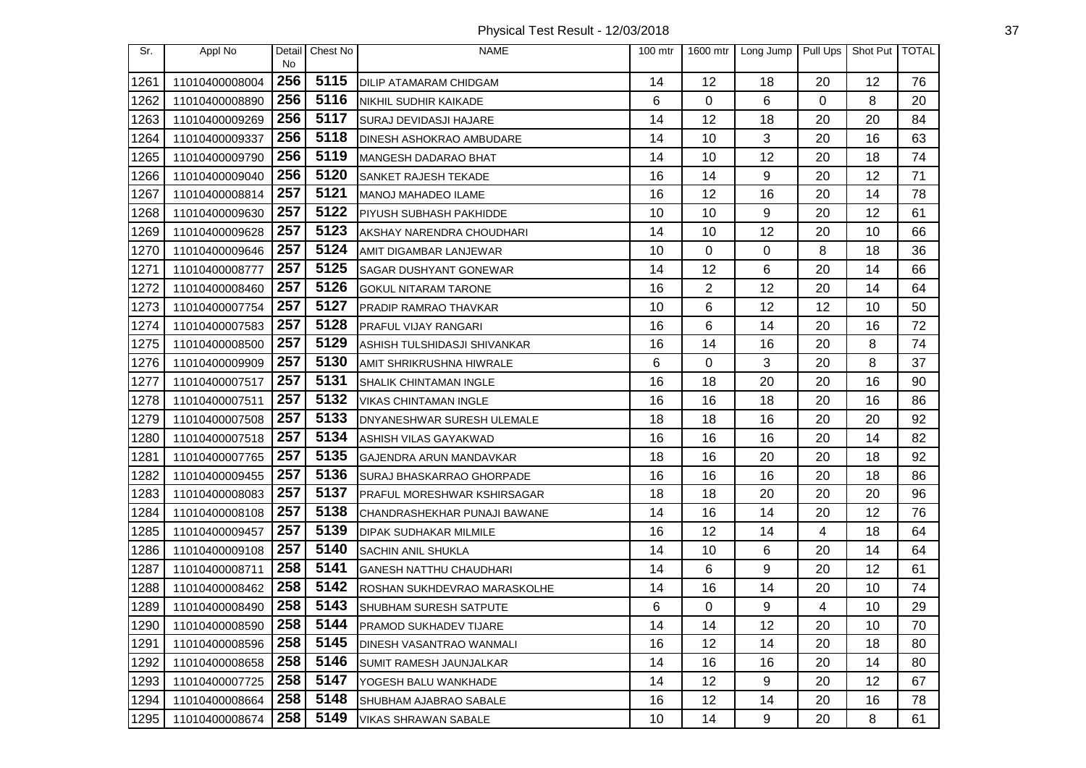Physical Test Result - 12/03/2018 37

| Sr.  | Appl No        | Detail    | Chest No | <b>NAME</b>                        | 100 mtr | 1600 mtr       | Long Jump   Pull Ups |    | Shot Put TOTAL |    |
|------|----------------|-----------|----------|------------------------------------|---------|----------------|----------------------|----|----------------|----|
| 1261 | 11010400008004 | No<br>256 | 5115     | <b>DILIP ATAMARAM CHIDGAM</b>      | 14      | 12             | 18                   | 20 | 12             | 76 |
| 1262 | 11010400008890 | 256       | 5116     | NIKHIL SUDHIR KAIKADE              | 6       | 0              | 6                    | 0  | 8              | 20 |
| 1263 | 11010400009269 | 256       | 5117     | <b>SURAJ DEVIDASJI HAJARE</b>      | 14      | 12             | 18                   | 20 | 20             | 84 |
| 1264 | 11010400009337 | 256       | 5118     | <b>DINESH ASHOKRAO AMBUDARE</b>    | 14      | 10             | 3                    | 20 | 16             | 63 |
| 1265 | 11010400009790 | 256       | 5119     | MANGESH DADARAO BHAT               | 14      | 10             | 12                   | 20 | 18             | 74 |
| 1266 | 11010400009040 | 256       | 5120     | SANKET RAJESH TEKADE               | 16      | 14             | 9                    | 20 | 12             | 71 |
| 1267 | 11010400008814 | 257       | 5121     | MANOJ MAHADEO ILAME                | 16      | 12             | 16                   | 20 | 14             | 78 |
| 1268 | 11010400009630 | 257       | 5122     | <b>PIYUSH SUBHASH PAKHIDDE</b>     | 10      | 10             | 9                    | 20 | 12             | 61 |
| 1269 | 11010400009628 | 257       | 5123     | AKSHAY NARENDRA CHOUDHARI          | 14      | 10             | 12                   | 20 | 10             | 66 |
| 1270 | 11010400009646 | 257       | 5124     | AMIT DIGAMBAR LANJEWAR             | 10      | 0              | $\overline{0}$       | 8  | 18             | 36 |
| 1271 | 11010400008777 | 257       | 5125     | <b>SAGAR DUSHYANT GONEWAR</b>      | 14      | 12             | 6                    | 20 | 14             | 66 |
| 1272 | 11010400008460 | 257       | 5126     | <b>GOKUL NITARAM TARONE</b>        | 16      | $\overline{2}$ | 12                   | 20 | 14             | 64 |
| 1273 | 11010400007754 | 257       | 5127     | <b>PRADIP RAMRAO THAVKAR</b>       | 10      | 6              | 12                   | 12 | 10             | 50 |
| 1274 | 11010400007583 | 257       | 5128     | <b>PRAFUL VIJAY RANGARI</b>        | 16      | 6              | 14                   | 20 | 16             | 72 |
| 1275 | 11010400008500 | 257       | 5129     | ASHISH TULSHIDASJI SHIVANKAR       | 16      | 14             | 16                   | 20 | 8              | 74 |
| 1276 | 11010400009909 | 257       | 5130     | AMIT SHRIKRUSHNA HIWRALE           | 6       | 0              | 3                    | 20 | 8              | 37 |
| 1277 | 11010400007517 | 257       | 5131     | SHALIK CHINTAMAN INGLE             | 16      | 18             | 20                   | 20 | 16             | 90 |
| 1278 | 11010400007511 | 257       | 5132     | <b>VIKAS CHINTAMAN INGLE</b>       | 16      | 16             | 18                   | 20 | 16             | 86 |
| 1279 | 11010400007508 | 257       | 5133     | DNYANESHWAR SURESH ULEMALE         | 18      | 18             | 16                   | 20 | 20             | 92 |
| 1280 | 11010400007518 | 257       | 5134     | ASHISH VILAS GAYAKWAD              | 16      | 16             | 16                   | 20 | 14             | 82 |
| 1281 | 11010400007765 | 257       | 5135     | GAJENDRA ARUN MANDAVKAR            | 18      | 16             | 20                   | 20 | 18             | 92 |
| 1282 | 11010400009455 | 257       | 5136     | <b>SURAJ BHASKARRAO GHORPADE</b>   | 16      | 16             | 16                   | 20 | 18             | 86 |
| 1283 | 11010400008083 | 257       | 5137     | <b>PRAFUL MORESHWAR KSHIRSAGAR</b> | 18      | 18             | 20                   | 20 | 20             | 96 |
| 1284 | 11010400008108 | 257       | 5138     | CHANDRASHEKHAR PUNAJI BAWANE       | 14      | 16             | 14                   | 20 | 12             | 76 |
| 1285 | 11010400009457 | 257       | 5139     | DIPAK SUDHAKAR MILMILE             | 16      | 12             | 14                   | 4  | 18             | 64 |
| 1286 | 11010400009108 | 257       | 5140     | SACHIN ANIL SHUKLA                 | 14      | 10             | 6                    | 20 | 14             | 64 |
| 1287 | 11010400008711 | 258       | 5141     | <b>GANESH NATTHU CHAUDHARI</b>     | 14      | 6              | 9                    | 20 | 12             | 61 |
| 1288 | 11010400008462 | 258       | 5142     | ROSHAN SUKHDEVRAO MARASKOLHE       | 14      | 16             | 14                   | 20 | 10             | 74 |
| 1289 | 11010400008490 | 258       | 5143     | SHUBHAM SURESH SATPUTE             | 6       | 0              | 9                    | 4  | 10             | 29 |
| 1290 | 11010400008590 | 258       | 5144     | <b>PRAMOD SUKHADEV TIJARE</b>      | 14      | 14             | 12                   | 20 | 10             | 70 |
| 1291 | 11010400008596 | 258       | 5145     | DINESH VASANTRAO WANMALI           | 16      | 12             | 14                   | 20 | 18             | 80 |
| 1292 | 11010400008658 | 258       | 5146     | SUMIT RAMESH JAUNJALKAR            | 14      | 16             | 16                   | 20 | 14             | 80 |
| 1293 | 11010400007725 | 258       | 5147     | YOGESH BALU WANKHADE               | 14      | 12             | 9                    | 20 | 12             | 67 |
| 1294 | 11010400008664 | 258       | 5148     | SHUBHAM AJABRAO SABALE             | 16      | 12             | 14                   | 20 | 16             | 78 |
| 1295 | 11010400008674 | 258       | 5149     | <b>VIKAS SHRAWAN SABALE</b>        | 10      | 14             | 9                    | 20 | 8              | 61 |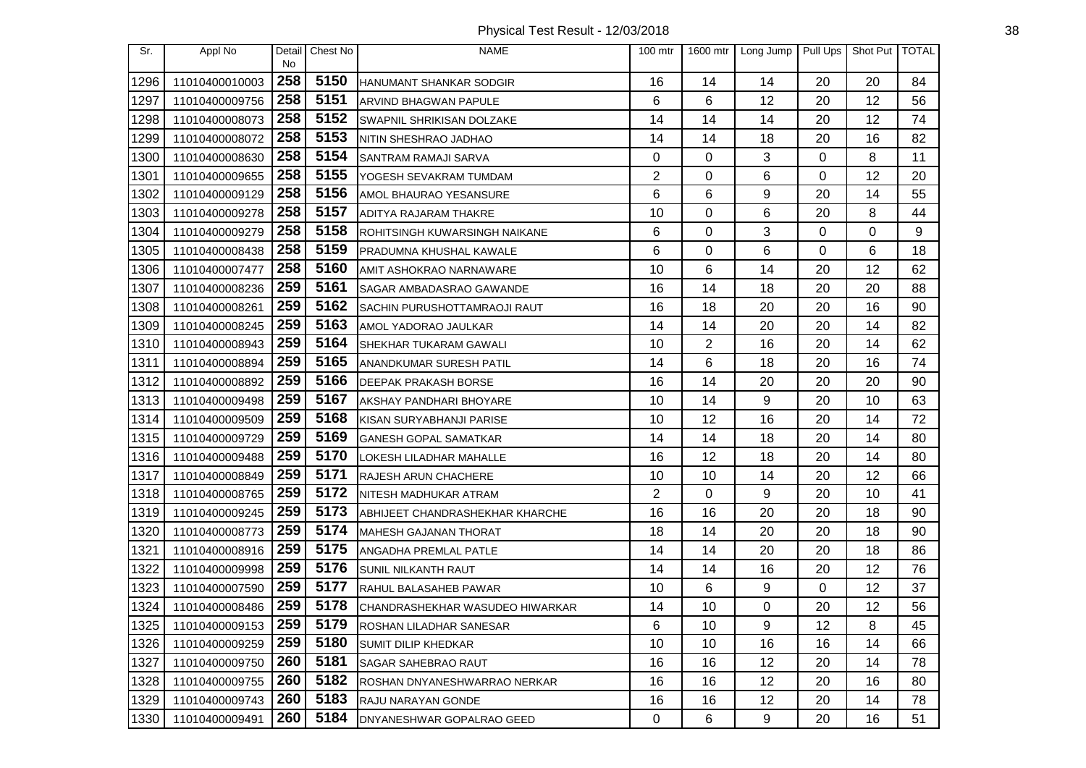Physical Test Result - 12/03/2018 38

| Sr.  | Appl No        | Detail<br>No | Chest No | <b>NAME</b>                      | 100 mtr | 1600 mtr | Long Jump | Pull Ups | Shot Put TOTAL |    |
|------|----------------|--------------|----------|----------------------------------|---------|----------|-----------|----------|----------------|----|
| 1296 | 11010400010003 | 258          | 5150     | <b>HANUMANT SHANKAR SODGIR</b>   | 16      | 14       | 14        | 20       | 20             | 84 |
| 1297 | 11010400009756 | 258          | 5151     | <b>ARVIND BHAGWAN PAPULE</b>     | 6       | 6        | 12        | 20       | 12             | 56 |
| 1298 | 11010400008073 | 258          | 5152     | <b>SWAPNIL SHRIKISAN DOLZAKE</b> | 14      | 14       | 14        | 20       | 12             | 74 |
| 1299 | 11010400008072 | 258          | 5153     | NITIN SHESHRAO JADHAO            | 14      | 14       | 18        | 20       | 16             | 82 |
| 1300 | 11010400008630 | 258          | 5154     | <b>SANTRAM RAMAJI SARVA</b>      | 0       | 0        | 3         | 0        | 8              | 11 |
| 1301 | 11010400009655 | 258          | 5155     | YOGESH SEVAKRAM TUMDAM           | 2       | 0        | 6         | 0        | 12             | 20 |
| 1302 | 11010400009129 | 258          | 5156     | AMOL BHAURAO YESANSURE           | 6       | 6        | 9         | 20       | 14             | 55 |
| 1303 | 11010400009278 | 258          | 5157     | ADITYA RAJARAM THAKRE            | 10      | $\Omega$ | 6         | 20       | 8              | 44 |
| 1304 | 11010400009279 | 258          | 5158     | ROHITSINGH KUWARSINGH NAIKANE    | 6       | 0        | 3         | 0        | 0              | 9  |
| 1305 | 11010400008438 | 258          | 5159     | PRADUMNA KHUSHAL KAWALE          | 6       | 0        | 6         | 0        | 6              | 18 |
| 1306 | 11010400007477 | 258          | 5160     | AMIT ASHOKRAO NARNAWARE          | 10      | 6        | 14        | 20       | 12             | 62 |
| 1307 | 11010400008236 | 259          | 5161     | SAGAR AMBADASRAO GAWANDE         | 16      | 14       | 18        | 20       | 20             | 88 |
| 1308 | 11010400008261 | 259          | 5162     | SACHIN PURUSHOTTAMRAOJI RAUT     | 16      | 18       | 20        | 20       | 16             | 90 |
| 1309 | 11010400008245 | 259          | 5163     | AMOL YADORAO JAULKAR             | 14      | 14       | 20        | 20       | 14             | 82 |
| 1310 | 11010400008943 | 259          | 5164     | SHEKHAR TUKARAM GAWALI           | 10      | 2        | 16        | 20       | 14             | 62 |
| 1311 | 11010400008894 | 259          | 5165     | ANANDKUMAR SURESH PATIL          | 14      | 6        | 18        | 20       | 16             | 74 |
| 1312 | 11010400008892 | 259          | 5166     | <b>DEEPAK PRAKASH BORSE</b>      | 16      | 14       | 20        | 20       | 20             | 90 |
| 1313 | 11010400009498 | 259          | 5167     | AKSHAY PANDHARI BHOYARE          | 10      | 14       | 9         | 20       | 10             | 63 |
| 1314 | 11010400009509 | 259          | 5168     | KISAN SURYABHANJI PARISE         | 10      | 12       | 16        | 20       | 14             | 72 |
| 1315 | 11010400009729 | 259          | 5169     | <b>GANESH GOPAL SAMATKAR</b>     | 14      | 14       | 18        | 20       | 14             | 80 |
| 1316 | 11010400009488 | 259          | 5170     | LOKESH LILADHAR MAHALLE          | 16      | 12       | 18        | 20       | 14             | 80 |
| 1317 | 11010400008849 | 259          | 5171     | <b>RAJESH ARUN CHACHERE</b>      | 10      | 10       | 14        | 20       | 12             | 66 |
| 1318 | 11010400008765 | 259          | 5172     | NITESH MADHUKAR ATRAM            | 2       | 0        | 9         | 20       | 10             | 41 |
| 1319 | 11010400009245 | 259          | 5173     | ABHIJEET CHANDRASHEKHAR KHARCHE  | 16      | 16       | 20        | 20       | 18             | 90 |
| 1320 | 11010400008773 | 259          | 5174     | <b>MAHESH GAJANAN THORAT</b>     | 18      | 14       | 20        | 20       | 18             | 90 |
| 1321 | 11010400008916 | 259          | 5175     | ANGADHA PREMLAL PATLE            | 14      | 14       | 20        | 20       | 18             | 86 |
| 1322 | 11010400009998 | 259          | 5176     | SUNIL NILKANTH RAUT              | 14      | 14       | 16        | 20       | 12             | 76 |
| 1323 | 11010400007590 | 259          | 5177     | RAHUL BALASAHEB PAWAR            | 10      | 6        | 9         | 0        | 12             | 37 |
| 1324 | 11010400008486 | 259          | 5178     | CHANDRASHEKHAR WASUDEO HIWARKAR  | 14      | 10       | 0         | 20       | 12             | 56 |
| 1325 | 11010400009153 | 259          | 5179     | <b>ROSHAN LILADHAR SANESAR</b>   | 6       | 10       | 9         | 12       | 8              | 45 |
| 1326 | 11010400009259 | 259          | 5180     | <b>SUMIT DILIP KHEDKAR</b>       | 10      | 10       | 16        | 16       | 14             | 66 |
| 1327 | 11010400009750 | 260          | 5181     | <b>SAGAR SAHEBRAO RAUT</b>       | 16      | 16       | 12        | 20       | 14             | 78 |
| 1328 | 11010400009755 | 260          | 5182     | ROSHAN DNYANESHWARRAO NERKAR     | 16      | 16       | 12        | 20       | 16             | 80 |
| 1329 | 11010400009743 | 260          | 5183     | RAJU NARAYAN GONDE               | 16      | 16       | 12        | 20       | 14             | 78 |
| 1330 | 11010400009491 | 260          | 5184     | DNYANESHWAR GOPALRAO GEED        | 0       | 6        | 9         | 20       | 16             | 51 |